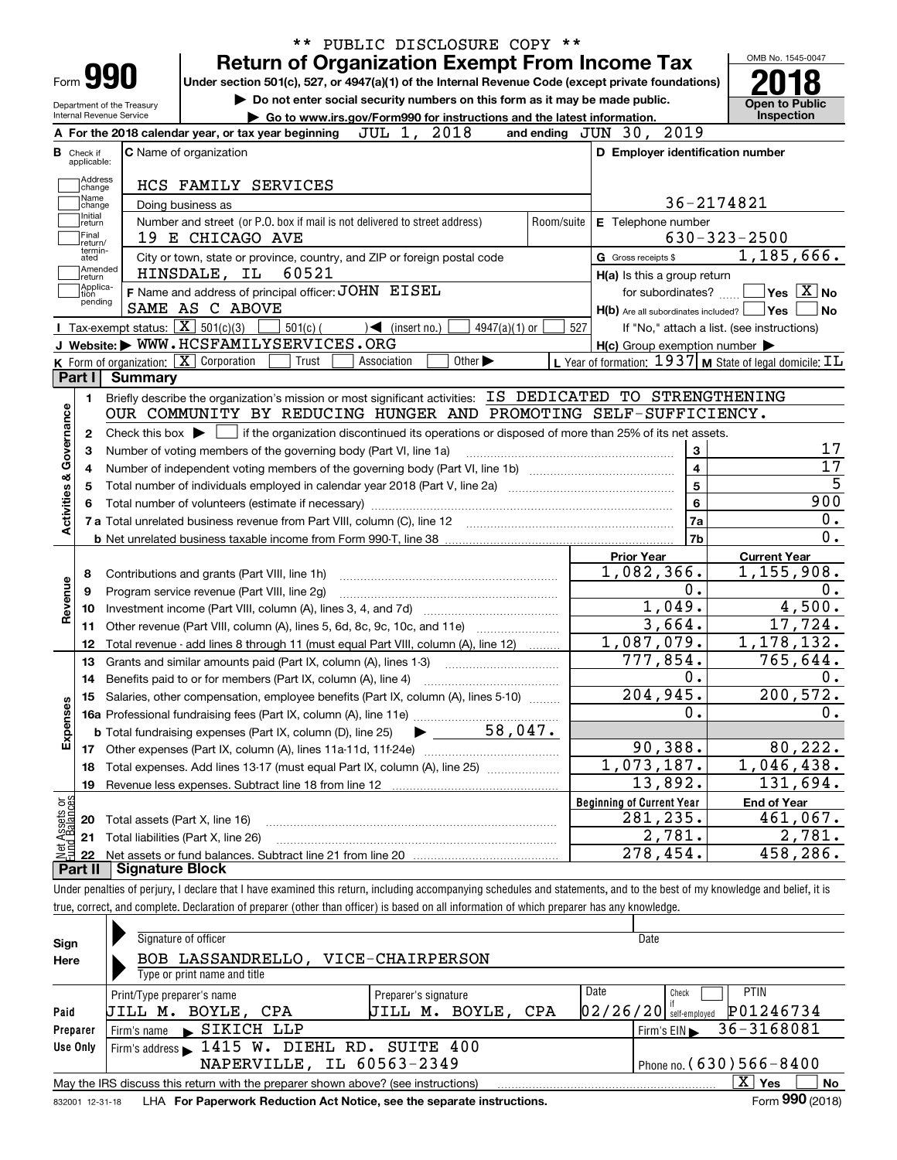|                                                                                                                                                                                                                 | Form <b>990</b>    | <b>Return of Organization Exempt From Income Tax</b><br>Under section 501(c), 527, or 4947(a)(1) of the Internal Revenue Code (except private foundations) |            |                                                             | OMB No. 1545-0047                                                                                                                                             |
|-----------------------------------------------------------------------------------------------------------------------------------------------------------------------------------------------------------------|--------------------|------------------------------------------------------------------------------------------------------------------------------------------------------------|------------|-------------------------------------------------------------|---------------------------------------------------------------------------------------------------------------------------------------------------------------|
| Do not enter social security numbers on this form as it may be made public.<br>Department of the Treasury<br>Go to www.irs.gov/Form990 for instructions and the latest information.<br>Internal Revenue Service |                    |                                                                                                                                                            |            |                                                             | <b>Open to Public</b><br><b>Inspection</b>                                                                                                                    |
|                                                                                                                                                                                                                 |                    | JUL 1, 2018<br>A For the 2018 calendar year, or tax year beginning                                                                                         |            | 2019<br>and ending JUN 30,                                  |                                                                                                                                                               |
| <b>B</b> Check if                                                                                                                                                                                               |                    | <b>C</b> Name of organization                                                                                                                              |            | D Employer identification number                            |                                                                                                                                                               |
|                                                                                                                                                                                                                 | applicable:        |                                                                                                                                                            |            |                                                             |                                                                                                                                                               |
|                                                                                                                                                                                                                 | Address<br>change  | HCS FAMILY SERVICES                                                                                                                                        |            |                                                             |                                                                                                                                                               |
|                                                                                                                                                                                                                 | Name<br>change     | Doing business as                                                                                                                                          |            |                                                             | 36-2174821                                                                                                                                                    |
|                                                                                                                                                                                                                 | Initial<br>return  | Number and street (or P.O. box if mail is not delivered to street address)                                                                                 | Room/suite | E Telephone number                                          |                                                                                                                                                               |
|                                                                                                                                                                                                                 | Final<br>return/   | 19 E CHICAGO AVE                                                                                                                                           |            |                                                             | $630 - 323 - 2500$                                                                                                                                            |
| ated                                                                                                                                                                                                            | termin-            | City or town, state or province, country, and ZIP or foreign postal code                                                                                   |            | G Gross receipts \$                                         | 1,185,666.                                                                                                                                                    |
|                                                                                                                                                                                                                 | Amended<br> return | 60521<br>HINSDALE, IL                                                                                                                                      |            | $H(a)$ is this a group return                               |                                                                                                                                                               |
| tion                                                                                                                                                                                                            | Applica-           | F Name and address of principal officer: JOHN EISEL                                                                                                        |            | for subordinates?                                           | $\sqrt{}$ Yes $\sqrt{}$ $\overline{\text{X}}$ No                                                                                                              |
|                                                                                                                                                                                                                 | pending            | SAME AS C ABOVE                                                                                                                                            |            | $H(b)$ Are all subordinates included? $\Box$ Yes            | No                                                                                                                                                            |
|                                                                                                                                                                                                                 |                    | Tax-exempt status: $\boxed{\mathbf{X}}$ 501(c)(3)<br>$501(c)$ (<br>$\sqrt{\frac{1}{1}}$ (insert no.)<br>$4947(a)(1)$ or                                    | 527        |                                                             | If "No," attach a list. (see instructions)                                                                                                                    |
|                                                                                                                                                                                                                 |                    | J Website: WWW.HCSFAMILYSERVICES.ORG                                                                                                                       |            | $H(c)$ Group exemption number $\blacktriangleright$         |                                                                                                                                                               |
|                                                                                                                                                                                                                 |                    | K Form of organization: X Corporation<br>Other $\blacktriangleright$<br>Trust<br>Association                                                               |            | L Year of formation: $1937$ M State of legal domicile: $IL$ |                                                                                                                                                               |
| Part I                                                                                                                                                                                                          | Summary            |                                                                                                                                                            |            |                                                             |                                                                                                                                                               |
|                                                                                                                                                                                                                 | 1.                 | Briefly describe the organization's mission or most significant activities: IS DEDICATED TO STRENGTHENING                                                  |            |                                                             |                                                                                                                                                               |
|                                                                                                                                                                                                                 |                    | OUR COMMUNITY BY REDUCING HUNGER AND PROMOTING SELF-SUFFICIENCY.                                                                                           |            |                                                             |                                                                                                                                                               |
| 2                                                                                                                                                                                                               |                    | if the organization discontinued its operations or disposed of more than 25% of its net assets.<br>Check this box $\blacktriangleright$ $\parallel$        |            |                                                             |                                                                                                                                                               |
| З                                                                                                                                                                                                               |                    | Number of voting members of the governing body (Part VI, line 1a)                                                                                          |            | 3                                                           | 17                                                                                                                                                            |
| 4                                                                                                                                                                                                               |                    |                                                                                                                                                            |            | $\overline{\mathbf{4}}$                                     | $\overline{17}$                                                                                                                                               |
| Activities & Governance<br>5                                                                                                                                                                                    |                    |                                                                                                                                                            |            | 5                                                           |                                                                                                                                                               |
|                                                                                                                                                                                                                 |                    |                                                                                                                                                            |            | 6                                                           | 900                                                                                                                                                           |
|                                                                                                                                                                                                                 |                    |                                                                                                                                                            |            | 7a                                                          | 0.                                                                                                                                                            |
|                                                                                                                                                                                                                 |                    |                                                                                                                                                            |            |                                                             |                                                                                                                                                               |
|                                                                                                                                                                                                                 |                    |                                                                                                                                                            |            | 7b                                                          |                                                                                                                                                               |
|                                                                                                                                                                                                                 |                    |                                                                                                                                                            |            | <b>Prior Year</b>                                           | <b>Current Year</b>                                                                                                                                           |
| 8                                                                                                                                                                                                               |                    | Contributions and grants (Part VIII, line 1h)                                                                                                              |            | 1,082,366.                                                  |                                                                                                                                                               |
| 9                                                                                                                                                                                                               |                    | Program service revenue (Part VIII, line 2g)                                                                                                               |            | 0.                                                          |                                                                                                                                                               |
| 10                                                                                                                                                                                                              |                    |                                                                                                                                                            |            | 1,049.                                                      |                                                                                                                                                               |
| 11                                                                                                                                                                                                              |                    | Other revenue (Part VIII, column (A), lines 5, 6d, 8c, 9c, 10c, and 11e)                                                                                   |            | 3,664.                                                      |                                                                                                                                                               |
| 12                                                                                                                                                                                                              |                    | Total revenue - add lines 8 through 11 (must equal Part VIII, column (A), line 12)                                                                         |            | 1,087,079.                                                  |                                                                                                                                                               |
| 13                                                                                                                                                                                                              |                    | Grants and similar amounts paid (Part IX, column (A), lines 1-3)                                                                                           |            | 777,854.                                                    |                                                                                                                                                               |
| 14                                                                                                                                                                                                              |                    |                                                                                                                                                            |            | 0.                                                          |                                                                                                                                                               |
|                                                                                                                                                                                                                 |                    | 15 Salaries, other compensation, employee benefits (Part IX, column (A), lines 5-10)                                                                       |            | 204,945.                                                    |                                                                                                                                                               |
|                                                                                                                                                                                                                 |                    |                                                                                                                                                            |            | 0.                                                          |                                                                                                                                                               |
|                                                                                                                                                                                                                 |                    | 58,047.<br><b>b</b> Total fundraising expenses (Part IX, column (D), line 25)                                                                              |            |                                                             |                                                                                                                                                               |
| 17                                                                                                                                                                                                              |                    |                                                                                                                                                            |            | 90,388.                                                     |                                                                                                                                                               |
| 18                                                                                                                                                                                                              |                    | Total expenses. Add lines 13-17 (must equal Part IX, column (A), line 25) [                                                                                |            | $\overline{1,073},187.$                                     |                                                                                                                                                               |
| 19                                                                                                                                                                                                              |                    | Revenue less expenses. Subtract line 18 from line 12                                                                                                       |            | 13,892.                                                     |                                                                                                                                                               |
|                                                                                                                                                                                                                 |                    |                                                                                                                                                            |            | <b>Beginning of Current Year</b>                            | 0.<br>1,155,908.<br>0.<br>4,500.<br>17,724.<br>1, 178, 132.<br>765,644.<br>0.<br>200,572.<br>$0$ .<br>80,222.<br>1,046,438.<br>131,694.<br><b>End of Year</b> |
| 20                                                                                                                                                                                                              |                    | Total assets (Part X, line 16)                                                                                                                             |            | 281,235.                                                    | 461,067.                                                                                                                                                      |
| Revenue<br>Expenses<br>t Assets or<br>d Balances<br>21<br>혏                                                                                                                                                     |                    | Total liabilities (Part X, line 26)                                                                                                                        |            | 2,781.<br>$\overline{278}$ , 454.                           | 2,781.<br>458,286.                                                                                                                                            |

| Sign     | Signature of officer                                                              |                              | Date                                  |  |  |  |  |  |  |
|----------|-----------------------------------------------------------------------------------|------------------------------|---------------------------------------|--|--|--|--|--|--|
| Here     | BOB LASSANDRELLO,<br>Type or print name and title                                 | VICE-CHAIRPERSON             |                                       |  |  |  |  |  |  |
|          | Print/Type preparer's name                                                        | Date<br><b>PTIN</b><br>Check |                                       |  |  |  |  |  |  |
| Paid     | BOYLE, CPA<br>JILL M.                                                             | UILL M. BOYLE, CPA           | P01246734<br>$02/26/20$ self-employed |  |  |  |  |  |  |
| Preparer | $\blacktriangleright$ SIKICH LLP<br>Firm's name                                   |                              | 36-3168081<br>Firm's $EIN$            |  |  |  |  |  |  |
| Use Only | Firm's address 1415 W. DIEHL RD. SUITE 400                                        |                              |                                       |  |  |  |  |  |  |
|          | NAPERVILLE, IL 60563-2349<br>Phone no. (630) 566-8400                             |                              |                                       |  |  |  |  |  |  |
|          | May the IRS discuss this return with the preparer shown above? (see instructions) |                              | X.<br>Yes<br>No                       |  |  |  |  |  |  |
|          |                                                                                   |                              | $000 \div 0.00$                       |  |  |  |  |  |  |

832001\_12-31-18 LHA **For Paperwork Reduction Act Notice, see the separate instructions.** Form 990 (2018)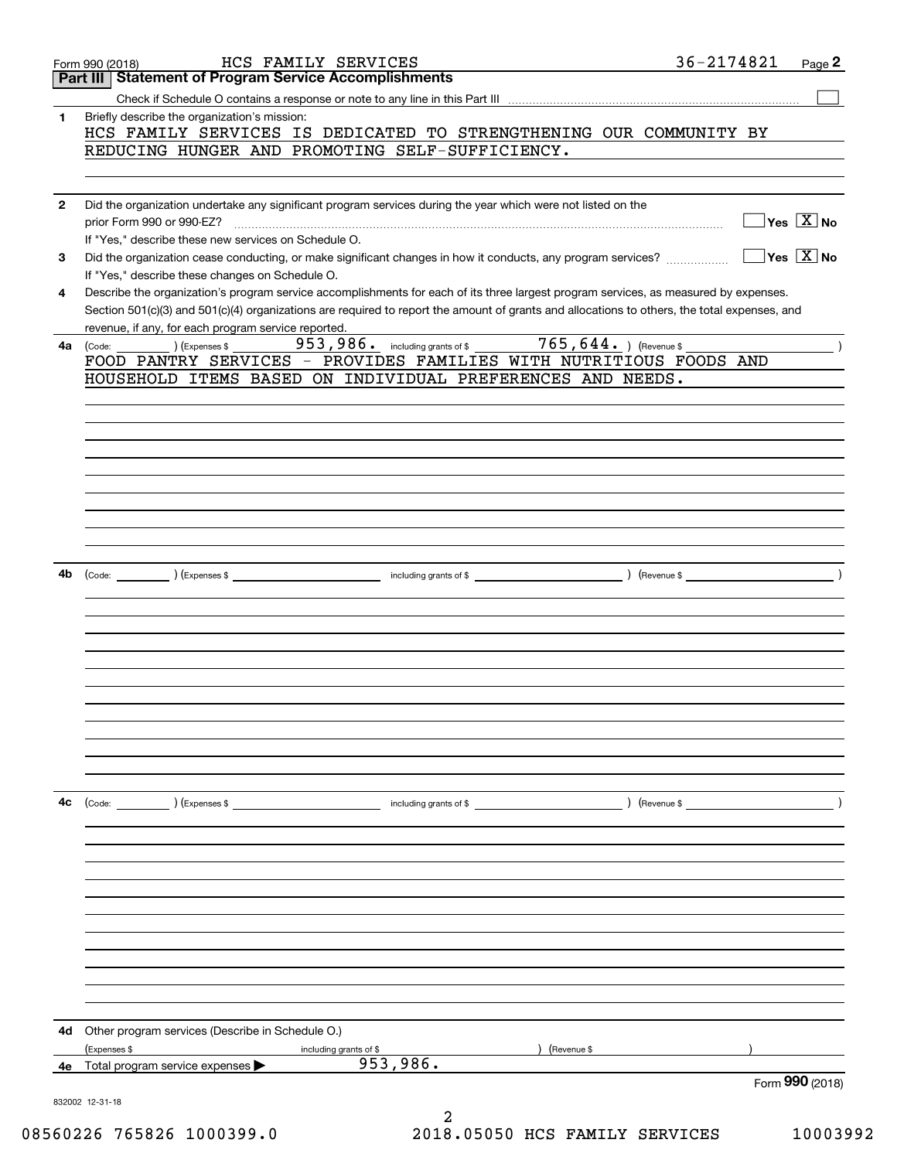|              | Form 990 (2018)                                                                                                                              | HCS FAMILY SERVICES              |                                   | 36-2174821<br>Page 2                   |
|--------------|----------------------------------------------------------------------------------------------------------------------------------------------|----------------------------------|-----------------------------------|----------------------------------------|
|              | Part III Statement of Program Service Accomplishments                                                                                        |                                  |                                   |                                        |
|              |                                                                                                                                              |                                  |                                   |                                        |
| 1            | Briefly describe the organization's mission:                                                                                                 |                                  |                                   |                                        |
|              | HCS FAMILY SERVICES IS DEDICATED TO STRENGTHENING OUR COMMUNITY BY                                                                           |                                  |                                   |                                        |
|              | REDUCING HUNGER AND PROMOTING SELF-SUFFICIENCY.                                                                                              |                                  |                                   |                                        |
|              |                                                                                                                                              |                                  |                                   |                                        |
|              |                                                                                                                                              |                                  |                                   |                                        |
| $\mathbf{2}$ | Did the organization undertake any significant program services during the year which were not listed on the<br>prior Form 990 or 990-EZ?    |                                  |                                   | $\exists$ Yes $\boxed{\text{X}}$ No    |
|              | If "Yes," describe these new services on Schedule O.                                                                                         |                                  |                                   |                                        |
| 3            | Did the organization cease conducting, or make significant changes in how it conducts, any program services?                                 |                                  |                                   | $\sqrt{}$ Yes $\sqrt{}$ X $\sqrt{}$ No |
|              | If "Yes," describe these changes on Schedule O.                                                                                              |                                  |                                   |                                        |
| 4            | Describe the organization's program service accomplishments for each of its three largest program services, as measured by expenses.         |                                  |                                   |                                        |
|              | Section 501(c)(3) and 501(c)(4) organizations are required to report the amount of grants and allocations to others, the total expenses, and |                                  |                                   |                                        |
|              | revenue, if any, for each program service reported.                                                                                          |                                  |                                   |                                        |
| 4a           | (Expenses \$<br>(Code:                                                                                                                       | 953, 986. including grants of \$ | $\overline{765,644.}$ (Revenue \$ |                                        |
|              | FOOD PANTRY SERVICES - PROVIDES FAMILIES WITH NUTRITIOUS FOODS AND                                                                           |                                  |                                   |                                        |
|              | HOUSEHOLD ITEMS BASED ON INDIVIDUAL PREFERENCES AND NEEDS.                                                                                   |                                  |                                   |                                        |
|              |                                                                                                                                              |                                  |                                   |                                        |
|              |                                                                                                                                              |                                  |                                   |                                        |
|              |                                                                                                                                              |                                  |                                   |                                        |
|              |                                                                                                                                              |                                  |                                   |                                        |
|              |                                                                                                                                              |                                  |                                   |                                        |
|              |                                                                                                                                              |                                  |                                   |                                        |
|              |                                                                                                                                              |                                  |                                   |                                        |
|              |                                                                                                                                              |                                  |                                   |                                        |
|              |                                                                                                                                              |                                  |                                   |                                        |
|              |                                                                                                                                              |                                  |                                   |                                        |
| 4b           |                                                                                                                                              |                                  |                                   |                                        |
|              |                                                                                                                                              |                                  |                                   |                                        |
|              |                                                                                                                                              |                                  |                                   |                                        |
|              |                                                                                                                                              |                                  |                                   |                                        |
|              |                                                                                                                                              |                                  |                                   |                                        |
|              |                                                                                                                                              |                                  |                                   |                                        |
|              |                                                                                                                                              |                                  |                                   |                                        |
|              |                                                                                                                                              |                                  |                                   |                                        |
|              |                                                                                                                                              |                                  |                                   |                                        |
|              |                                                                                                                                              |                                  |                                   |                                        |
|              |                                                                                                                                              |                                  |                                   |                                        |
|              |                                                                                                                                              |                                  |                                   |                                        |
| 4с           |                                                                                                                                              |                                  |                                   |                                        |
|              |                                                                                                                                              |                                  |                                   |                                        |
|              |                                                                                                                                              |                                  |                                   |                                        |
|              |                                                                                                                                              |                                  |                                   |                                        |
|              |                                                                                                                                              |                                  |                                   |                                        |
|              |                                                                                                                                              |                                  |                                   |                                        |
|              |                                                                                                                                              |                                  |                                   |                                        |
|              |                                                                                                                                              |                                  |                                   |                                        |
|              |                                                                                                                                              |                                  |                                   |                                        |
|              |                                                                                                                                              |                                  |                                   |                                        |
|              |                                                                                                                                              |                                  |                                   |                                        |
|              |                                                                                                                                              |                                  |                                   |                                        |
|              |                                                                                                                                              |                                  |                                   |                                        |
| 4d           | Other program services (Describe in Schedule O.)                                                                                             |                                  |                                   |                                        |
|              | (Expenses \$                                                                                                                                 | including grants of \$           | (Revenue \$                       |                                        |
| 4e           | Total program service expenses                                                                                                               | 953,986.                         |                                   |                                        |
|              |                                                                                                                                              |                                  |                                   | Form 990 (2018)                        |
|              | 832002 12-31-18                                                                                                                              | 2                                |                                   |                                        |
|              |                                                                                                                                              |                                  |                                   |                                        |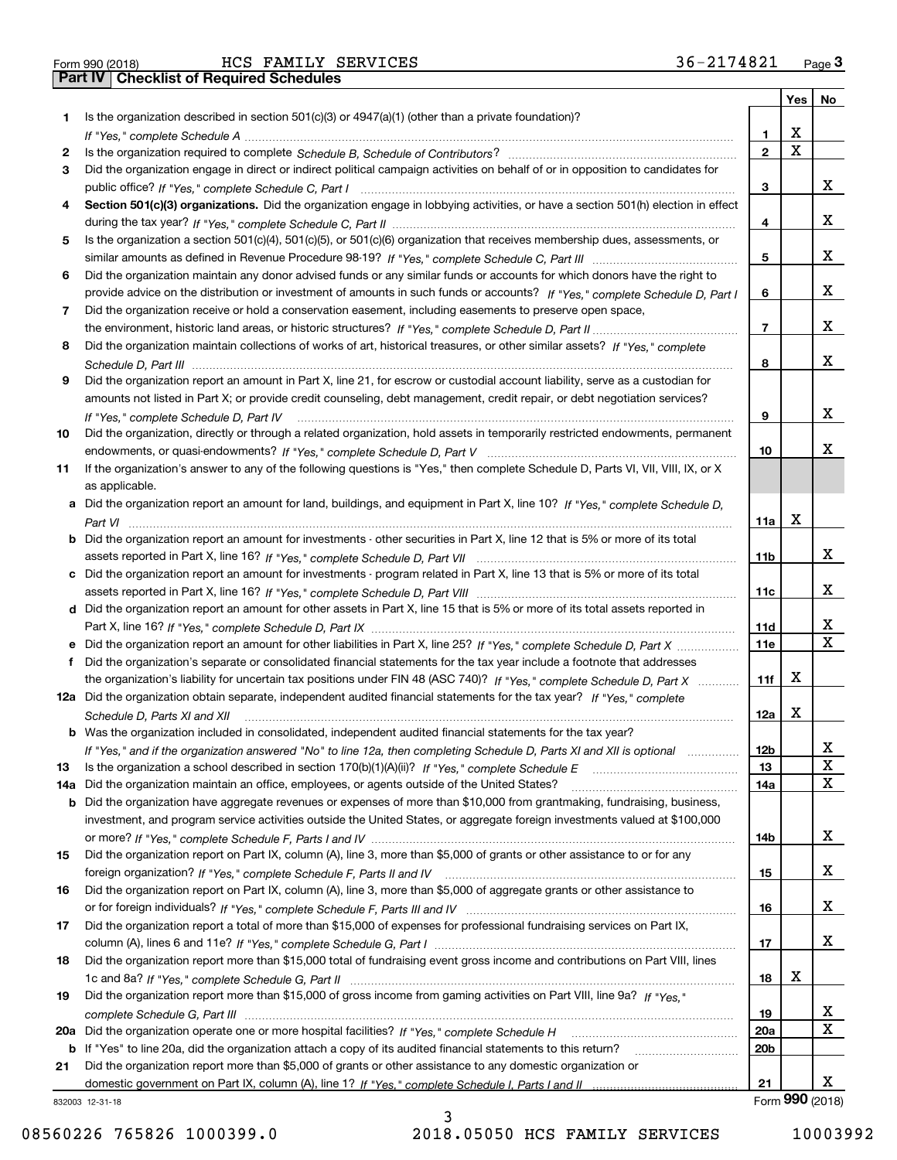| Form 990 (2018 |  |  |
|----------------|--|--|

Form 990 (2018) HCS FAMILY SERVICES 3 6-2174821 <sub>Page</sub> 3<br>**Part IV | Checklist of Required Schedules** 

|     |                                                                                                                                      |                 |   | Yes   No        |
|-----|--------------------------------------------------------------------------------------------------------------------------------------|-----------------|---|-----------------|
| 1.  | Is the organization described in section $501(c)(3)$ or $4947(a)(1)$ (other than a private foundation)?                              |                 |   |                 |
|     |                                                                                                                                      | 1               | X |                 |
| 2   |                                                                                                                                      | $\mathbf{2}$    | X |                 |
| 3   | Did the organization engage in direct or indirect political campaign activities on behalf of or in opposition to candidates for      |                 |   |                 |
|     |                                                                                                                                      | 3               |   | x               |
| 4   | Section 501(c)(3) organizations. Did the organization engage in lobbying activities, or have a section 501(h) election in effect     |                 |   |                 |
|     |                                                                                                                                      | 4               |   | x               |
| 5   | Is the organization a section 501(c)(4), 501(c)(5), or 501(c)(6) organization that receives membership dues, assessments, or         |                 |   |                 |
|     |                                                                                                                                      | 5               |   | x               |
| 6   | Did the organization maintain any donor advised funds or any similar funds or accounts for which donors have the right to            |                 |   |                 |
|     | provide advice on the distribution or investment of amounts in such funds or accounts? If "Yes," complete Schedule D, Part I         | 6               |   | x               |
| 7   | Did the organization receive or hold a conservation easement, including easements to preserve open space,                            |                 |   | x               |
|     |                                                                                                                                      | $\overline{7}$  |   |                 |
| 8   | Did the organization maintain collections of works of art, historical treasures, or other similar assets? If "Yes," complete         | 8               |   | x               |
| 9   | Did the organization report an amount in Part X, line 21, for escrow or custodial account liability, serve as a custodian for        |                 |   |                 |
|     | amounts not listed in Part X; or provide credit counseling, debt management, credit repair, or debt negotiation services?            |                 |   |                 |
|     | If "Yes," complete Schedule D, Part IV                                                                                               | 9               |   | x               |
| 10  | Did the organization, directly or through a related organization, hold assets in temporarily restricted endowments, permanent        |                 |   |                 |
|     |                                                                                                                                      | 10              |   | x               |
| 11  | If the organization's answer to any of the following questions is "Yes," then complete Schedule D, Parts VI, VII, VIII, IX, or X     |                 |   |                 |
|     | as applicable.                                                                                                                       |                 |   |                 |
|     | a Did the organization report an amount for land, buildings, and equipment in Part X, line 10? If "Yes," complete Schedule D.        |                 |   |                 |
|     |                                                                                                                                      | 11a             | X |                 |
|     | <b>b</b> Did the organization report an amount for investments - other securities in Part X, line 12 that is 5% or more of its total |                 |   |                 |
|     |                                                                                                                                      | 11 <sub>b</sub> |   | x               |
|     | c Did the organization report an amount for investments - program related in Part X, line 13 that is 5% or more of its total         |                 |   |                 |
|     |                                                                                                                                      | 11c             |   | x               |
|     | d Did the organization report an amount for other assets in Part X, line 15 that is 5% or more of its total assets reported in       |                 |   |                 |
|     |                                                                                                                                      | <b>11d</b>      |   | х               |
|     | e Did the organization report an amount for other liabilities in Part X, line 25? If "Yes," complete Schedule D, Part X              | <b>11e</b>      |   | X               |
| f   | Did the organization's separate or consolidated financial statements for the tax year include a footnote that addresses              |                 |   |                 |
|     | the organization's liability for uncertain tax positions under FIN 48 (ASC 740)? If "Yes," complete Schedule D, Part X               | 11f             | X |                 |
|     | 12a Did the organization obtain separate, independent audited financial statements for the tax year? If "Yes," complete              |                 |   |                 |
|     | Schedule D, Parts XI and XII                                                                                                         | 12a             | x |                 |
|     | b Was the organization included in consolidated, independent audited financial statements for the tax year?                          |                 |   |                 |
|     | If "Yes," and if the organization answered "No" to line 12a, then completing Schedule D, Parts XI and XII is optional                | 12 <sub>b</sub> |   | ▵               |
| 13  |                                                                                                                                      | 13              |   | х               |
| 14a | Did the organization maintain an office, employees, or agents outside of the United States?                                          | 14a             |   | x               |
|     | <b>b</b> Did the organization have aggregate revenues or expenses of more than \$10,000 from grantmaking, fundraising, business,     |                 |   |                 |
|     | investment, and program service activities outside the United States, or aggregate foreign investments valued at \$100,000           | 14b             |   | x               |
| 15  | Did the organization report on Part IX, column (A), line 3, more than \$5,000 of grants or other assistance to or for any            |                 |   |                 |
|     |                                                                                                                                      | 15              |   | x               |
| 16  | Did the organization report on Part IX, column (A), line 3, more than \$5,000 of aggregate grants or other assistance to             |                 |   |                 |
|     |                                                                                                                                      | 16              |   | x               |
| 17  | Did the organization report a total of more than \$15,000 of expenses for professional fundraising services on Part IX,              |                 |   |                 |
|     |                                                                                                                                      | 17              |   | X.              |
| 18  | Did the organization report more than \$15,000 total of fundraising event gross income and contributions on Part VIII, lines         |                 |   |                 |
|     |                                                                                                                                      | 18              | x |                 |
| 19  | Did the organization report more than \$15,000 of gross income from gaming activities on Part VIII, line 9a? If "Yes."               |                 |   |                 |
|     |                                                                                                                                      | 19              |   | x               |
|     |                                                                                                                                      | 20a             |   | x               |
|     | b If "Yes" to line 20a, did the organization attach a copy of its audited financial statements to this return?                       | 20 <sub>b</sub> |   |                 |
| 21  | Did the organization report more than \$5,000 of grants or other assistance to any domestic organization or                          |                 |   |                 |
|     |                                                                                                                                      | 21              |   | x               |
|     | 332003 12-31-18                                                                                                                      |                 |   | Form 990 (2018) |

832003 12-31-18

08560226 765826 1000399.0 2018.05050 HCS FAMILY SERVICES 10003992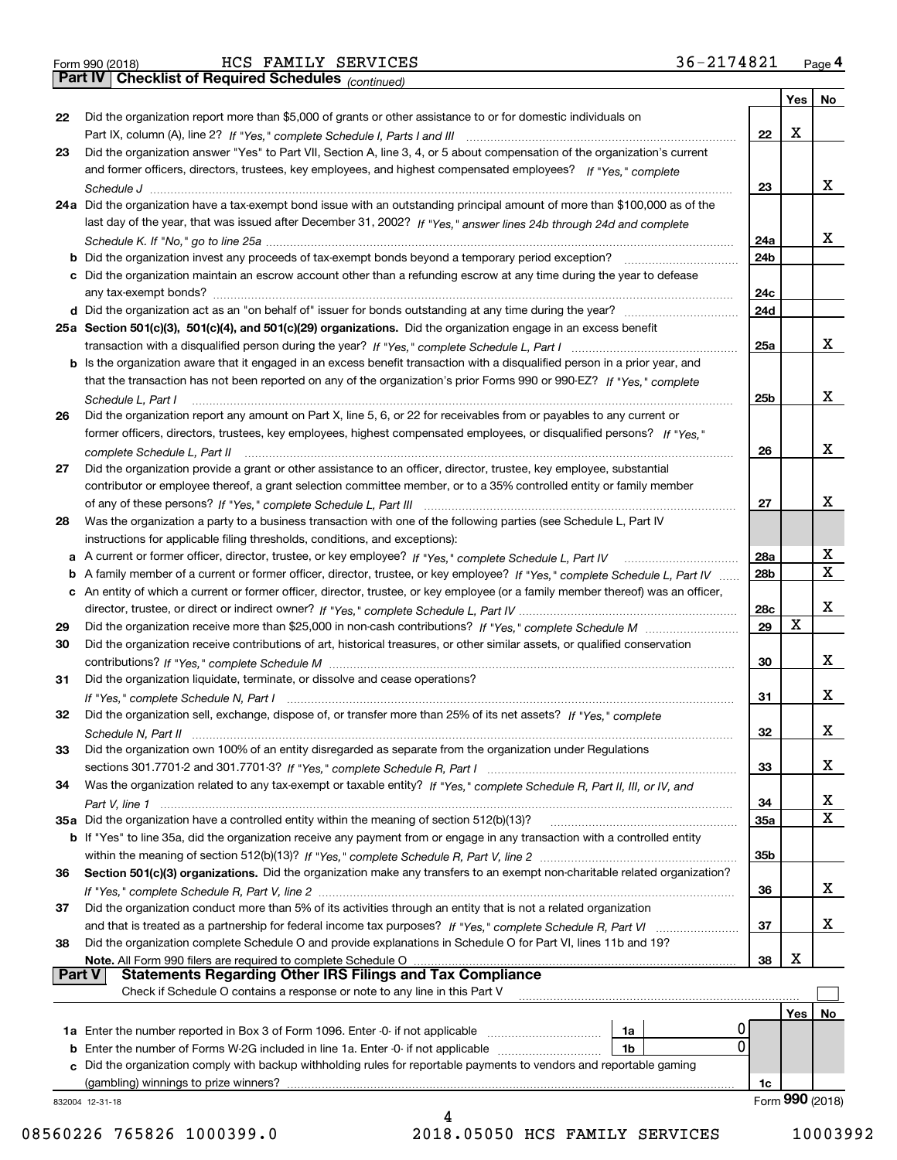|  | Form 990 (2018) |  |
|--|-----------------|--|
|  |                 |  |

*(continued)*

|               |                                                                                                                                                      |     | Yes   No        |                  |
|---------------|------------------------------------------------------------------------------------------------------------------------------------------------------|-----|-----------------|------------------|
| 22            | Did the organization report more than \$5,000 of grants or other assistance to or for domestic individuals on                                        |     |                 |                  |
|               |                                                                                                                                                      | 22  | Х               |                  |
| 23            | Did the organization answer "Yes" to Part VII, Section A, line 3, 4, or 5 about compensation of the organization's current                           |     |                 |                  |
|               | and former officers, directors, trustees, key employees, and highest compensated employees? If "Yes," complete                                       |     |                 |                  |
|               |                                                                                                                                                      | 23  |                 | x                |
|               | 24a Did the organization have a tax-exempt bond issue with an outstanding principal amount of more than \$100,000 as of the                          |     |                 |                  |
|               | last day of the year, that was issued after December 31, 2002? If "Yes," answer lines 24b through 24d and complete                                   |     |                 |                  |
|               |                                                                                                                                                      | 24a |                 | х                |
|               | <b>b</b> Did the organization invest any proceeds of tax-exempt bonds beyond a temporary period exception?                                           | 24b |                 |                  |
|               | c Did the organization maintain an escrow account other than a refunding escrow at any time during the year to defease                               |     |                 |                  |
|               | any tax-exempt bonds?                                                                                                                                | 24c |                 |                  |
|               |                                                                                                                                                      | 24d |                 |                  |
|               | 25a Section 501(c)(3), 501(c)(4), and 501(c)(29) organizations. Did the organization engage in an excess benefit                                     |     |                 |                  |
|               |                                                                                                                                                      | 25a |                 | х                |
|               | b Is the organization aware that it engaged in an excess benefit transaction with a disqualified person in a prior year, and                         |     |                 |                  |
|               | that the transaction has not been reported on any of the organization's prior Forms 990 or 990-EZ? If "Yes." complete                                |     |                 |                  |
|               |                                                                                                                                                      | 25b |                 | х                |
| 26            | Schedule L. Part I<br>Did the organization report any amount on Part X, line 5, 6, or 22 for receivables from or payables to any current or          |     |                 |                  |
|               | former officers, directors, trustees, key employees, highest compensated employees, or disqualified persons? If "Yes."                               |     |                 |                  |
|               |                                                                                                                                                      | 26  |                 | х                |
|               | complete Schedule L, Part II<br>Did the organization provide a grant or other assistance to an officer, director, trustee, key employee, substantial |     |                 |                  |
| 27            |                                                                                                                                                      |     |                 |                  |
|               | contributor or employee thereof, a grant selection committee member, or to a 35% controlled entity or family member                                  |     |                 | х                |
|               |                                                                                                                                                      | 27  |                 |                  |
| 28            | Was the organization a party to a business transaction with one of the following parties (see Schedule L, Part IV                                    |     |                 |                  |
|               | instructions for applicable filing thresholds, conditions, and exceptions):                                                                          |     |                 |                  |
|               | a A current or former officer, director, trustee, or key employee? If "Yes," complete Schedule L, Part IV                                            | 28a |                 | x<br>$\mathbf X$ |
|               | b A family member of a current or former officer, director, trustee, or key employee? If "Yes," complete Schedule L, Part IV                         | 28b |                 |                  |
|               | c An entity of which a current or former officer, director, trustee, or key employee (or a family member thereof) was an officer,                    |     |                 |                  |
|               |                                                                                                                                                      | 28c |                 | х                |
| 29            |                                                                                                                                                      | 29  | Х               |                  |
| 30            | Did the organization receive contributions of art, historical treasures, or other similar assets, or qualified conservation                          |     |                 |                  |
|               |                                                                                                                                                      | 30  |                 | х                |
| 31            | Did the organization liquidate, terminate, or dissolve and cease operations?                                                                         |     |                 |                  |
|               |                                                                                                                                                      | 31  |                 | х                |
| 32            | Did the organization sell, exchange, dispose of, or transfer more than 25% of its net assets? If "Yes," complete                                     |     |                 |                  |
|               | Schedule N, Part II (1996) (1996) (1997) (1997) (1998) (1998) (1998) (1998) (1998) (1998) (1999) (1999) (1999)                                       | 32  |                 | х                |
| 33            | Did the organization own 100% of an entity disregarded as separate from the organization under Regulations                                           |     |                 |                  |
|               |                                                                                                                                                      | 33  |                 | х                |
| 34            | Was the organization related to any tax-exempt or taxable entity? If "Yes," complete Schedule R, Part II, III, or IV, and                            |     |                 |                  |
|               |                                                                                                                                                      | 34  |                 | х                |
|               | 35a Did the organization have a controlled entity within the meaning of section 512(b)(13)?                                                          | 35a |                 | х                |
|               | b If "Yes" to line 35a, did the organization receive any payment from or engage in any transaction with a controlled entity                          |     |                 |                  |
|               |                                                                                                                                                      | 35b |                 |                  |
| 36            | Section 501(c)(3) organizations. Did the organization make any transfers to an exempt non-charitable related organization?                           |     |                 |                  |
|               |                                                                                                                                                      | 36  |                 | x                |
| 37            | Did the organization conduct more than 5% of its activities through an entity that is not a related organization                                     |     |                 |                  |
|               | and that is treated as a partnership for federal income tax purposes? If "Yes," complete Schedule R, Part VI                                         | 37  |                 | x                |
| 38            | Did the organization complete Schedule O and provide explanations in Schedule O for Part VI, lines 11b and 19?                                       |     |                 |                  |
|               | Note. All Form 990 filers are required to complete Schedule O                                                                                        | 38  | х               |                  |
| <b>Part V</b> | <b>Statements Regarding Other IRS Filings and Tax Compliance</b>                                                                                     |     |                 |                  |
|               | Check if Schedule O contains a response or note to any line in this Part V                                                                           |     |                 |                  |
|               |                                                                                                                                                      |     | Yes             | No               |
|               | <b>1a</b> Enter the number reported in Box 3 of Form 1096. Enter -0- if not applicable <i>manumumumum</i><br>1a                                      |     |                 |                  |
|               | 0<br><b>b</b> Enter the number of Forms W-2G included in line 1a. Enter -0- if not applicable <i>manumerances</i><br>1b                              |     |                 |                  |
|               | c Did the organization comply with backup withholding rules for reportable payments to vendors and reportable gaming                                 |     |                 |                  |
|               | (gambling) winnings to prize winners?                                                                                                                | 1c  |                 |                  |
|               | 832004 12-31-18                                                                                                                                      |     | Form 990 (2018) |                  |
|               |                                                                                                                                                      |     |                 |                  |

08560226 765826 1000399.0 2018.05050 HCS FAMILY SERVICES 10003992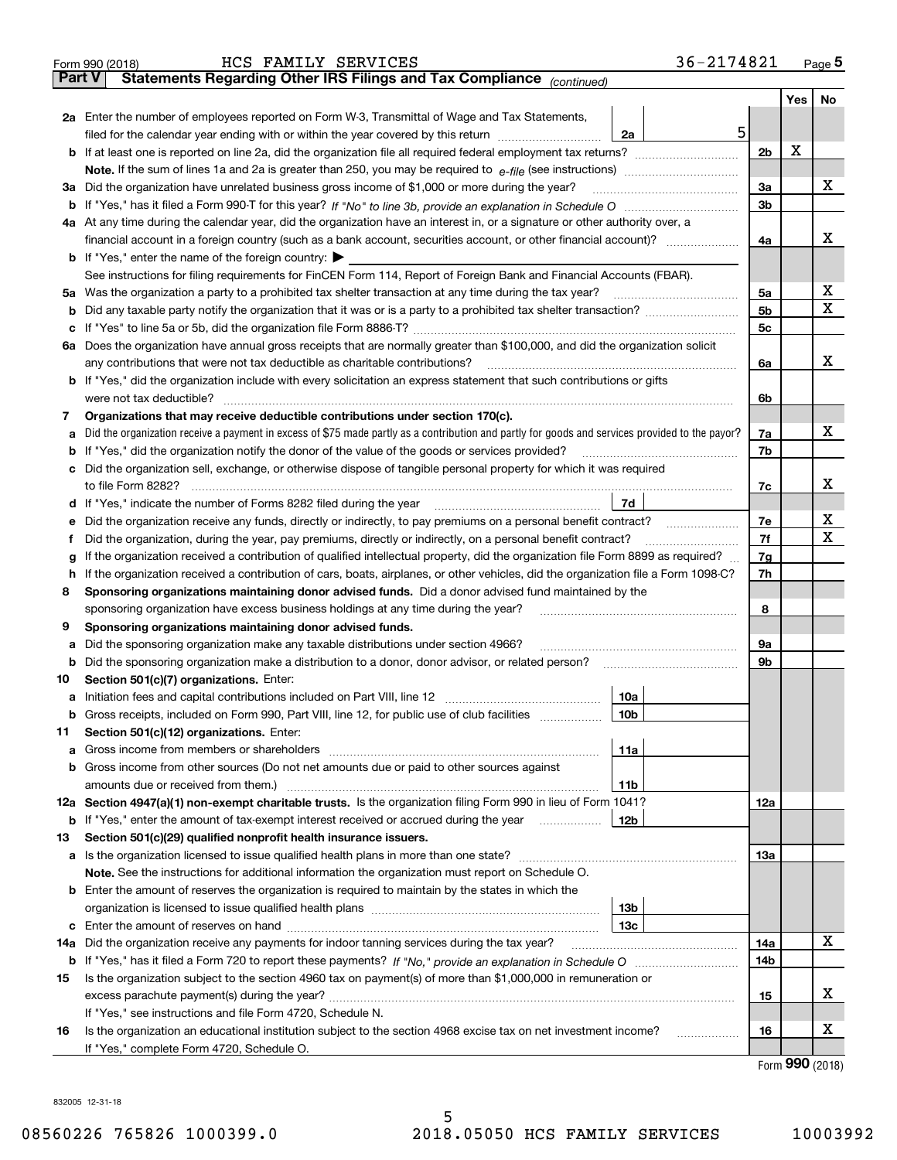|               | 36-2174821<br>HCS FAMILY SERVICES<br>Form 990 (2018)                                                                                            |                |     | Page $5$ |  |  |  |
|---------------|-------------------------------------------------------------------------------------------------------------------------------------------------|----------------|-----|----------|--|--|--|
| <b>Part V</b> | Statements Regarding Other IRS Filings and Tax Compliance (continued)                                                                           |                |     |          |  |  |  |
|               |                                                                                                                                                 |                | Yes | No       |  |  |  |
|               | 2a Enter the number of employees reported on Form W-3, Transmittal of Wage and Tax Statements,                                                  |                |     |          |  |  |  |
|               | 5<br>filed for the calendar year ending with or within the year covered by this return<br>2a                                                    |                |     |          |  |  |  |
|               | <b>b</b> If at least one is reported on line 2a, did the organization file all required federal employment tax returns?                         | 2 <sub>b</sub> | X   |          |  |  |  |
|               |                                                                                                                                                 |                |     |          |  |  |  |
| За            | Did the organization have unrelated business gross income of \$1,000 or more during the year?                                                   | 3a             |     | х        |  |  |  |
|               |                                                                                                                                                 | 3 <sub>b</sub> |     |          |  |  |  |
|               | 4a At any time during the calendar year, did the organization have an interest in, or a signature or other authority over, a                    |                |     |          |  |  |  |
|               |                                                                                                                                                 | 4a             |     | x        |  |  |  |
|               | <b>b</b> If "Yes," enter the name of the foreign country: $\blacktriangleright$                                                                 |                |     |          |  |  |  |
|               | See instructions for filing requirements for FinCEN Form 114, Report of Foreign Bank and Financial Accounts (FBAR).                             |                |     |          |  |  |  |
|               | 5a Was the organization a party to a prohibited tax shelter transaction at any time during the tax year?                                        | 5a             |     | х        |  |  |  |
| b             |                                                                                                                                                 | 5b             |     | х        |  |  |  |
|               |                                                                                                                                                 | 5 <sub>c</sub> |     |          |  |  |  |
| ба            | Does the organization have annual gross receipts that are normally greater than \$100,000, and did the organization solicit                     |                |     |          |  |  |  |
|               | any contributions that were not tax deductible as charitable contributions?                                                                     | 6a             |     | х        |  |  |  |
|               | b If "Yes," did the organization include with every solicitation an express statement that such contributions or gifts                          |                |     |          |  |  |  |
|               | were not tax deductible?                                                                                                                        | 6b             |     |          |  |  |  |
| 7             | Organizations that may receive deductible contributions under section 170(c).                                                                   |                |     |          |  |  |  |
|               | Did the organization receive a payment in excess of \$75 made partly as a contribution and partly for goods and services provided to the payor? | 7a             |     | х        |  |  |  |
|               | If "Yes," did the organization notify the donor of the value of the goods or services provided?                                                 | 7b             |     |          |  |  |  |
|               | Did the organization sell, exchange, or otherwise dispose of tangible personal property for which it was required                               |                |     |          |  |  |  |
|               |                                                                                                                                                 | 7c             |     | х        |  |  |  |
|               | 7d                                                                                                                                              |                |     |          |  |  |  |
|               |                                                                                                                                                 |                |     |          |  |  |  |
|               | Did the organization, during the year, pay premiums, directly or indirectly, on a personal benefit contract?                                    |                |     |          |  |  |  |
|               | If the organization received a contribution of qualified intellectual property, did the organization file Form 8899 as required?                |                |     |          |  |  |  |
|               | If the organization received a contribution of cars, boats, airplanes, or other vehicles, did the organization file a Form 1098-C?              |                |     |          |  |  |  |
| 8             | Sponsoring organizations maintaining donor advised funds. Did a donor advised fund maintained by the                                            |                |     |          |  |  |  |
|               | sponsoring organization have excess business holdings at any time during the year?                                                              | 8              |     |          |  |  |  |
| 9             | Sponsoring organizations maintaining donor advised funds.                                                                                       |                |     |          |  |  |  |
| а             | Did the sponsoring organization make any taxable distributions under section 4966?                                                              |                |     |          |  |  |  |
| b             | Did the sponsoring organization make a distribution to a donor, donor advisor, or related person?                                               | 9b             |     |          |  |  |  |
| 10            | Section 501(c)(7) organizations. Enter:                                                                                                         |                |     |          |  |  |  |
|               | 10a                                                                                                                                             |                |     |          |  |  |  |
| b             | Gross receipts, included on Form 990, Part VIII, line 12, for public use of club facilities<br>10b                                              |                |     |          |  |  |  |
| 11            | Section 501(c)(12) organizations. Enter:                                                                                                        |                |     |          |  |  |  |
| а             | 11a<br>Gross income from members or shareholders                                                                                                |                |     |          |  |  |  |
| b             | Gross income from other sources (Do not net amounts due or paid to other sources against                                                        |                |     |          |  |  |  |
|               | amounts due or received from them.)<br>11b                                                                                                      |                |     |          |  |  |  |
|               | 12a Section 4947(a)(1) non-exempt charitable trusts. Is the organization filing Form 990 in lieu of Form 1041?                                  | 12a            |     |          |  |  |  |
| b             | 12 <sub>b</sub><br>If "Yes," enter the amount of tax-exempt interest received or accrued during the year                                        |                |     |          |  |  |  |
| 13            | Section 501(c)(29) qualified nonprofit health insurance issuers.                                                                                |                |     |          |  |  |  |
| a             | Is the organization licensed to issue qualified health plans in more than one state?                                                            | 13а            |     |          |  |  |  |
|               | Note. See the instructions for additional information the organization must report on Schedule O.                                               |                |     |          |  |  |  |
|               | <b>b</b> Enter the amount of reserves the organization is required to maintain by the states in which the                                       |                |     |          |  |  |  |
|               | 13b                                                                                                                                             |                |     |          |  |  |  |
| с             | 13с                                                                                                                                             |                |     | x        |  |  |  |
| 14a           | Did the organization receive any payments for indoor tanning services during the tax year?                                                      |                |     |          |  |  |  |
|               |                                                                                                                                                 | 14b            |     |          |  |  |  |
| 15            | Is the organization subject to the section 4960 tax on payment(s) of more than \$1,000,000 in remuneration or                                   |                |     |          |  |  |  |
|               | excess parachute payment(s) during the year?                                                                                                    | 15             |     | x        |  |  |  |
|               | If "Yes," see instructions and file Form 4720, Schedule N.                                                                                      |                |     |          |  |  |  |
| 16            | Is the organization an educational institution subject to the section 4968 excise tax on net investment income?                                 | 16             |     | х        |  |  |  |
|               | If "Yes," complete Form 4720, Schedule O.                                                                                                       |                |     |          |  |  |  |
|               |                                                                                                                                                 |                |     |          |  |  |  |

Form (2018) **990**

832005 12-31-18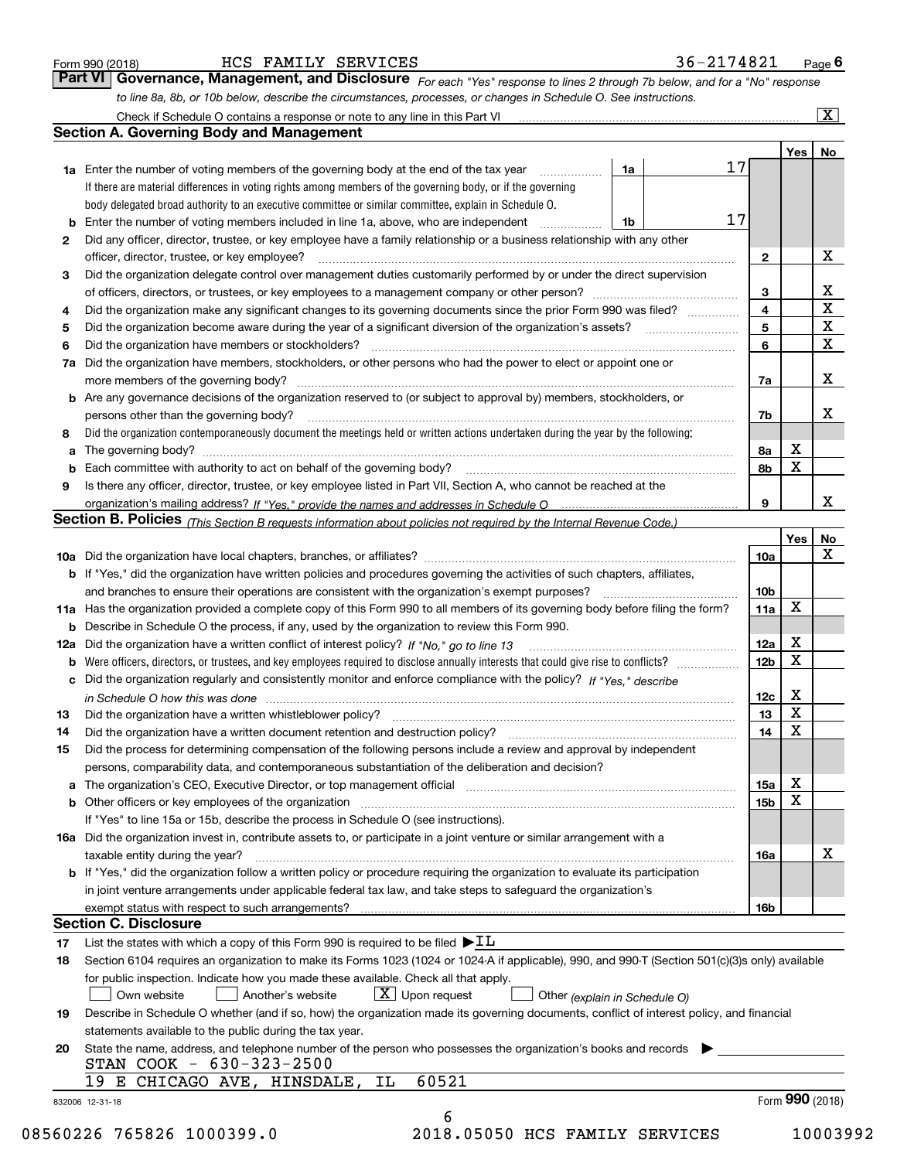|  | Form 990 (2018) |  |
|--|-----------------|--|
|  |                 |  |

*For each "Yes" response to lines 2 through 7b below, and for a "No" response to line 8a, 8b, or 10b below, describe the circumstances, processes, or changes in Schedule O. See instructions.* Form 990 (2018) **Form 990 (2018) HCS FAMILY SERVICES** 36-2174821 Page 6<br>**Part VI** | Governance, Management, and Disclosure *For each "Yes" response to lines 2 through 7b below, and for a "No" response* Check if Schedule O contains a response or note to any line in this Part VI

|    |                                                                                                                                                                                                                                |    |                         | Yes <sub>1</sub> | No                      |  |  |  |
|----|--------------------------------------------------------------------------------------------------------------------------------------------------------------------------------------------------------------------------------|----|-------------------------|------------------|-------------------------|--|--|--|
|    | <b>1a</b> Enter the number of voting members of the governing body at the end of the tax year<br>1a                                                                                                                            | 17 |                         |                  |                         |  |  |  |
|    | If there are material differences in voting rights among members of the governing body, or if the governing                                                                                                                    |    |                         |                  |                         |  |  |  |
|    | body delegated broad authority to an executive committee or similar committee, explain in Schedule O.                                                                                                                          |    |                         |                  |                         |  |  |  |
| b  | Enter the number of voting members included in line 1a, above, who are independent<br>1b                                                                                                                                       | 17 |                         |                  |                         |  |  |  |
| 2  | Did any officer, director, trustee, or key employee have a family relationship or a business relationship with any other                                                                                                       |    |                         |                  |                         |  |  |  |
|    | officer, director, trustee, or key employee?                                                                                                                                                                                   |    | $\mathbf{2}$            |                  | X                       |  |  |  |
| З  | Did the organization delegate control over management duties customarily performed by or under the direct supervision                                                                                                          |    |                         |                  |                         |  |  |  |
|    |                                                                                                                                                                                                                                |    | 3                       |                  | X                       |  |  |  |
| 4  | Did the organization make any significant changes to its governing documents since the prior Form 990 was filed?                                                                                                               |    | $\overline{\mathbf{4}}$ |                  | $\overline{\mathbf{x}}$ |  |  |  |
| 5  | Did the organization become aware during the year of a significant diversion of the organization's assets? <i>managener</i>                                                                                                    |    | 5                       |                  | $\overline{\mathbf{x}}$ |  |  |  |
| 6  | Did the organization have members or stockholders?                                                                                                                                                                             |    | 6                       |                  | $\mathbf X$             |  |  |  |
| 7a | Did the organization have members, stockholders, or other persons who had the power to elect or appoint one or                                                                                                                 |    |                         |                  |                         |  |  |  |
|    |                                                                                                                                                                                                                                |    | 7a                      |                  | X                       |  |  |  |
|    | <b>b</b> Are any governance decisions of the organization reserved to (or subject to approval by) members, stockholders, or                                                                                                    |    |                         |                  |                         |  |  |  |
|    | persons other than the governing body?                                                                                                                                                                                         |    | 7b                      |                  | х                       |  |  |  |
|    | Did the organization contemporaneously document the meetings held or written actions undertaken during the year by the following:                                                                                              |    |                         |                  |                         |  |  |  |
| 8  |                                                                                                                                                                                                                                |    |                         | X                |                         |  |  |  |
| a  |                                                                                                                                                                                                                                |    | 8а                      | X                |                         |  |  |  |
| b  |                                                                                                                                                                                                                                |    | 8b                      |                  |                         |  |  |  |
| 9  | Is there any officer, director, trustee, or key employee listed in Part VII, Section A, who cannot be reached at the                                                                                                           |    |                         |                  | X                       |  |  |  |
|    |                                                                                                                                                                                                                                |    | 9                       |                  |                         |  |  |  |
|    | Section B. Policies (This Section B requests information about policies not required by the Internal Revenue Code.)                                                                                                            |    |                         |                  |                         |  |  |  |
|    |                                                                                                                                                                                                                                |    |                         | Yes              | No<br>X                 |  |  |  |
|    |                                                                                                                                                                                                                                |    | 10a                     |                  |                         |  |  |  |
|    | <b>b</b> If "Yes," did the organization have written policies and procedures governing the activities of such chapters, affiliates,                                                                                            |    |                         |                  |                         |  |  |  |
|    |                                                                                                                                                                                                                                |    | 10 <sub>b</sub>         |                  |                         |  |  |  |
|    | 11a Has the organization provided a complete copy of this Form 990 to all members of its governing body before filing the form?                                                                                                |    | 11a                     | X                |                         |  |  |  |
|    | <b>b</b> Describe in Schedule O the process, if any, used by the organization to review this Form 990.                                                                                                                         |    |                         |                  |                         |  |  |  |
|    | 12a Did the organization have a written conflict of interest policy? If "No," go to line 13                                                                                                                                    |    | 12a<br>12 <sub>b</sub>  | X<br>х           |                         |  |  |  |
|    | <b>b</b> Were officers, directors, or trustees, and key employees required to disclose annually interests that could give rise to conflicts?                                                                                   |    |                         |                  |                         |  |  |  |
|    | c Did the organization regularly and consistently monitor and enforce compliance with the policy? If "Yes." describe                                                                                                           |    |                         |                  |                         |  |  |  |
|    | in Schedule O how this was done manufactured and continuum control of the Schedule O how this was done manufactured and continuum control of the Schedule O how this was done                                                  |    | 12c                     | X                |                         |  |  |  |
| 13 |                                                                                                                                                                                                                                |    | 13                      | X                |                         |  |  |  |
| 14 |                                                                                                                                                                                                                                |    | 14                      | X                |                         |  |  |  |
| 15 | Did the process for determining compensation of the following persons include a review and approval by independent                                                                                                             |    |                         |                  |                         |  |  |  |
|    | persons, comparability data, and contemporaneous substantiation of the deliberation and decision?                                                                                                                              |    |                         |                  |                         |  |  |  |
|    | a The organization's CEO, Executive Director, or top management official manufactured content content of the organization's CEO, Executive Director, or top management official manufactured content of the state of the state |    | 15a                     | х                |                         |  |  |  |
|    |                                                                                                                                                                                                                                |    | 15b                     | X                |                         |  |  |  |
|    | If "Yes" to line 15a or 15b, describe the process in Schedule O (see instructions).                                                                                                                                            |    |                         |                  |                         |  |  |  |
|    | 16a Did the organization invest in, contribute assets to, or participate in a joint venture or similar arrangement with a                                                                                                      |    |                         |                  |                         |  |  |  |
|    | taxable entity during the year?                                                                                                                                                                                                |    | 16a                     |                  | X                       |  |  |  |
|    | b If "Yes," did the organization follow a written policy or procedure requiring the organization to evaluate its participation                                                                                                 |    |                         |                  |                         |  |  |  |
|    | in joint venture arrangements under applicable federal tax law, and take steps to safequard the organization's                                                                                                                 |    |                         |                  |                         |  |  |  |
|    | exempt status with respect to such arrangements?                                                                                                                                                                               |    | 16b                     |                  |                         |  |  |  |
|    | <b>Section C. Disclosure</b>                                                                                                                                                                                                   |    |                         |                  |                         |  |  |  |
| 17 | List the states with which a copy of this Form 990 is required to be filed $\blacktriangleright$ IL                                                                                                                            |    |                         |                  |                         |  |  |  |
| 18 | Section 6104 requires an organization to make its Forms 1023 (1024 or 1024 A if applicable), 990, and 990-T (Section 501(c)(3)s only) available                                                                                |    |                         |                  |                         |  |  |  |
|    | for public inspection. Indicate how you made these available. Check all that apply.                                                                                                                                            |    |                         |                  |                         |  |  |  |
|    | $X$ Upon request<br>Own website<br>Another's website<br>Other (explain in Schedule O)                                                                                                                                          |    |                         |                  |                         |  |  |  |
| 19 | Describe in Schedule O whether (and if so, how) the organization made its governing documents, conflict of interest policy, and financial                                                                                      |    |                         |                  |                         |  |  |  |
|    | statements available to the public during the tax year.                                                                                                                                                                        |    |                         |                  |                         |  |  |  |
| 20 | State the name, address, and telephone number of the person who possesses the organization's books and records                                                                                                                 |    |                         |                  |                         |  |  |  |
|    | STAN COOK - 630-323-2500                                                                                                                                                                                                       |    |                         |                  |                         |  |  |  |
|    | 60521<br>19 E CHICAGO AVE, HINSDALE,<br>ΙL                                                                                                                                                                                     |    |                         |                  |                         |  |  |  |
|    |                                                                                                                                                                                                                                |    |                         |                  |                         |  |  |  |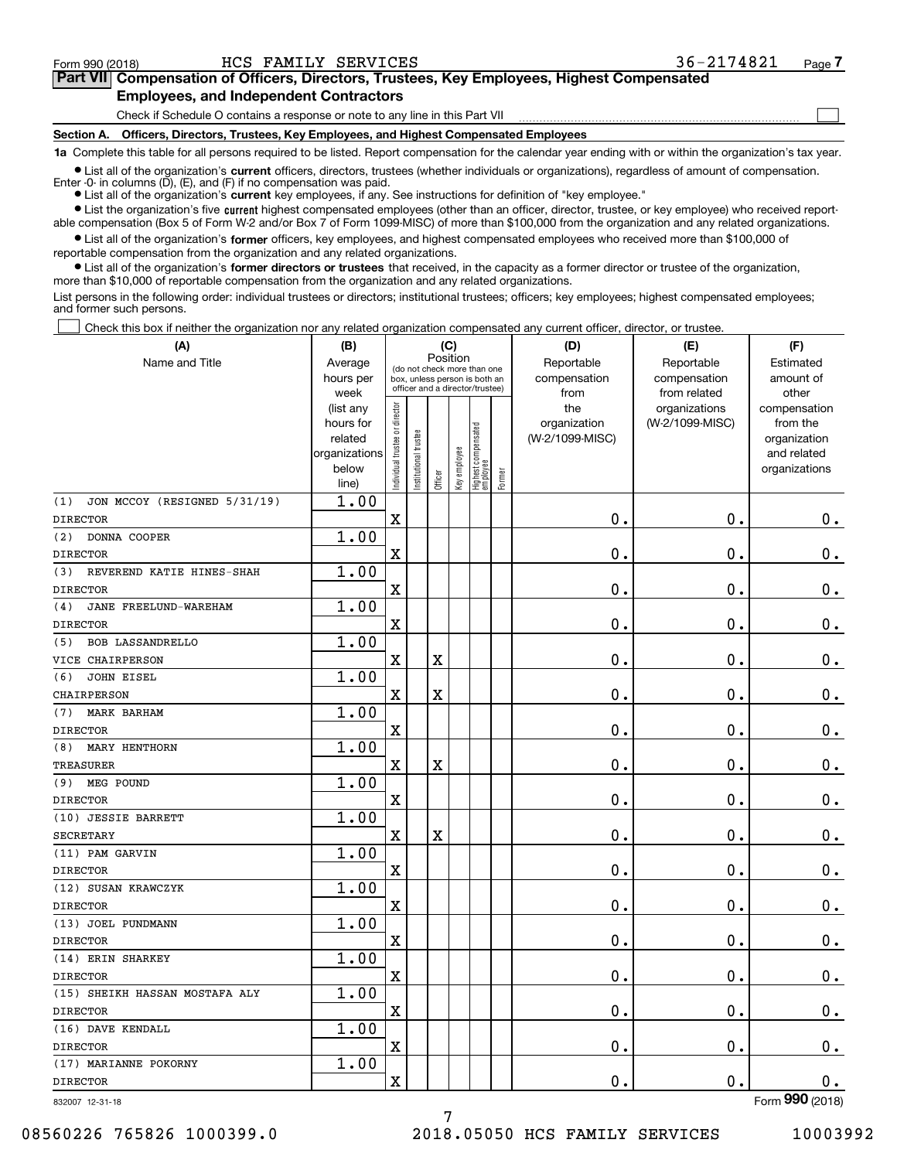$\mathcal{L}^{\text{max}}$ 

| orm 990 (2018) <sup>.</sup> |                                               | HCS FAMILY SERVICES | 36-2174821                                                                                 | Page / |
|-----------------------------|-----------------------------------------------|---------------------|--------------------------------------------------------------------------------------------|--------|
|                             |                                               |                     | Part VII Compensation of Officers, Directors, Trustees, Key Employees, Highest Compensated |        |
|                             | <b>Employees, and Independent Contractors</b> |                     |                                                                                            |        |

Check if Schedule O contains a response or note to any line in this Part VII

**Section A. Officers, Directors, Trustees, Key Employees, and Highest Compensated Employees**

**1a**  Complete this table for all persons required to be listed. Report compensation for the calendar year ending with or within the organization's tax year.

**•** List all of the organization's current officers, directors, trustees (whether individuals or organizations), regardless of amount of compensation. Enter -0- in columns  $(D)$ ,  $(E)$ , and  $(F)$  if no compensation was paid.

● List all of the organization's **current** key employees, if any. See instructions for definition of "key employee."

**•** List the organization's five current highest compensated employees (other than an officer, director, trustee, or key employee) who received reportable compensation (Box 5 of Form W-2 and/or Box 7 of Form 1099-MISC) of more than \$100,000 from the organization and any related organizations.

 $\bullet$  List all of the organization's **former** officers, key employees, and highest compensated employees who received more than \$100,000 of reportable compensation from the organization and any related organizations.

**•** List all of the organization's former directors or trustees that received, in the capacity as a former director or trustee of the organization, more than \$10,000 of reportable compensation from the organization and any related organizations.

List persons in the following order: individual trustees or directors; institutional trustees; officers; key employees; highest compensated employees; and former such persons.

Check this box if neither the organization nor any related organization compensated any current officer, director, or trustee.  $\mathcal{L}^{\text{max}}$ 

| (A)                                 | (C)<br>(B)             |                                |                                         |                         |              |                                                                  |            | (D)             | (E)                              | (F)                      |
|-------------------------------------|------------------------|--------------------------------|-----------------------------------------|-------------------------|--------------|------------------------------------------------------------------|------------|-----------------|----------------------------------|--------------------------|
| Name and Title                      | Average                |                                | Position<br>(do not check more than one |                         |              |                                                                  | Reportable | Reportable      | Estimated                        |                          |
|                                     | hours per              |                                |                                         |                         |              | box, unless person is both an<br>officer and a director/trustee) |            | compensation    | compensation                     | amount of                |
|                                     | week                   |                                |                                         |                         |              |                                                                  |            | from<br>the     | from related                     | other                    |
|                                     | (list any<br>hours for |                                |                                         |                         |              |                                                                  |            | organization    | organizations<br>(W-2/1099-MISC) | compensation<br>from the |
|                                     | related                |                                |                                         |                         |              |                                                                  |            | (W-2/1099-MISC) |                                  | organization             |
|                                     | organizations          |                                |                                         |                         |              |                                                                  |            |                 |                                  | and related              |
|                                     | below                  | Individual trustee or director | Institutional trustee                   |                         | Key employee | Highest compensated<br> employee                                 |            |                 |                                  | organizations            |
|                                     | line)                  |                                |                                         | Officer                 |              |                                                                  | Former     |                 |                                  |                          |
| JON MCCOY (RESIGNED 5/31/19)<br>(1) | 1.00                   |                                |                                         |                         |              |                                                                  |            |                 |                                  |                          |
| <b>DIRECTOR</b>                     |                        | $\overline{\textbf{X}}$        |                                         |                         |              |                                                                  |            | 0.              | 0.                               | $0_{.}$                  |
| (2)<br>DONNA COOPER                 | 1.00                   |                                |                                         |                         |              |                                                                  |            |                 |                                  |                          |
| <b>DIRECTOR</b>                     |                        | $\mathbf X$                    |                                         |                         |              |                                                                  |            | 0.              | 0.                               | $\mathbf 0$ .            |
| REVEREND KATIE HINES-SHAH<br>(3)    | 1.00                   |                                |                                         |                         |              |                                                                  |            |                 |                                  |                          |
| <b>DIRECTOR</b>                     |                        | $\rm X$                        |                                         |                         |              |                                                                  |            | $\mathbf 0$ .   | $\mathbf 0$ .                    | $\mathbf 0$ .            |
| JANE FREELUND-WAREHAM<br>(4)        | 1.00                   |                                |                                         |                         |              |                                                                  |            |                 |                                  |                          |
| <b>DIRECTOR</b>                     |                        | X                              |                                         |                         |              |                                                                  |            | 0.              | 0.                               | $\mathbf 0$ .            |
| <b>BOB LASSANDRELLO</b><br>(5)      | 1.00                   |                                |                                         |                         |              |                                                                  |            |                 |                                  |                          |
| VICE CHAIRPERSON                    |                        | $\overline{\mathbf{X}}$        |                                         | $\mathbf X$             |              |                                                                  |            | 0.              | 0.                               | $\mathbf 0$ .            |
| (6)<br><b>JOHN EISEL</b>            | 1.00                   |                                |                                         |                         |              |                                                                  |            |                 |                                  |                          |
| CHAIRPERSON                         |                        | $\overline{\mathbf{X}}$        |                                         | $\mathbf X$             |              |                                                                  |            | $\mathbf 0$ .   | $\mathbf 0$ .                    | 0.                       |
| MARK BARHAM<br>(7)                  | 1.00                   |                                |                                         |                         |              |                                                                  |            |                 |                                  |                          |
| <b>DIRECTOR</b>                     |                        | $\overline{\text{X}}$          |                                         |                         |              |                                                                  |            | $\mathbf 0$ .   | $\mathbf 0$ .                    | $0_{.}$                  |
| MARY HENTHORN<br>(8)                | 1.00                   |                                |                                         |                         |              |                                                                  |            |                 |                                  |                          |
| <b>TREASURER</b>                    |                        | $\overline{\textbf{X}}$        |                                         | $\overline{\textbf{X}}$ |              |                                                                  |            | 0.              | $\mathbf 0$ .                    | $\mathbf 0$ .            |
| MEG POUND<br>(9)                    | 1.00                   |                                |                                         |                         |              |                                                                  |            |                 |                                  |                          |
| <b>DIRECTOR</b>                     |                        | X                              |                                         |                         |              |                                                                  |            | 0.              | 0.                               | 0.                       |
| (10) JESSIE BARRETT                 | 1.00                   |                                |                                         |                         |              |                                                                  |            |                 |                                  |                          |
| SECRETARY                           |                        | $\overline{\text{X}}$          |                                         | $\mathbf X$             |              |                                                                  |            | 0.              | 0.                               | 0.                       |
| (11) PAM GARVIN                     | 1.00                   |                                |                                         |                         |              |                                                                  |            |                 |                                  |                          |
| <b>DIRECTOR</b>                     |                        | $\overline{\mathbf{X}}$        |                                         |                         |              |                                                                  |            | 0.              | 0.                               | 0.                       |
| (12) SUSAN KRAWCZYK                 | 1.00                   |                                |                                         |                         |              |                                                                  |            |                 |                                  |                          |
| <b>DIRECTOR</b>                     |                        | $\overline{\text{X}}$          |                                         |                         |              |                                                                  |            | 0.              | 0.                               | 0.                       |
| (13) JOEL PUNDMANN                  | 1.00                   |                                |                                         |                         |              |                                                                  |            |                 |                                  |                          |
| <b>DIRECTOR</b>                     |                        | X                              |                                         |                         |              |                                                                  |            | 0.              | 0.                               | $\mathbf 0$ .            |
| (14) ERIN SHARKEY                   | 1.00                   |                                |                                         |                         |              |                                                                  |            |                 |                                  |                          |
| <b>DIRECTOR</b>                     |                        | $\overline{\text{X}}$          |                                         |                         |              |                                                                  |            | $\mathbf 0$ .   | $\mathbf 0$ .                    | $0$ .                    |
| (15) SHEIKH HASSAN MOSTAFA ALY      | 1.00                   |                                |                                         |                         |              |                                                                  |            |                 |                                  |                          |
| <b>DIRECTOR</b>                     |                        | $\mathbf X$                    |                                         |                         |              |                                                                  |            | 0.              | 0.                               | $\mathbf 0$ .            |
| (16) DAVE KENDALL                   | 1.00                   |                                |                                         |                         |              |                                                                  |            |                 |                                  |                          |
| <b>DIRECTOR</b>                     |                        | $\rm X$                        |                                         |                         |              |                                                                  |            | 0.              | $\mathbf 0$ .                    | 0.                       |
| (17) MARIANNE POKORNY               | 1.00                   |                                |                                         |                         |              |                                                                  |            |                 |                                  |                          |
| <b>DIRECTOR</b>                     |                        | $\overline{\mathbf{X}}$        |                                         |                         |              |                                                                  |            | 0.              | $\mathbf 0$ .                    | 0.<br>$\overline{2}$     |

7

832007 12-31-18

Form (2018) **990**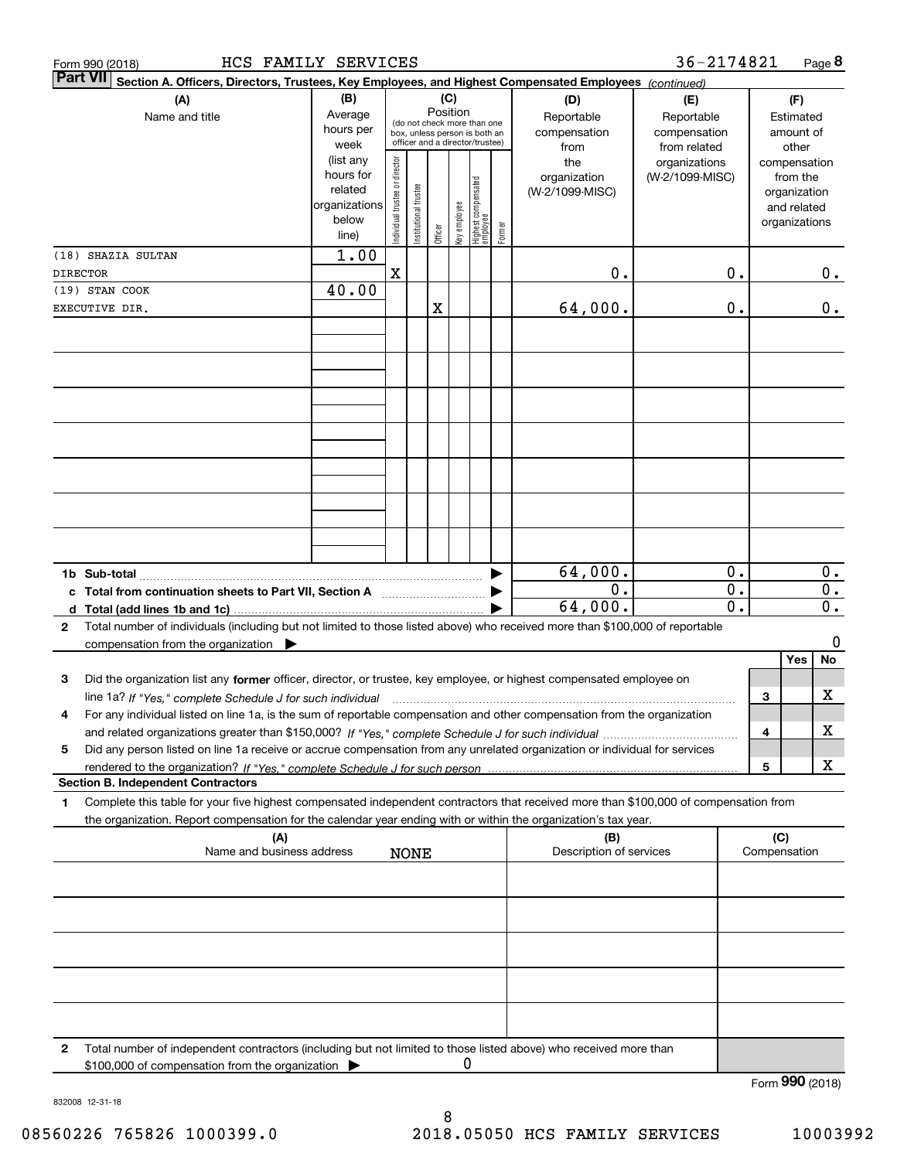| HCS FAMILY SERVICES<br>Form 990 (2018)                                                                                                                                                                                                                      |                                                                      |                                                                                                                    |                       |         |              |                                   |        |                                           | 36-2174821                                        |                  |                                        |                                                                          | Page 8 |
|-------------------------------------------------------------------------------------------------------------------------------------------------------------------------------------------------------------------------------------------------------------|----------------------------------------------------------------------|--------------------------------------------------------------------------------------------------------------------|-----------------------|---------|--------------|-----------------------------------|--------|-------------------------------------------|---------------------------------------------------|------------------|----------------------------------------|--------------------------------------------------------------------------|--------|
| <b>Part VII</b><br>Section A. Officers, Directors, Trustees, Key Employees, and Highest Compensated Employees (continued)                                                                                                                                   |                                                                      |                                                                                                                    |                       |         |              |                                   |        |                                           |                                                   |                  |                                        |                                                                          |        |
| (A)<br>Name and title                                                                                                                                                                                                                                       | (B)<br>Average<br>hours per<br>week                                  | (C)<br>Position<br>(do not check more than one<br>box, unless person is both an<br>officer and a director/trustee) |                       |         |              |                                   |        | (D)<br>Reportable<br>compensation<br>from | (E)<br>Reportable<br>compensation<br>from related |                  | (F)<br>Estimated<br>amount of<br>other |                                                                          |        |
|                                                                                                                                                                                                                                                             | (list any<br>hours for<br>related<br>organizations<br>below<br>line) | Individual trustee or director                                                                                     | Institutional trustee | Officer | Key employee | Highest compensated<br>  employee | Former | the<br>organization<br>(W-2/1099-MISC)    | organizations<br>(W-2/1099-MISC)                  |                  |                                        | compensation<br>from the<br>organization<br>and related<br>organizations |        |
| (18) SHAZIA SULTAN<br><b>DIRECTOR</b>                                                                                                                                                                                                                       | 1.00                                                                 | $\mathbf X$                                                                                                        |                       |         |              |                                   |        | 0.                                        |                                                   | 0.               |                                        |                                                                          | $0$ .  |
| (19) STAN COOK                                                                                                                                                                                                                                              | 40.00                                                                |                                                                                                                    |                       |         |              |                                   |        |                                           |                                                   |                  |                                        |                                                                          |        |
| EXECUTIVE DIR.                                                                                                                                                                                                                                              |                                                                      |                                                                                                                    |                       | X       |              |                                   |        | 64,000.                                   |                                                   | 0.               |                                        |                                                                          | 0.     |
|                                                                                                                                                                                                                                                             |                                                                      |                                                                                                                    |                       |         |              |                                   |        |                                           |                                                   |                  |                                        |                                                                          |        |
|                                                                                                                                                                                                                                                             |                                                                      |                                                                                                                    |                       |         |              |                                   |        |                                           |                                                   |                  |                                        |                                                                          |        |
|                                                                                                                                                                                                                                                             |                                                                      |                                                                                                                    |                       |         |              |                                   |        |                                           |                                                   |                  |                                        |                                                                          |        |
|                                                                                                                                                                                                                                                             |                                                                      |                                                                                                                    |                       |         |              |                                   |        |                                           |                                                   |                  |                                        |                                                                          |        |
|                                                                                                                                                                                                                                                             |                                                                      |                                                                                                                    |                       |         |              |                                   |        |                                           |                                                   |                  |                                        |                                                                          |        |
|                                                                                                                                                                                                                                                             |                                                                      |                                                                                                                    |                       |         |              |                                   |        |                                           |                                                   |                  |                                        |                                                                          |        |
|                                                                                                                                                                                                                                                             |                                                                      |                                                                                                                    |                       |         |              |                                   |        |                                           |                                                   |                  |                                        |                                                                          |        |
|                                                                                                                                                                                                                                                             |                                                                      |                                                                                                                    |                       |         |              |                                   |        |                                           |                                                   |                  |                                        |                                                                          |        |
|                                                                                                                                                                                                                                                             |                                                                      |                                                                                                                    |                       |         |              |                                   |        |                                           |                                                   |                  |                                        |                                                                          |        |
|                                                                                                                                                                                                                                                             |                                                                      |                                                                                                                    |                       |         |              |                                   |        |                                           |                                                   |                  |                                        |                                                                          |        |
|                                                                                                                                                                                                                                                             |                                                                      |                                                                                                                    |                       |         |              |                                   |        |                                           |                                                   |                  |                                        |                                                                          |        |
|                                                                                                                                                                                                                                                             |                                                                      |                                                                                                                    |                       |         |              |                                   |        |                                           |                                                   |                  |                                        |                                                                          |        |
|                                                                                                                                                                                                                                                             |                                                                      |                                                                                                                    |                       |         |              |                                   |        |                                           |                                                   |                  |                                        |                                                                          |        |
|                                                                                                                                                                                                                                                             |                                                                      |                                                                                                                    |                       |         |              |                                   |        | 64,000.                                   |                                                   | 0.               |                                        |                                                                          | 0.     |
| c Total from continuation sheets to Part VII, Section A                                                                                                                                                                                                     |                                                                      |                                                                                                                    |                       |         |              |                                   |        | 0.                                        |                                                   | $\overline{0}$ . |                                        |                                                                          | 0.     |
|                                                                                                                                                                                                                                                             |                                                                      |                                                                                                                    |                       |         |              |                                   |        | 64,000.                                   |                                                   | 0.               |                                        |                                                                          | $0$ .  |
| Total number of individuals (including but not limited to those listed above) who received more than \$100,000 of reportable<br>2                                                                                                                           |                                                                      |                                                                                                                    |                       |         |              |                                   |        |                                           |                                                   |                  |                                        |                                                                          | 0      |
| compensation from the organization $\blacktriangleright$                                                                                                                                                                                                    |                                                                      |                                                                                                                    |                       |         |              |                                   |        |                                           |                                                   |                  |                                        | Yes                                                                      | No     |
| Did the organization list any former officer, director, or trustee, key employee, or highest compensated employee on<br>3                                                                                                                                   |                                                                      |                                                                                                                    |                       |         |              |                                   |        |                                           |                                                   |                  |                                        |                                                                          |        |
| line 1a? If "Yes," complete Schedule J for such individual manufactured contained and the line 1a? If "Yes," complete Schedule J for such individual                                                                                                        |                                                                      |                                                                                                                    |                       |         |              |                                   |        |                                           |                                                   |                  | 3                                      |                                                                          | х      |
| For any individual listed on line 1a, is the sum of reportable compensation and other compensation from the organization                                                                                                                                    |                                                                      |                                                                                                                    |                       |         |              |                                   |        |                                           |                                                   |                  |                                        |                                                                          |        |
|                                                                                                                                                                                                                                                             |                                                                      |                                                                                                                    |                       |         |              |                                   |        |                                           |                                                   |                  | 4                                      |                                                                          | x      |
| Did any person listed on line 1a receive or accrue compensation from any unrelated organization or individual for services<br>5                                                                                                                             |                                                                      |                                                                                                                    |                       |         |              |                                   |        |                                           |                                                   |                  |                                        |                                                                          |        |
|                                                                                                                                                                                                                                                             |                                                                      |                                                                                                                    |                       |         |              |                                   |        |                                           |                                                   |                  | 5                                      |                                                                          | х      |
| <b>Section B. Independent Contractors</b>                                                                                                                                                                                                                   |                                                                      |                                                                                                                    |                       |         |              |                                   |        |                                           |                                                   |                  |                                        |                                                                          |        |
| Complete this table for your five highest compensated independent contractors that received more than \$100,000 of compensation from<br>1<br>the organization. Report compensation for the calendar year ending with or within the organization's tax year. |                                                                      |                                                                                                                    |                       |         |              |                                   |        |                                           |                                                   |                  |                                        |                                                                          |        |
| (A)                                                                                                                                                                                                                                                         |                                                                      |                                                                                                                    |                       |         |              |                                   |        | (B)                                       |                                                   |                  | (C)                                    |                                                                          |        |
| Name and business address                                                                                                                                                                                                                                   |                                                                      |                                                                                                                    | <b>NONE</b>           |         |              |                                   |        | Description of services                   |                                                   |                  | Compensation                           |                                                                          |        |
|                                                                                                                                                                                                                                                             |                                                                      |                                                                                                                    |                       |         |              |                                   |        |                                           |                                                   |                  |                                        |                                                                          |        |
|                                                                                                                                                                                                                                                             |                                                                      |                                                                                                                    |                       |         |              |                                   |        |                                           |                                                   |                  |                                        |                                                                          |        |
|                                                                                                                                                                                                                                                             |                                                                      |                                                                                                                    |                       |         |              |                                   |        |                                           |                                                   |                  |                                        |                                                                          |        |
|                                                                                                                                                                                                                                                             |                                                                      |                                                                                                                    |                       |         |              |                                   |        |                                           |                                                   |                  |                                        |                                                                          |        |
|                                                                                                                                                                                                                                                             |                                                                      |                                                                                                                    |                       |         |              |                                   |        |                                           |                                                   |                  |                                        |                                                                          |        |
|                                                                                                                                                                                                                                                             |                                                                      |                                                                                                                    |                       |         |              |                                   |        |                                           |                                                   |                  |                                        |                                                                          |        |
|                                                                                                                                                                                                                                                             |                                                                      |                                                                                                                    |                       |         |              |                                   |        |                                           |                                                   |                  |                                        |                                                                          |        |
|                                                                                                                                                                                                                                                             |                                                                      |                                                                                                                    |                       |         |              |                                   |        |                                           |                                                   |                  |                                        |                                                                          |        |
|                                                                                                                                                                                                                                                             |                                                                      |                                                                                                                    |                       |         |              |                                   |        |                                           |                                                   |                  |                                        |                                                                          |        |
| Total number of independent contractors (including but not limited to those listed above) who received more than<br>2                                                                                                                                       |                                                                      |                                                                                                                    |                       |         |              |                                   |        |                                           |                                                   |                  |                                        |                                                                          |        |
| \$100,000 of compensation from the organization                                                                                                                                                                                                             |                                                                      |                                                                                                                    |                       |         | 0            |                                   |        |                                           |                                                   |                  |                                        |                                                                          |        |
|                                                                                                                                                                                                                                                             |                                                                      |                                                                                                                    |                       |         |              |                                   |        |                                           |                                                   |                  | Form 990 (2018)                        |                                                                          |        |

832008 12-31-18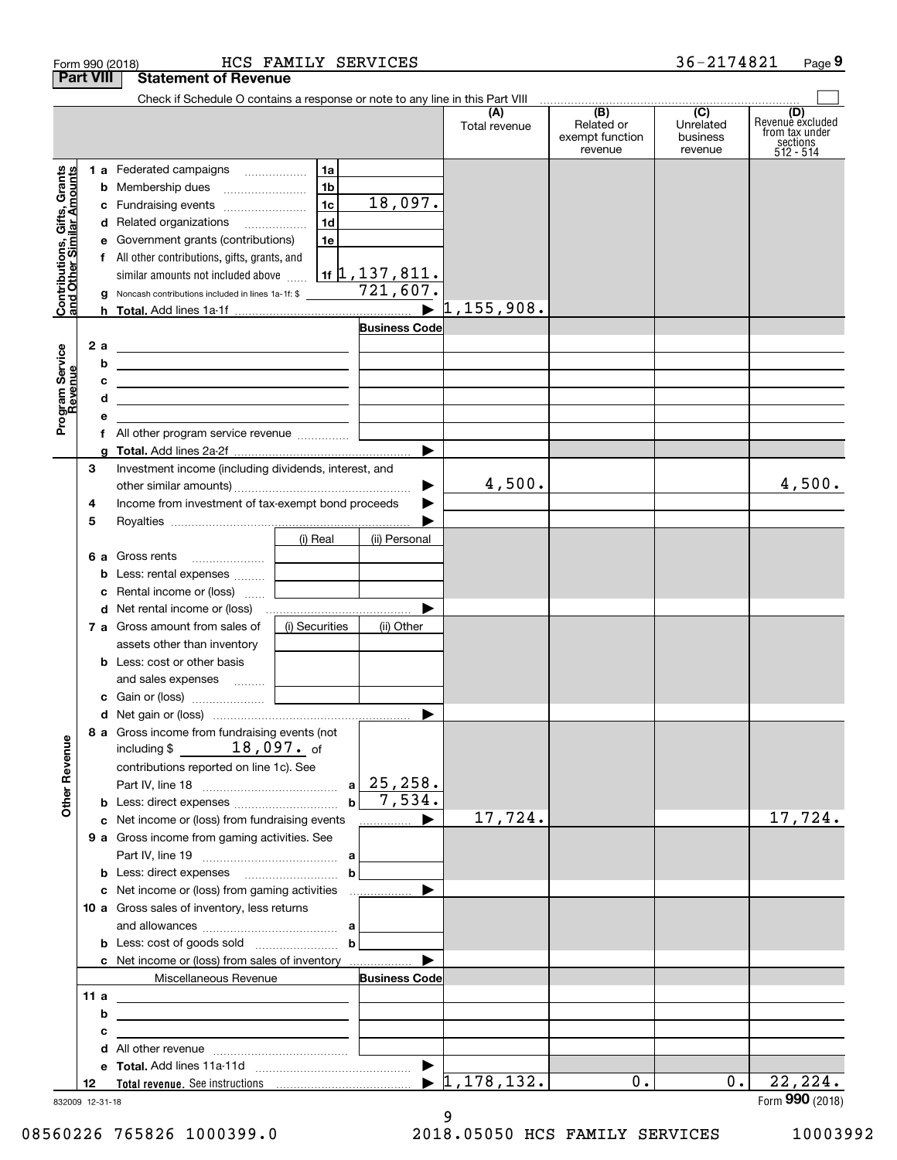|                                                           | <b>Part VIII</b> | <b>Statement of Revenue</b>                                                                                                                                                                                                                                                                                         |                                                        |                                             |                                  |                                                 |                                         |                                                               |
|-----------------------------------------------------------|------------------|---------------------------------------------------------------------------------------------------------------------------------------------------------------------------------------------------------------------------------------------------------------------------------------------------------------------|--------------------------------------------------------|---------------------------------------------|----------------------------------|-------------------------------------------------|-----------------------------------------|---------------------------------------------------------------|
|                                                           |                  | Check if Schedule O contains a response or note to any line in this Part VIII                                                                                                                                                                                                                                       |                                                        |                                             |                                  |                                                 |                                         |                                                               |
|                                                           |                  |                                                                                                                                                                                                                                                                                                                     |                                                        |                                             | (A)<br>Total revenue             | (B)<br>Related or<br>exempt function<br>revenue | (C)<br>Unrelated<br>business<br>revenue | Revenue excluded<br>from tax under<br>sections<br>$512 - 514$ |
| Contributions, Gifts, Grants<br>and Other Similar Amounts |                  | 1 a Federated campaigns<br>c Fundraising events<br>d Related organizations<br>e Government grants (contributions)<br>f All other contributions, gifts, grants, and<br>similar amounts not included above $\frac{1}{16}$ 11 $\frac{1}{16}$ , 137, 811.<br><b>g</b> Noncash contributions included in lines 1a-1f: \$ | 1a  <br>1 <sub>b</sub><br> 1c <br>1 <sub>d</sub><br>1e | 18,097.<br>721,607.<br><b>Business Code</b> | $\blacktriangleright$ 1,155,908. |                                                 |                                         |                                                               |
|                                                           | 2a               | <u> Alexandria (Alexandria de Alexandria de Alexandria de Alexandria de Alexandria de Alexandria de Alexandria d</u>                                                                                                                                                                                                |                                                        |                                             |                                  |                                                 |                                         |                                                               |
|                                                           | b                | <u> 1989 - Johann Barn, mars ann an t-Amhainn an t-Amhainn an t-Amhainn an t-Amhainn an t-Amhainn an t-Amhainn an </u>                                                                                                                                                                                              |                                                        |                                             |                                  |                                                 |                                         |                                                               |
|                                                           | с                | the control of the control of the control of the control of the control of the control of                                                                                                                                                                                                                           |                                                        |                                             |                                  |                                                 |                                         |                                                               |
|                                                           | d                | the control of the control of the control of the control of the control of the control of                                                                                                                                                                                                                           |                                                        |                                             |                                  |                                                 |                                         |                                                               |
| Program Service<br>Revenue                                | е                |                                                                                                                                                                                                                                                                                                                     |                                                        |                                             |                                  |                                                 |                                         |                                                               |
|                                                           |                  |                                                                                                                                                                                                                                                                                                                     |                                                        |                                             |                                  |                                                 |                                         |                                                               |
|                                                           | 3<br>4<br>5      | Investment income (including dividends, interest, and<br>Income from investment of tax-exempt bond proceeds                                                                                                                                                                                                         |                                                        | ▶                                           | 4,500.                           |                                                 |                                         | 4,500.                                                        |
|                                                           |                  |                                                                                                                                                                                                                                                                                                                     | (i) Real                                               | (ii) Personal                               |                                  |                                                 |                                         |                                                               |
|                                                           |                  | <b>6 a</b> Gross rents<br><b>b</b> Less: rental expenses                                                                                                                                                                                                                                                            |                                                        |                                             |                                  |                                                 |                                         |                                                               |
|                                                           |                  | c Rental income or (loss)                                                                                                                                                                                                                                                                                           |                                                        |                                             |                                  |                                                 |                                         |                                                               |
|                                                           |                  | (i) Securities<br>7 a Gross amount from sales of                                                                                                                                                                                                                                                                    |                                                        | (ii) Other                                  |                                  |                                                 |                                         |                                                               |
|                                                           |                  | assets other than inventory                                                                                                                                                                                                                                                                                         |                                                        |                                             |                                  |                                                 |                                         |                                                               |
|                                                           |                  | <b>b</b> Less: cost or other basis<br>and sales expenses                                                                                                                                                                                                                                                            |                                                        |                                             |                                  |                                                 |                                         |                                                               |
|                                                           |                  |                                                                                                                                                                                                                                                                                                                     |                                                        |                                             |                                  |                                                 |                                         |                                                               |
|                                                           |                  |                                                                                                                                                                                                                                                                                                                     |                                                        | $\blacktriangleright$                       |                                  |                                                 |                                         |                                                               |
| <b>Other Revenue</b>                                      |                  | 8 a Gross income from fundraising events (not<br>$18$ ,097. $_{\rm of}$<br>including $$$<br>contributions reported on line 1c). See                                                                                                                                                                                 |                                                        | 7,534.                                      |                                  |                                                 |                                         |                                                               |
|                                                           |                  |                                                                                                                                                                                                                                                                                                                     | $\mathbf{b}$                                           |                                             | 17,724.                          |                                                 |                                         | 17,724.                                                       |
|                                                           |                  | c Net income or (loss) from fundraising events<br>9 a Gross income from gaming activities. See                                                                                                                                                                                                                      |                                                        |                                             |                                  |                                                 |                                         |                                                               |
|                                                           |                  |                                                                                                                                                                                                                                                                                                                     |                                                        |                                             |                                  |                                                 |                                         |                                                               |
|                                                           |                  |                                                                                                                                                                                                                                                                                                                     |                                                        |                                             |                                  |                                                 |                                         |                                                               |
|                                                           |                  | c Net income or (loss) from gaming activities                                                                                                                                                                                                                                                                       |                                                        |                                             |                                  |                                                 |                                         |                                                               |
|                                                           |                  | 10 a Gross sales of inventory, less returns                                                                                                                                                                                                                                                                         |                                                        |                                             |                                  |                                                 |                                         |                                                               |
|                                                           |                  | <b>b</b> Less: cost of goods sold $\begin{bmatrix} b & b \end{bmatrix}$                                                                                                                                                                                                                                             |                                                        |                                             |                                  |                                                 |                                         |                                                               |
|                                                           |                  | <b>c</b> Net income or (loss) from sales of inventory                                                                                                                                                                                                                                                               |                                                        |                                             |                                  |                                                 |                                         |                                                               |
|                                                           |                  | Miscellaneous Revenue                                                                                                                                                                                                                                                                                               |                                                        | <b>Business Code</b>                        |                                  |                                                 |                                         |                                                               |
|                                                           | 11a              | <u> 1989 - Johann Barn, mars ann an t-Amhain ann an t-Amhain an t-Amhain an t-Amhain an t-Amhain an t-Amhain an t-</u>                                                                                                                                                                                              |                                                        |                                             |                                  |                                                 |                                         |                                                               |
|                                                           | b                | <u> 1989 - Johann Harry Harry Harry Harry Harry Harry Harry Harry Harry Harry Harry Harry Harry Harry Harry Harry</u>                                                                                                                                                                                               |                                                        |                                             |                                  |                                                 |                                         |                                                               |
|                                                           | с                | <u> 1989 - Johann Stein, marwolaethau a bhann an t-Amhair an t-Amhair an t-Amhair an t-Amhair an t-Amhair an t-A</u>                                                                                                                                                                                                |                                                        |                                             |                                  |                                                 |                                         |                                                               |
|                                                           |                  |                                                                                                                                                                                                                                                                                                                     |                                                        |                                             |                                  |                                                 |                                         |                                                               |
|                                                           |                  |                                                                                                                                                                                                                                                                                                                     |                                                        |                                             | $\blacktriangleright$ 1,178,132. | 0.                                              | 0.                                      | 22,224.                                                       |
| 832009 12-31-18                                           | 12               |                                                                                                                                                                                                                                                                                                                     |                                                        |                                             |                                  |                                                 |                                         | Form 990 (2018)                                               |

832009 12-31-18

Form 990 (2018) HCS FAMILY SERVICES 36-2174821 Page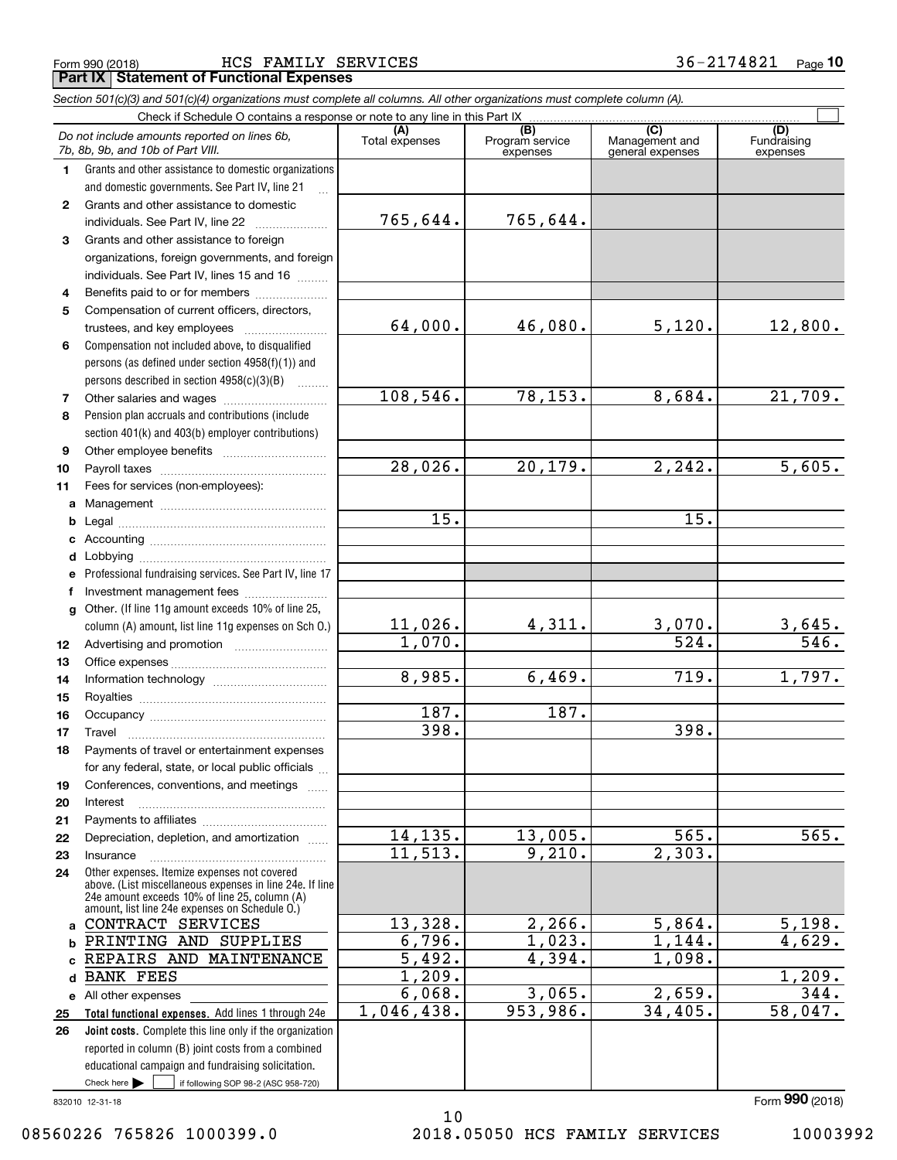Form 990 (2018) Page HCS FAMILY SERVICES 36-2174821 **Part IX Statement of Functional Expenses**

|                  | Section 501(c)(3) and 501(c)(4) organizations must complete all columns. All other organizations must complete column (A).                                                                                  |                       |                                    |                                           |                                |
|------------------|-------------------------------------------------------------------------------------------------------------------------------------------------------------------------------------------------------------|-----------------------|------------------------------------|-------------------------------------------|--------------------------------|
|                  |                                                                                                                                                                                                             |                       |                                    |                                           |                                |
|                  | Do not include amounts reported on lines 6b,<br>7b, 8b, 9b, and 10b of Part VIII.                                                                                                                           | Total expenses        | (B)<br>Program service<br>expenses | (C)<br>Management and<br>general expenses | (D)<br>Fundraising<br>expenses |
| 1.               | Grants and other assistance to domestic organizations                                                                                                                                                       |                       |                                    |                                           |                                |
|                  | and domestic governments. See Part IV, line 21                                                                                                                                                              |                       |                                    |                                           |                                |
| $\mathbf{2}$     | Grants and other assistance to domestic                                                                                                                                                                     |                       |                                    |                                           |                                |
|                  | individuals. See Part IV, line 22                                                                                                                                                                           | 765,644.              | 765,644.                           |                                           |                                |
| 3                | Grants and other assistance to foreign                                                                                                                                                                      |                       |                                    |                                           |                                |
|                  | organizations, foreign governments, and foreign                                                                                                                                                             |                       |                                    |                                           |                                |
|                  | individuals. See Part IV, lines 15 and 16                                                                                                                                                                   |                       |                                    |                                           |                                |
| 4                | Benefits paid to or for members                                                                                                                                                                             |                       |                                    |                                           |                                |
| 5                | Compensation of current officers, directors,                                                                                                                                                                |                       |                                    |                                           |                                |
|                  |                                                                                                                                                                                                             | 64,000.               | 46,080.                            | 5,120.                                    | 12,800.                        |
| 6                | Compensation not included above, to disqualified                                                                                                                                                            |                       |                                    |                                           |                                |
|                  | persons (as defined under section 4958(f)(1)) and                                                                                                                                                           |                       |                                    |                                           |                                |
|                  | persons described in section 4958(c)(3)(B)                                                                                                                                                                  |                       |                                    |                                           |                                |
| 7                |                                                                                                                                                                                                             | 108,546.              | 78, 153.                           | 8,684.                                    | 21,709.                        |
| 8                | Pension plan accruals and contributions (include                                                                                                                                                            |                       |                                    |                                           |                                |
|                  | section 401(k) and 403(b) employer contributions)                                                                                                                                                           |                       |                                    |                                           |                                |
| 9                |                                                                                                                                                                                                             |                       |                                    |                                           |                                |
| 10               |                                                                                                                                                                                                             | $\overline{28,026}$ . | 20, 179.                           | 2, 242.                                   | 5,605.                         |
| 11               | Fees for services (non-employees):                                                                                                                                                                          |                       |                                    |                                           |                                |
| a                |                                                                                                                                                                                                             |                       |                                    |                                           |                                |
| b                |                                                                                                                                                                                                             | $\overline{15}$ .     |                                    | 15.                                       |                                |
| c                |                                                                                                                                                                                                             |                       |                                    |                                           |                                |
| d                |                                                                                                                                                                                                             |                       |                                    |                                           |                                |
| е                | Professional fundraising services. See Part IV, line 17                                                                                                                                                     |                       |                                    |                                           |                                |
| f                | Investment management fees                                                                                                                                                                                  |                       |                                    |                                           |                                |
| g                | Other. (If line 11g amount exceeds 10% of line 25,                                                                                                                                                          |                       |                                    |                                           |                                |
|                  | column (A) amount, list line 11g expenses on Sch O.)                                                                                                                                                        | 11,026.               | 4,311.                             | $\frac{3,070.524.5}$                      | $\frac{3,645}{546}$            |
| 12 <sup>12</sup> |                                                                                                                                                                                                             | 1,070.                |                                    |                                           |                                |
| 13               |                                                                                                                                                                                                             |                       |                                    |                                           |                                |
| 14               |                                                                                                                                                                                                             | 8,985.                | 6,469.                             | 719.                                      | 1,797.                         |
| 15               |                                                                                                                                                                                                             |                       |                                    |                                           |                                |
| 16               |                                                                                                                                                                                                             | 187.                  | 187.                               |                                           |                                |
| 17               |                                                                                                                                                                                                             | 398.                  |                                    | 398.                                      |                                |
| 18               | Payments of travel or entertainment expenses                                                                                                                                                                |                       |                                    |                                           |                                |
|                  | for any federal, state, or local public officials                                                                                                                                                           |                       |                                    |                                           |                                |
| 19               | Conferences, conventions, and meetings                                                                                                                                                                      |                       |                                    |                                           |                                |
| 20               | Interest                                                                                                                                                                                                    |                       |                                    |                                           |                                |
| 21               |                                                                                                                                                                                                             |                       |                                    |                                           |                                |
| 22               | Depreciation, depletion, and amortization                                                                                                                                                                   | 14, 135.              | 13,005.                            | 565.                                      | 565.                           |
| 23               | Insurance                                                                                                                                                                                                   | 11,513.               | 9,210.                             | 2,303.                                    |                                |
| 24               | Other expenses. Itemize expenses not covered<br>above. (List miscellaneous expenses in line 24e. If line<br>24e amount exceeds 10% of line 25, column (A)<br>amount, list line 24e expenses on Schedule O.) |                       |                                    |                                           |                                |
| a                | CONTRACT SERVICES                                                                                                                                                                                           | 13,328.               | 2, 266.                            | 5,864.                                    | 5,198.                         |
| b                | PRINTING AND SUPPLIES                                                                                                                                                                                       | 6,796.                | 1,023.                             | 1,144.                                    | 4,629.                         |
| C.               | REPAIRS AND MAINTENANCE                                                                                                                                                                                     | $\overline{5,492.}$   | 4,394.                             | 1,098.                                    |                                |
| d                | <b>BANK FEES</b>                                                                                                                                                                                            | 1,209.                |                                    |                                           | 1,209.                         |
|                  | e All other expenses                                                                                                                                                                                        | 6,068.                | 3,065.                             | 2,659.                                    | 344.                           |
| 25               | Total functional expenses. Add lines 1 through 24e                                                                                                                                                          | 1,046,438.            | 953,986.                           | 34,405.                                   | 58,047.                        |
| 26               | Joint costs. Complete this line only if the organization                                                                                                                                                    |                       |                                    |                                           |                                |
|                  | reported in column (B) joint costs from a combined                                                                                                                                                          |                       |                                    |                                           |                                |
|                  | educational campaign and fundraising solicitation.                                                                                                                                                          |                       |                                    |                                           |                                |
|                  | Check here $\blacktriangleright$<br>if following SOP 98-2 (ASC 958-720)                                                                                                                                     |                       |                                    |                                           |                                |

832010 12-31-18

Form (2018) **990**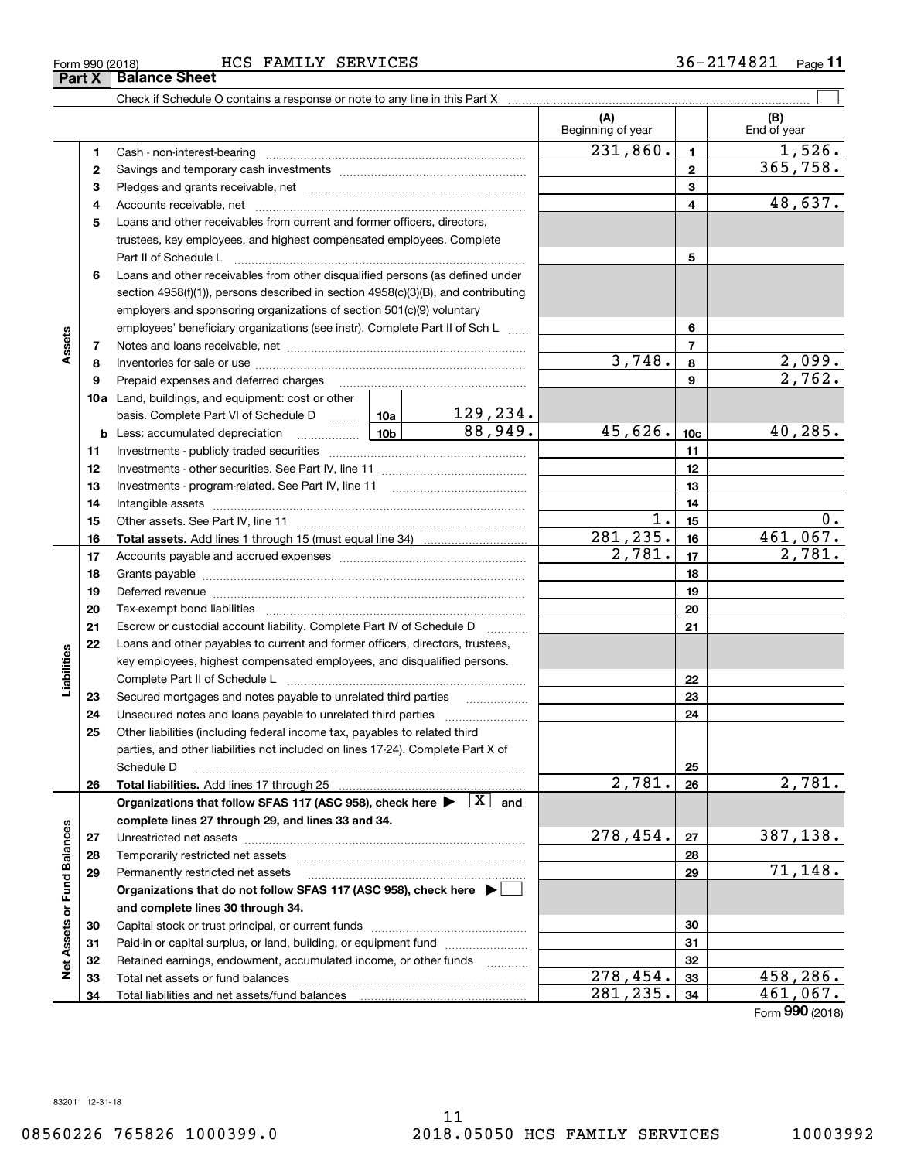#### Form 990 (2018) Page HCS FAMILY SERVICES 36-2174821 **Part X Balance Sheet**

Check if Schedule O contains a response or note to any line in this Part X

|                             |    |                                                                                                                                                                                                                                |    |                            | Beginning of year       |                 | End of year           |
|-----------------------------|----|--------------------------------------------------------------------------------------------------------------------------------------------------------------------------------------------------------------------------------|----|----------------------------|-------------------------|-----------------|-----------------------|
|                             | 1  | Cash - non-interest-bearing                                                                                                                                                                                                    |    |                            | 231,860.                | $\mathbf{1}$    | 1,526.                |
|                             | 2  |                                                                                                                                                                                                                                |    |                            |                         | $\mathbf{2}$    | 365,758.              |
|                             | з  |                                                                                                                                                                                                                                |    |                            |                         | 3               |                       |
|                             | 4  |                                                                                                                                                                                                                                |    |                            |                         | 4               | 48,637.               |
|                             | 5  | Loans and other receivables from current and former officers, directors,                                                                                                                                                       |    |                            |                         |                 |                       |
|                             |    | trustees, key employees, and highest compensated employees. Complete                                                                                                                                                           |    |                            |                         |                 |                       |
|                             |    | Part II of Schedule L                                                                                                                                                                                                          |    |                            |                         | 5               |                       |
|                             | 6  | Loans and other receivables from other disqualified persons (as defined under                                                                                                                                                  |    |                            |                         |                 |                       |
|                             |    | section $4958(f)(1)$ , persons described in section $4958(c)(3)(B)$ , and contributing                                                                                                                                         |    |                            |                         |                 |                       |
|                             |    | employers and sponsoring organizations of section 501(c)(9) voluntary                                                                                                                                                          |    |                            |                         |                 |                       |
| Assets                      |    | employees' beneficiary organizations (see instr). Complete Part II of Sch L                                                                                                                                                    |    | 6                          |                         |                 |                       |
|                             | 7  |                                                                                                                                                                                                                                |    |                            |                         | 7               |                       |
|                             | 8  |                                                                                                                                                                                                                                |    |                            | 3,748.                  | 8               |                       |
|                             | 9  | Prepaid expenses and deferred charges                                                                                                                                                                                          |    |                            |                         | 9               | $\frac{2,099}{2,762}$ |
|                             |    | <b>10a</b> Land, buildings, and equipment: cost or other                                                                                                                                                                       |    |                            |                         |                 |                       |
|                             |    | basis. Complete Part VI of Schedule D  10a                                                                                                                                                                                     |    |                            |                         |                 |                       |
|                             |    | $\boxed{10b}$<br><b>b</b> Less: accumulated depreciation                                                                                                                                                                       |    | $\frac{129,234.}{88,949.}$ | 45,626.                 | 10 <sub>c</sub> | 40,285.               |
|                             | 11 |                                                                                                                                                                                                                                |    |                            | 11                      |                 |                       |
|                             | 12 |                                                                                                                                                                                                                                |    |                            | 12                      |                 |                       |
|                             | 13 |                                                                                                                                                                                                                                |    | 13                         |                         |                 |                       |
|                             | 14 |                                                                                                                                                                                                                                |    | 14                         |                         |                 |                       |
|                             | 15 |                                                                                                                                                                                                                                | 1. | 15                         | $0$ .                   |                 |                       |
|                             | 16 |                                                                                                                                                                                                                                |    |                            | 281, 235.               | 16              | 461,067.              |
|                             | 17 |                                                                                                                                                                                                                                |    |                            | 2,781.                  | 17              | 2,781.                |
|                             | 18 |                                                                                                                                                                                                                                |    | 18                         |                         |                 |                       |
|                             | 19 | Deferred revenue manual contracts and contracts are all the manual contracts and contracts are contracted and contracts are contracted and contract are contracted and contract are contracted and contract are contracted and |    | 19                         |                         |                 |                       |
|                             | 20 |                                                                                                                                                                                                                                |    |                            | 20                      |                 |                       |
|                             | 21 | Escrow or custodial account liability. Complete Part IV of Schedule D                                                                                                                                                          |    | 21                         |                         |                 |                       |
|                             | 22 | Loans and other payables to current and former officers, directors, trustees,                                                                                                                                                  |    |                            |                         |                 |                       |
| Liabilities                 |    | key employees, highest compensated employees, and disqualified persons.                                                                                                                                                        |    |                            |                         |                 |                       |
|                             |    | Complete Part II of Schedule L                                                                                                                                                                                                 |    |                            |                         | 22              |                       |
|                             | 23 | Secured mortgages and notes payable to unrelated third parties                                                                                                                                                                 |    |                            |                         | 23              |                       |
|                             | 24 | Unsecured notes and loans payable to unrelated third parties                                                                                                                                                                   |    |                            |                         | 24              |                       |
|                             | 25 | Other liabilities (including federal income tax, payables to related third                                                                                                                                                     |    |                            |                         |                 |                       |
|                             |    | parties, and other liabilities not included on lines 17-24). Complete Part X of                                                                                                                                                |    |                            |                         |                 |                       |
|                             |    | Schedule D                                                                                                                                                                                                                     |    |                            |                         | 25              |                       |
|                             | 26 |                                                                                                                                                                                                                                |    |                            | 2,781.                  | 26              | 2,781.                |
|                             |    | Organizations that follow SFAS 117 (ASC 958), check here $\blacktriangleright \lfloor X \rfloor$ and                                                                                                                           |    |                            |                         |                 |                       |
|                             |    | complete lines 27 through 29, and lines 33 and 34.                                                                                                                                                                             |    |                            |                         |                 |                       |
|                             | 27 |                                                                                                                                                                                                                                |    |                            | 278,454.                | 27              | 387,138.              |
|                             | 28 | Temporarily restricted net assets                                                                                                                                                                                              |    |                            |                         | 28              |                       |
|                             | 29 | Permanently restricted net assets                                                                                                                                                                                              |    |                            |                         | 29              | 71, 148.              |
|                             |    | Organizations that do not follow SFAS 117 (ASC 958), check here ▶ □                                                                                                                                                            |    |                            |                         |                 |                       |
| Net Assets or Fund Balances |    | and complete lines 30 through 34.                                                                                                                                                                                              |    |                            |                         |                 |                       |
|                             | 30 |                                                                                                                                                                                                                                |    |                            |                         | 30              |                       |
|                             | 31 | Paid-in or capital surplus, or land, building, or equipment fund                                                                                                                                                               |    |                            |                         | 31              |                       |
|                             | 32 | Retained earnings, endowment, accumulated income, or other funds                                                                                                                                                               |    | $\overline{\phantom{a}}$   |                         | 32              |                       |
|                             | 33 |                                                                                                                                                                                                                                |    |                            | $\overline{278, 454}$ . | 33              | 458,286.              |
|                             | 34 |                                                                                                                                                                                                                                |    |                            | 281, 235.               | 34              | 461,067.              |

11

Form (2018) **990**

 $\mathcal{L}^{\text{max}}$ 

**(B)**

**(A)**

832011 12-31-18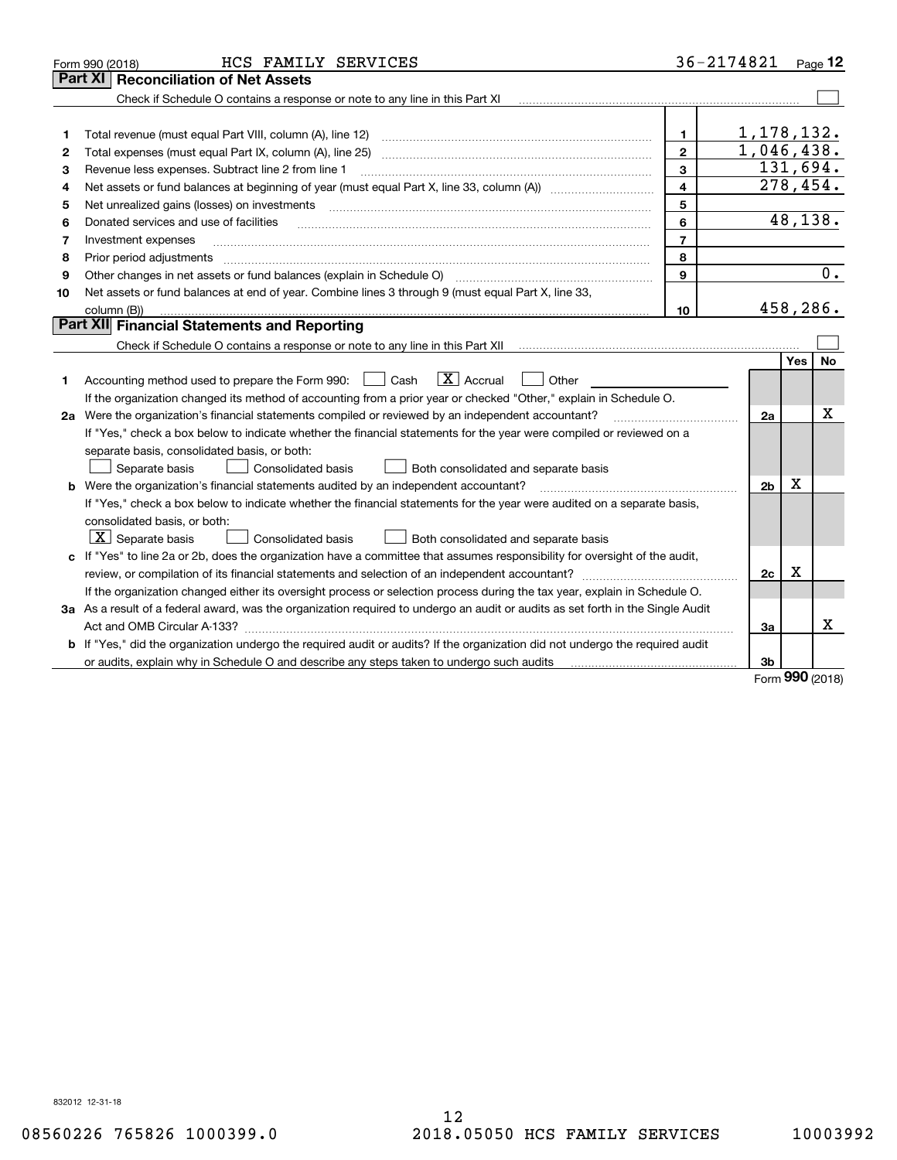|    | HCS FAMILY SERVICES<br>Form 990 (2018)                                                                                                                      |                         | 36-2174821     |     | $_{\text{Page}}$ 12 |
|----|-------------------------------------------------------------------------------------------------------------------------------------------------------------|-------------------------|----------------|-----|---------------------|
|    | <b>Reconciliation of Net Assets</b><br>Part XI                                                                                                              |                         |                |     |                     |
|    | Check if Schedule O contains a response or note to any line in this Part XI                                                                                 |                         |                |     |                     |
|    |                                                                                                                                                             |                         |                |     |                     |
| 1  | Total revenue (must equal Part VIII, column (A), line 12)                                                                                                   | 1                       | 1,178,132.     |     |                     |
| 2  | Total expenses (must equal Part IX, column (A), line 25) maturing content content content content content conte                                             | $\overline{2}$          | 1,046,438.     |     |                     |
| з  | Revenue less expenses. Subtract line 2 from line 1                                                                                                          | 3                       |                |     | 131,694.            |
| 4  |                                                                                                                                                             | $\overline{\mathbf{4}}$ |                |     | 278,454.            |
| 5  | Net unrealized gains (losses) on investments                                                                                                                | 5                       |                |     |                     |
| 6  | Donated services and use of facilities                                                                                                                      | 6                       |                |     | 48, 138.            |
| 7  | Investment expenses                                                                                                                                         | $\overline{7}$          |                |     |                     |
| 8  | Prior period adjustments                                                                                                                                    | 8                       |                |     |                     |
| 9  | Other changes in net assets or fund balances (explain in Schedule O) [11] [12] contraction contracts in net assets or fund balances (explain in Schedule O) | $\mathbf{9}$            |                |     | $\overline{0}$ .    |
| 10 | Net assets or fund balances at end of year. Combine lines 3 through 9 (must equal Part X, line 33,                                                          |                         |                |     |                     |
|    | column (B))                                                                                                                                                 | 10                      |                |     | 458,286.            |
|    | Part XII Financial Statements and Reporting                                                                                                                 |                         |                |     |                     |
|    |                                                                                                                                                             |                         |                |     |                     |
|    |                                                                                                                                                             |                         |                | Yes | No                  |
| 1  | $ X $ Accrual<br>Accounting method used to prepare the Form 990: <u>I</u> Cash<br>Other                                                                     |                         |                |     |                     |
|    | If the organization changed its method of accounting from a prior year or checked "Other," explain in Schedule O.                                           |                         |                |     |                     |
|    | 2a Were the organization's financial statements compiled or reviewed by an independent accountant?                                                          |                         | 2a             |     | x                   |
|    | If "Yes," check a box below to indicate whether the financial statements for the year were compiled or reviewed on a                                        |                         |                |     |                     |
|    | separate basis, consolidated basis, or both:                                                                                                                |                         |                |     |                     |
|    | Separate basis<br>Consolidated basis<br>Both consolidated and separate basis                                                                                |                         |                |     |                     |
|    | <b>b</b> Were the organization's financial statements audited by an independent accountant?                                                                 |                         | 2 <sub>b</sub> | X   |                     |
|    | If "Yes," check a box below to indicate whether the financial statements for the year were audited on a separate basis,                                     |                         |                |     |                     |
|    | consolidated basis, or both:                                                                                                                                |                         |                |     |                     |
|    | $X$ Separate basis<br><b>Consolidated basis</b><br>Both consolidated and separate basis                                                                     |                         |                |     |                     |
| c  | If "Yes" to line 2a or 2b, does the organization have a committee that assumes responsibility for oversight of the audit,                                   |                         |                |     |                     |
|    | review, or compilation of its financial statements and selection of an independent accountant?                                                              |                         | 2c             | х   |                     |
|    | If the organization changed either its oversight process or selection process during the tax year, explain in Schedule O.                                   |                         |                |     |                     |
|    | 3a As a result of a federal award, was the organization required to undergo an audit or audits as set forth in the Single Audit                             |                         |                |     |                     |
|    |                                                                                                                                                             |                         | За             |     | x                   |
| b  | If "Yes," did the organization undergo the required audit or audits? If the organization did not undergo the required audit                                 |                         |                |     |                     |
|    | or audits, explain why in Schedule O and describe any steps taken to undergo such audits                                                                    |                         | 3b             | מהה |                     |

Form (2018) **990**

832012 12-31-18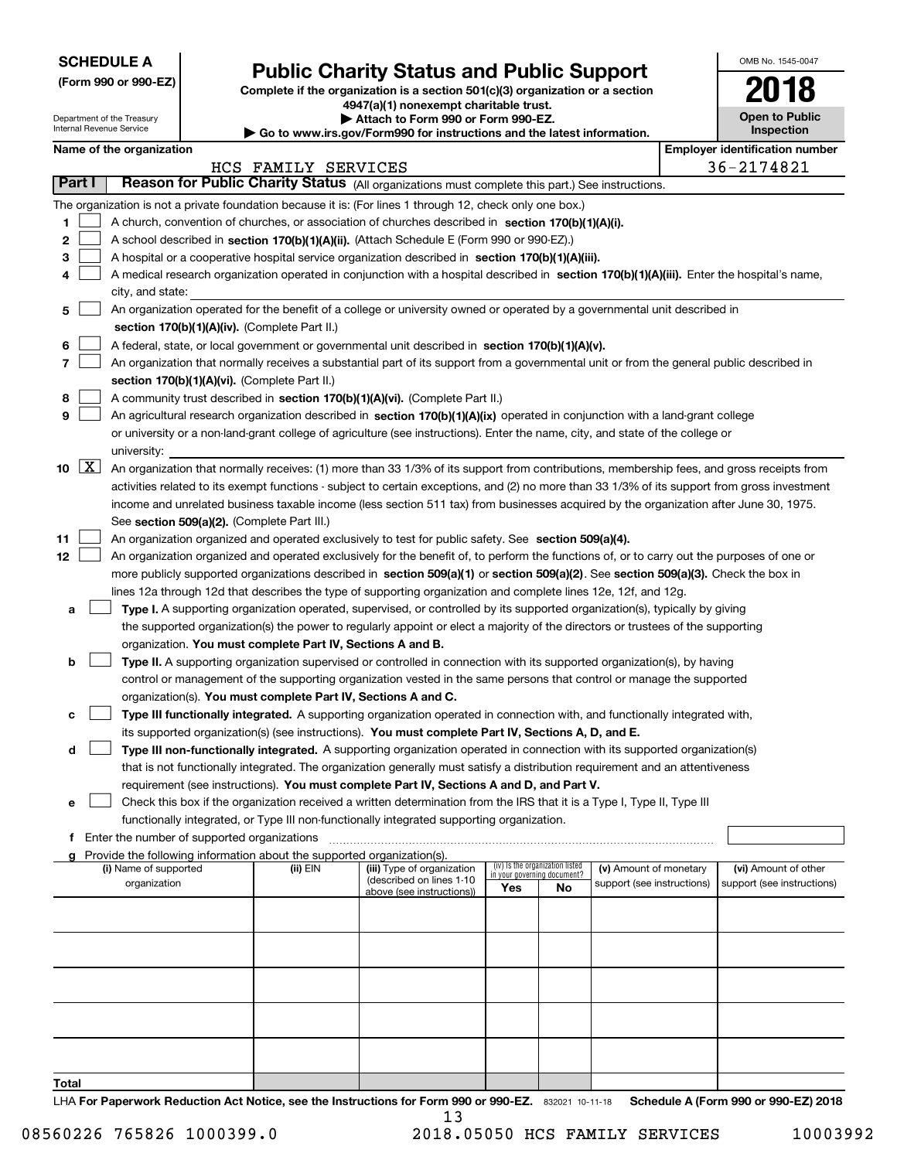| <b>SCHEDULE A</b> |
|-------------------|
|-------------------|

Department of the Treasury Internal Revenue Service

**(Form 990 or 990-EZ)**

# **Public Charity Status and Public Support**

**Complete if the organization is a section 501(c)(3) organization or a section 4947(a)(1) nonexempt charitable trust.**

|                                                                                         | Attach to Form 990 or Form 990-EZ. |  |
|-----------------------------------------------------------------------------------------|------------------------------------|--|
| $\triangleright$ Go to www.irs.gov/Form990 for instructions and the latest information. |                                    |  |

OMB No. 1545-0047

|                      | Name of the organization                                                                                                                                                                                                                                                                                                                                                                                                                                                                          |                     |                            |                             |                                 |                            |  | Employer identification number |  |
|----------------------|---------------------------------------------------------------------------------------------------------------------------------------------------------------------------------------------------------------------------------------------------------------------------------------------------------------------------------------------------------------------------------------------------------------------------------------------------------------------------------------------------|---------------------|----------------------------|-----------------------------|---------------------------------|----------------------------|--|--------------------------------|--|
|                      |                                                                                                                                                                                                                                                                                                                                                                                                                                                                                                   | HCS FAMILY SERVICES |                            |                             |                                 |                            |  | 36-2174821                     |  |
| Part I               | Reason for Public Charity Status (All organizations must complete this part.) See instructions.                                                                                                                                                                                                                                                                                                                                                                                                   |                     |                            |                             |                                 |                            |  |                                |  |
| 1.                   | The organization is not a private foundation because it is: (For lines 1 through 12, check only one box.)<br>A church, convention of churches, or association of churches described in section 170(b)(1)(A)(i).                                                                                                                                                                                                                                                                                   |                     |                            |                             |                                 |                            |  |                                |  |
| 2                    | A school described in section 170(b)(1)(A)(ii). (Attach Schedule E (Form 990 or 990-EZ).)                                                                                                                                                                                                                                                                                                                                                                                                         |                     |                            |                             |                                 |                            |  |                                |  |
| 3                    | A hospital or a cooperative hospital service organization described in section 170(b)(1)(A)(iii).                                                                                                                                                                                                                                                                                                                                                                                                 |                     |                            |                             |                                 |                            |  |                                |  |
| 4                    | A medical research organization operated in conjunction with a hospital described in section 170(b)(1)(A)(iii). Enter the hospital's name,                                                                                                                                                                                                                                                                                                                                                        |                     |                            |                             |                                 |                            |  |                                |  |
|                      | city, and state:                                                                                                                                                                                                                                                                                                                                                                                                                                                                                  |                     |                            |                             |                                 |                            |  |                                |  |
| 5                    | An organization operated for the benefit of a college or university owned or operated by a governmental unit described in<br>section 170(b)(1)(A)(iv). (Complete Part II.)                                                                                                                                                                                                                                                                                                                        |                     |                            |                             |                                 |                            |  |                                |  |
| 6                    | A federal, state, or local government or governmental unit described in section 170(b)(1)(A)(v).                                                                                                                                                                                                                                                                                                                                                                                                  |                     |                            |                             |                                 |                            |  |                                |  |
| 7                    | An organization that normally receives a substantial part of its support from a governmental unit or from the general public described in                                                                                                                                                                                                                                                                                                                                                         |                     |                            |                             |                                 |                            |  |                                |  |
|                      | section 170(b)(1)(A)(vi). (Complete Part II.)                                                                                                                                                                                                                                                                                                                                                                                                                                                     |                     |                            |                             |                                 |                            |  |                                |  |
| 8                    | A community trust described in section 170(b)(1)(A)(vi). (Complete Part II.)                                                                                                                                                                                                                                                                                                                                                                                                                      |                     |                            |                             |                                 |                            |  |                                |  |
| 9                    | An agricultural research organization described in section 170(b)(1)(A)(ix) operated in conjunction with a land-grant college                                                                                                                                                                                                                                                                                                                                                                     |                     |                            |                             |                                 |                            |  |                                |  |
|                      | or university or a non-land-grant college of agriculture (see instructions). Enter the name, city, and state of the college or                                                                                                                                                                                                                                                                                                                                                                    |                     |                            |                             |                                 |                            |  |                                |  |
|                      |                                                                                                                                                                                                                                                                                                                                                                                                                                                                                                   |                     |                            |                             |                                 |                            |  |                                |  |
| $10 \quad \boxed{X}$ | university:<br>An organization that normally receives: (1) more than 33 1/3% of its support from contributions, membership fees, and gross receipts from<br>activities related to its exempt functions - subject to certain exceptions, and (2) no more than 33 1/3% of its support from gross investment<br>income and unrelated business taxable income (less section 511 tax) from businesses acquired by the organization after June 30, 1975.<br>See section 509(a)(2). (Complete Part III.) |                     |                            |                             |                                 |                            |  |                                |  |
| 11                   | An organization organized and operated exclusively to test for public safety. See section 509(a)(4).                                                                                                                                                                                                                                                                                                                                                                                              |                     |                            |                             |                                 |                            |  |                                |  |
| 12                   | An organization organized and operated exclusively for the benefit of, to perform the functions of, or to carry out the purposes of one or                                                                                                                                                                                                                                                                                                                                                        |                     |                            |                             |                                 |                            |  |                                |  |
|                      | more publicly supported organizations described in section 509(a)(1) or section 509(a)(2). See section 509(a)(3). Check the box in                                                                                                                                                                                                                                                                                                                                                                |                     |                            |                             |                                 |                            |  |                                |  |
|                      | lines 12a through 12d that describes the type of supporting organization and complete lines 12e, 12f, and 12g.                                                                                                                                                                                                                                                                                                                                                                                    |                     |                            |                             |                                 |                            |  |                                |  |
| а                    | Type I. A supporting organization operated, supervised, or controlled by its supported organization(s), typically by giving                                                                                                                                                                                                                                                                                                                                                                       |                     |                            |                             |                                 |                            |  |                                |  |
|                      | the supported organization(s) the power to regularly appoint or elect a majority of the directors or trustees of the supporting                                                                                                                                                                                                                                                                                                                                                                   |                     |                            |                             |                                 |                            |  |                                |  |
|                      | organization. You must complete Part IV, Sections A and B.                                                                                                                                                                                                                                                                                                                                                                                                                                        |                     |                            |                             |                                 |                            |  |                                |  |
| b                    | Type II. A supporting organization supervised or controlled in connection with its supported organization(s), by having                                                                                                                                                                                                                                                                                                                                                                           |                     |                            |                             |                                 |                            |  |                                |  |
|                      | control or management of the supporting organization vested in the same persons that control or manage the supported                                                                                                                                                                                                                                                                                                                                                                              |                     |                            |                             |                                 |                            |  |                                |  |
|                      | organization(s). You must complete Part IV, Sections A and C.                                                                                                                                                                                                                                                                                                                                                                                                                                     |                     |                            |                             |                                 |                            |  |                                |  |
|                      | Type III functionally integrated. A supporting organization operated in connection with, and functionally integrated with,                                                                                                                                                                                                                                                                                                                                                                        |                     |                            |                             |                                 |                            |  |                                |  |
|                      | its supported organization(s) (see instructions). You must complete Part IV, Sections A, D, and E.                                                                                                                                                                                                                                                                                                                                                                                                |                     |                            |                             |                                 |                            |  |                                |  |
| d                    | Type III non-functionally integrated. A supporting organization operated in connection with its supported organization(s)                                                                                                                                                                                                                                                                                                                                                                         |                     |                            |                             |                                 |                            |  |                                |  |
|                      | that is not functionally integrated. The organization generally must satisfy a distribution requirement and an attentiveness                                                                                                                                                                                                                                                                                                                                                                      |                     |                            |                             |                                 |                            |  |                                |  |
|                      | requirement (see instructions). You must complete Part IV, Sections A and D, and Part V.                                                                                                                                                                                                                                                                                                                                                                                                          |                     |                            |                             |                                 |                            |  |                                |  |
| е                    | Check this box if the organization received a written determination from the IRS that it is a Type I, Type II, Type III                                                                                                                                                                                                                                                                                                                                                                           |                     |                            |                             |                                 |                            |  |                                |  |
|                      | functionally integrated, or Type III non-functionally integrated supporting organization.                                                                                                                                                                                                                                                                                                                                                                                                         |                     |                            |                             |                                 |                            |  |                                |  |
| f                    | Enter the number of supported organizations                                                                                                                                                                                                                                                                                                                                                                                                                                                       |                     |                            |                             |                                 |                            |  |                                |  |
|                      | Provide the following information about the supported organization(s).<br>(i) Name of supported                                                                                                                                                                                                                                                                                                                                                                                                   | (ii) EIN            | (iii) Type of organization |                             | (iv) Is the organization listed | (v) Amount of monetary     |  | (vi) Amount of other           |  |
|                      | organization                                                                                                                                                                                                                                                                                                                                                                                                                                                                                      |                     | (described on lines 1-10   | in your governing document? |                                 | support (see instructions) |  | support (see instructions)     |  |
|                      |                                                                                                                                                                                                                                                                                                                                                                                                                                                                                                   |                     | above (see instructions))  | Yes                         | No                              |                            |  |                                |  |
|                      |                                                                                                                                                                                                                                                                                                                                                                                                                                                                                                   |                     |                            |                             |                                 |                            |  |                                |  |
|                      |                                                                                                                                                                                                                                                                                                                                                                                                                                                                                                   |                     |                            |                             |                                 |                            |  |                                |  |
|                      |                                                                                                                                                                                                                                                                                                                                                                                                                                                                                                   |                     |                            |                             |                                 |                            |  |                                |  |
|                      |                                                                                                                                                                                                                                                                                                                                                                                                                                                                                                   |                     |                            |                             |                                 |                            |  |                                |  |
|                      |                                                                                                                                                                                                                                                                                                                                                                                                                                                                                                   |                     |                            |                             |                                 |                            |  |                                |  |
|                      |                                                                                                                                                                                                                                                                                                                                                                                                                                                                                                   |                     |                            |                             |                                 |                            |  |                                |  |
| Total                |                                                                                                                                                                                                                                                                                                                                                                                                                                                                                                   |                     |                            |                             |                                 |                            |  |                                |  |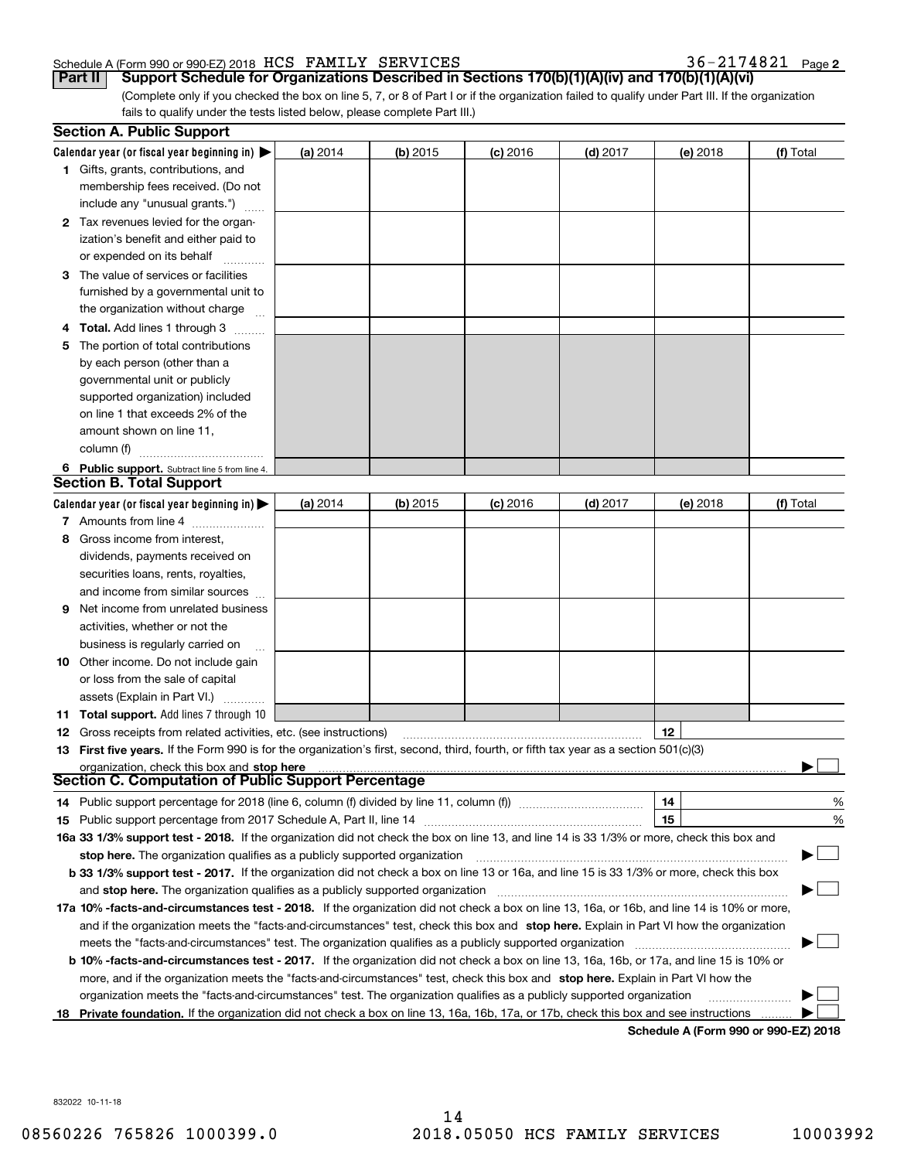#### Schedule A (Form 990 or 990-EZ) 2018 Page HCS FAMILY SERVICES 36-2174821

36-2174821 Page 2

(Complete only if you checked the box on line 5, 7, or 8 of Part I or if the organization failed to qualify under Part III. If the organization fails to qualify under the tests listed below, please complete Part III.) **Part II Support Schedule for Organizations Described in Sections 170(b)(1)(A)(iv) and 170(b)(1)(A)(vi)** 

|    | <b>Section A. Public Support</b>                                                                                                           |            |            |            |            |          |                                      |
|----|--------------------------------------------------------------------------------------------------------------------------------------------|------------|------------|------------|------------|----------|--------------------------------------|
|    | Calendar year (or fiscal year beginning in) $\blacktriangleright$                                                                          | (a) 2014   | $(b)$ 2015 | $(c)$ 2016 | $(d)$ 2017 | (e) 2018 | (f) Total                            |
|    | <b>1</b> Gifts, grants, contributions, and                                                                                                 |            |            |            |            |          |                                      |
|    | membership fees received. (Do not                                                                                                          |            |            |            |            |          |                                      |
|    | include any "unusual grants.")                                                                                                             |            |            |            |            |          |                                      |
|    | 2 Tax revenues levied for the organ-                                                                                                       |            |            |            |            |          |                                      |
|    | ization's benefit and either paid to                                                                                                       |            |            |            |            |          |                                      |
|    | or expended on its behalf                                                                                                                  |            |            |            |            |          |                                      |
|    | 3 The value of services or facilities                                                                                                      |            |            |            |            |          |                                      |
|    | furnished by a governmental unit to                                                                                                        |            |            |            |            |          |                                      |
|    | the organization without charge                                                                                                            |            |            |            |            |          |                                      |
|    | 4 Total. Add lines 1 through 3                                                                                                             |            |            |            |            |          |                                      |
| 5. | The portion of total contributions                                                                                                         |            |            |            |            |          |                                      |
|    | by each person (other than a                                                                                                               |            |            |            |            |          |                                      |
|    | governmental unit or publicly                                                                                                              |            |            |            |            |          |                                      |
|    | supported organization) included                                                                                                           |            |            |            |            |          |                                      |
|    | on line 1 that exceeds 2% of the                                                                                                           |            |            |            |            |          |                                      |
|    | amount shown on line 11,                                                                                                                   |            |            |            |            |          |                                      |
|    | column (f)                                                                                                                                 |            |            |            |            |          |                                      |
|    | 6 Public support. Subtract line 5 from line 4.                                                                                             |            |            |            |            |          |                                      |
|    | <b>Section B. Total Support</b>                                                                                                            |            |            |            |            |          |                                      |
|    | Calendar year (or fiscal year beginning in) $\blacktriangleright$                                                                          | (a) $2014$ | $(b)$ 2015 | $(c)$ 2016 | $(d)$ 2017 | (e) 2018 | (f) Total                            |
|    | 7 Amounts from line 4                                                                                                                      |            |            |            |            |          |                                      |
|    | 8 Gross income from interest,                                                                                                              |            |            |            |            |          |                                      |
|    | dividends, payments received on                                                                                                            |            |            |            |            |          |                                      |
|    | securities loans, rents, royalties,                                                                                                        |            |            |            |            |          |                                      |
|    | and income from similar sources                                                                                                            |            |            |            |            |          |                                      |
|    | <b>9</b> Net income from unrelated business                                                                                                |            |            |            |            |          |                                      |
|    | activities, whether or not the                                                                                                             |            |            |            |            |          |                                      |
|    | business is regularly carried on                                                                                                           |            |            |            |            |          |                                      |
|    | <b>10</b> Other income. Do not include gain                                                                                                |            |            |            |            |          |                                      |
|    | or loss from the sale of capital                                                                                                           |            |            |            |            |          |                                      |
|    | assets (Explain in Part VI.)                                                                                                               |            |            |            |            |          |                                      |
|    | <b>11 Total support.</b> Add lines 7 through 10                                                                                            |            |            |            |            |          |                                      |
|    | <b>12</b> Gross receipts from related activities, etc. (see instructions)                                                                  |            |            |            |            | 12       |                                      |
|    | 13 First five years. If the Form 990 is for the organization's first, second, third, fourth, or fifth tax year as a section 501(c)(3)      |            |            |            |            |          |                                      |
|    | organization, check this box and stop here<br>Section C. Computation of Public Support Percentage                                          |            |            |            |            |          |                                      |
|    |                                                                                                                                            |            |            |            |            |          |                                      |
|    |                                                                                                                                            |            |            |            |            | 14       | %                                    |
|    |                                                                                                                                            |            |            |            |            | 15       | %                                    |
|    | 16a 33 1/3% support test - 2018. If the organization did not check the box on line 13, and line 14 is 33 1/3% or more, check this box and  |            |            |            |            |          |                                      |
|    | stop here. The organization qualifies as a publicly supported organization                                                                 |            |            |            |            |          |                                      |
|    | b 33 1/3% support test - 2017. If the organization did not check a box on line 13 or 16a, and line 15 is 33 1/3% or more, check this box   |            |            |            |            |          |                                      |
|    | and stop here. The organization qualifies as a publicly supported organization                                                             |            |            |            |            |          |                                      |
|    | 17a 10% -facts-and-circumstances test - 2018. If the organization did not check a box on line 13, 16a, or 16b, and line 14 is 10% or more, |            |            |            |            |          |                                      |
|    | and if the organization meets the "facts-and-circumstances" test, check this box and stop here. Explain in Part VI how the organization    |            |            |            |            |          |                                      |
|    | meets the "facts-and-circumstances" test. The organization qualifies as a publicly supported organization <i>marroummumumum</i>            |            |            |            |            |          |                                      |
|    | b 10% -facts-and-circumstances test - 2017. If the organization did not check a box on line 13, 16a, 16b, or 17a, and line 15 is 10% or    |            |            |            |            |          |                                      |
|    | more, and if the organization meets the "facts-and-circumstances" test, check this box and stop here. Explain in Part VI how the           |            |            |            |            |          |                                      |
|    | organization meets the "facts-and-circumstances" test. The organization qualifies as a publicly supported organization                     |            |            |            |            |          |                                      |
| 18 | Private foundation. If the organization did not check a box on line 13, 16a, 16b, 17a, or 17b, check this box and see instructions         |            |            |            |            |          | Schedule A (Form 990 or 990-F7) 2018 |

**Schedule A (Form 990 or 990-EZ) 2018**

832022 10-11-18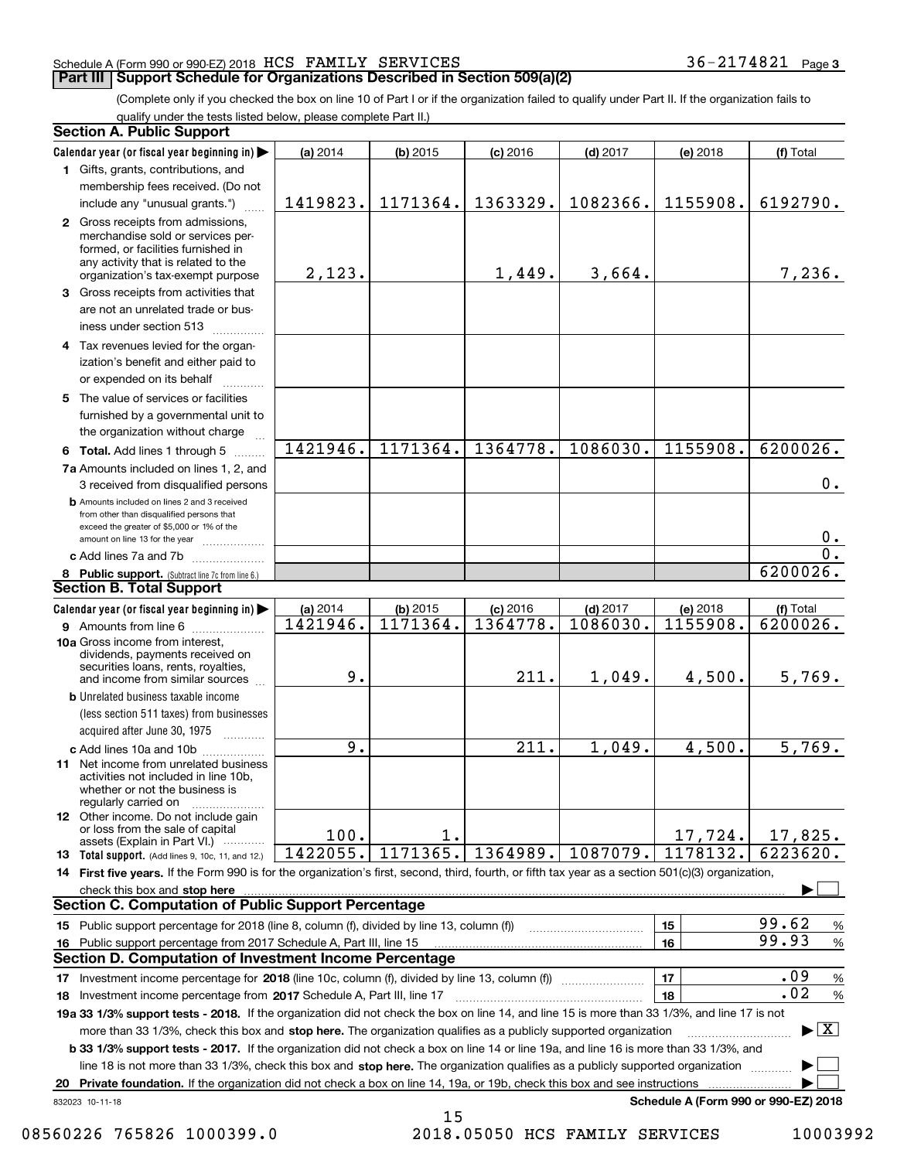#### Schedule A (Form 990 or 990-EZ) 2018 Page HCS FAMILY SERVICES 36-2174821

# **Part III Support Schedule for Organizations Described in Section 509(a)(2)**

(Complete only if you checked the box on line 10 of Part I or if the organization failed to qualify under Part II. If the organization fails to qualify under the tests listed below, please complete Part II.)

|    | <b>Section A. Public Support</b>                                                                                                                                                         |                  |            |            |            |                                      |                                          |
|----|------------------------------------------------------------------------------------------------------------------------------------------------------------------------------------------|------------------|------------|------------|------------|--------------------------------------|------------------------------------------|
|    | Calendar year (or fiscal year beginning in)                                                                                                                                              | (a) 2014         | $(b)$ 2015 | $(c)$ 2016 | $(d)$ 2017 | (e) 2018                             | (f) Total                                |
|    | 1 Gifts, grants, contributions, and                                                                                                                                                      |                  |            |            |            |                                      |                                          |
|    | membership fees received. (Do not                                                                                                                                                        |                  |            |            |            |                                      |                                          |
|    | include any "unusual grants.")                                                                                                                                                           | 1419823.         | 1171364.   | 1363329.   | 1082366.   | 1155908.                             | 6192790.                                 |
|    | 2 Gross receipts from admissions,<br>merchandise sold or services per-<br>formed, or facilities furnished in<br>any activity that is related to the<br>organization's tax-exempt purpose | 2,123.           |            | 1,449.     | 3,664.     |                                      | 7,236.                                   |
|    | 3 Gross receipts from activities that<br>are not an unrelated trade or bus-<br>iness under section 513                                                                                   |                  |            |            |            |                                      |                                          |
|    | 4 Tax revenues levied for the organ-                                                                                                                                                     |                  |            |            |            |                                      |                                          |
|    | ization's benefit and either paid to<br>or expended on its behalf                                                                                                                        |                  |            |            |            |                                      |                                          |
|    | 5 The value of services or facilities<br>furnished by a governmental unit to<br>the organization without charge                                                                          |                  |            |            |            |                                      |                                          |
|    | 6 Total. Add lines 1 through 5                                                                                                                                                           | 1421946.         | 1171364.   | 1364778.   | 1086030.   | 1155908.                             | 6200026.                                 |
|    | 7a Amounts included on lines 1, 2, and<br>3 received from disqualified persons                                                                                                           |                  |            |            |            |                                      | 0.                                       |
|    | <b>b</b> Amounts included on lines 2 and 3 received<br>from other than disqualified persons that<br>exceed the greater of \$5,000 or 1% of the<br>amount on line 13 for the year         |                  |            |            |            |                                      | 0.                                       |
|    | c Add lines 7a and 7b                                                                                                                                                                    |                  |            |            |            |                                      | $\overline{0}$ .                         |
|    | 8 Public support. (Subtract line 7c from line 6.)                                                                                                                                        |                  |            |            |            |                                      | 6200026.                                 |
|    | <b>Section B. Total Support</b>                                                                                                                                                          |                  |            |            |            |                                      |                                          |
|    | Calendar year (or fiscal year beginning in)                                                                                                                                              | (a) 2014         | $(b)$ 2015 | $(c)$ 2016 | $(d)$ 2017 | (e) 2018                             | (f) Total                                |
|    | 9 Amounts from line 6                                                                                                                                                                    | 1421946.         | 1171364.   | 1364778.   | 1086030.   | 1155908.                             | 6200026.                                 |
|    | 10a Gross income from interest,<br>dividends, payments received on<br>securities loans, rents, royalties,<br>and income from similar sources                                             | 9.               |            | 211.       | 1,049.     | 4,500.                               | 5,769.                                   |
|    | <b>b</b> Unrelated business taxable income<br>(less section 511 taxes) from businesses                                                                                                   |                  |            |            |            |                                      |                                          |
|    | acquired after June 30, 1975                                                                                                                                                             | $\overline{9}$ . |            | 211.       | 1,049.     | 4,500.                               | 5,769.                                   |
|    | c Add lines 10a and 10b<br>11 Net income from unrelated business<br>activities not included in line 10b,<br>whether or not the business is<br>regularly carried on                       |                  |            |            |            |                                      |                                          |
|    | 12 Other income. Do not include gain<br>or loss from the sale of capital<br>assets (Explain in Part VI.)                                                                                 | 100.             | 1.         |            |            | 17,724.                              | 17,825.                                  |
|    | <b>13</b> Total support. (Add lines 9, 10c, 11, and 12.)                                                                                                                                 | 1422055.         | 1171365.   | 1364989.   | 1087079.   | 1178132.                             | 6223620.                                 |
|    | 14 First five years. If the Form 990 is for the organization's first, second, third, fourth, or fifth tax year as a section 501(c)(3) organization,                                      |                  |            |            |            |                                      |                                          |
|    | check this box and stop here                                                                                                                                                             |                  |            |            |            |                                      |                                          |
|    | <b>Section C. Computation of Public Support Percentage</b>                                                                                                                               |                  |            |            |            |                                      |                                          |
|    | 15 Public support percentage for 2018 (line 8, column (f), divided by line 13, column (f))                                                                                               |                  |            |            |            | 15                                   | 99.62<br>%<br>99.93                      |
|    | 16 Public support percentage from 2017 Schedule A, Part III, line 15<br><b>Section D. Computation of Investment Income Percentage</b>                                                    |                  |            |            |            | 16                                   | $\%$                                     |
|    |                                                                                                                                                                                          |                  |            |            |            | 17                                   | .09<br>%                                 |
|    | 17 Investment income percentage for 2018 (line 10c, column (f), divided by line 13, column (f))<br>18 Investment income percentage from 2017 Schedule A, Part III, line 17               |                  |            |            |            | 18                                   | .02<br>$\%$                              |
|    | 19a 33 1/3% support tests - 2018. If the organization did not check the box on line 14, and line 15 is more than 33 1/3%, and line 17 is not                                             |                  |            |            |            |                                      |                                          |
|    | more than 33 1/3%, check this box and stop here. The organization qualifies as a publicly supported organization                                                                         |                  |            |            |            |                                      | $\blacktriangleright$ $\boxed{\text{X}}$ |
|    | b 33 1/3% support tests - 2017. If the organization did not check a box on line 14 or line 19a, and line 16 is more than 33 1/3%, and                                                    |                  |            |            |            |                                      |                                          |
|    | line 18 is not more than 33 1/3%, check this box and stop here. The organization qualifies as a publicly supported organization                                                          |                  |            |            |            |                                      |                                          |
| 20 | Private foundation. If the organization did not check a box on line 14, 19a, or 19b, check this box and see instructions                                                                 |                  |            |            |            |                                      |                                          |
|    | 832023 10-11-18                                                                                                                                                                          |                  |            |            |            | Schedule A (Form 990 or 990-EZ) 2018 |                                          |
|    |                                                                                                                                                                                          |                  | 15         |            |            |                                      |                                          |

 <sup>08560226 765826 1000399.0 2018.05050</sup> HCS FAMILY SERVICES 10003992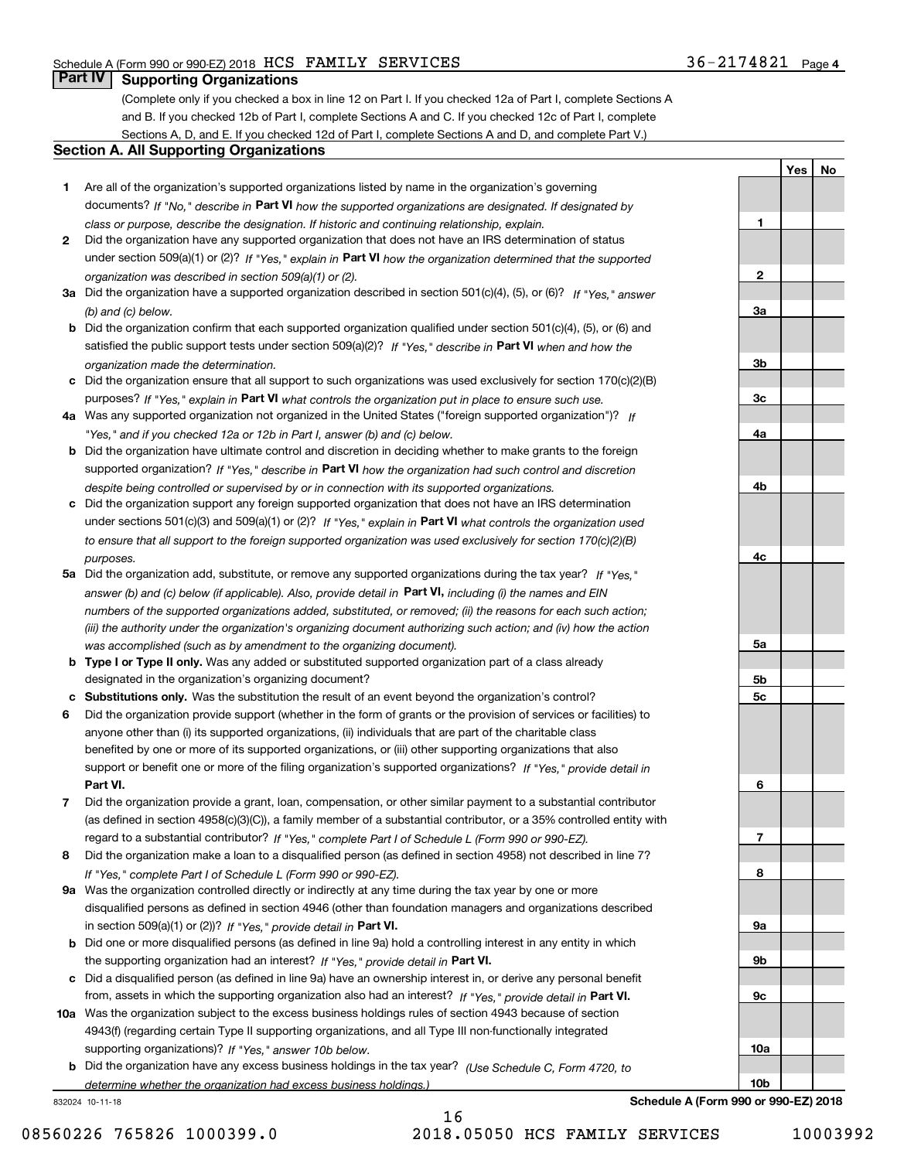**1**

**2**

**3a**

**3b**

**3c**

**4a**

**4b**

**4c**

**5a**

**5b5c**

**6**

**7**

**8**

**9a**

**9b**

**9c**

**10a**

**10b**

**YesNo**

# **Part IV Supporting Organizations**

(Complete only if you checked a box in line 12 on Part I. If you checked 12a of Part I, complete Sections A and B. If you checked 12b of Part I, complete Sections A and C. If you checked 12c of Part I, complete Sections A, D, and E. If you checked 12d of Part I, complete Sections A and D, and complete Part V.)

#### **Section A. All Supporting Organizations**

- **1** Are all of the organization's supported organizations listed by name in the organization's governing documents? If "No," describe in **Part VI** how the supported organizations are designated. If designated by *class or purpose, describe the designation. If historic and continuing relationship, explain.*
- **2** Did the organization have any supported organization that does not have an IRS determination of status under section 509(a)(1) or (2)? If "Yes," explain in Part VI how the organization determined that the supported *organization was described in section 509(a)(1) or (2).*
- **3a** Did the organization have a supported organization described in section 501(c)(4), (5), or (6)? If "Yes," answer *(b) and (c) below.*
- **b** Did the organization confirm that each supported organization qualified under section 501(c)(4), (5), or (6) and satisfied the public support tests under section 509(a)(2)? If "Yes," describe in **Part VI** when and how the *organization made the determination.*
- **c**Did the organization ensure that all support to such organizations was used exclusively for section 170(c)(2)(B) purposes? If "Yes," explain in **Part VI** what controls the organization put in place to ensure such use.
- **4a***If* Was any supported organization not organized in the United States ("foreign supported organization")? *"Yes," and if you checked 12a or 12b in Part I, answer (b) and (c) below.*
- **b** Did the organization have ultimate control and discretion in deciding whether to make grants to the foreign supported organization? If "Yes," describe in **Part VI** how the organization had such control and discretion *despite being controlled or supervised by or in connection with its supported organizations.*
- **c** Did the organization support any foreign supported organization that does not have an IRS determination under sections 501(c)(3) and 509(a)(1) or (2)? If "Yes," explain in **Part VI** what controls the organization used *to ensure that all support to the foreign supported organization was used exclusively for section 170(c)(2)(B) purposes.*
- **5a** Did the organization add, substitute, or remove any supported organizations during the tax year? If "Yes," answer (b) and (c) below (if applicable). Also, provide detail in **Part VI,** including (i) the names and EIN *numbers of the supported organizations added, substituted, or removed; (ii) the reasons for each such action; (iii) the authority under the organization's organizing document authorizing such action; and (iv) how the action was accomplished (such as by amendment to the organizing document).*
- **b** Type I or Type II only. Was any added or substituted supported organization part of a class already designated in the organization's organizing document?
- **cSubstitutions only.**  Was the substitution the result of an event beyond the organization's control?
- **6** Did the organization provide support (whether in the form of grants or the provision of services or facilities) to **Part VI.** *If "Yes," provide detail in* support or benefit one or more of the filing organization's supported organizations? anyone other than (i) its supported organizations, (ii) individuals that are part of the charitable class benefited by one or more of its supported organizations, or (iii) other supporting organizations that also
- **7**Did the organization provide a grant, loan, compensation, or other similar payment to a substantial contributor *If "Yes," complete Part I of Schedule L (Form 990 or 990-EZ).* regard to a substantial contributor? (as defined in section 4958(c)(3)(C)), a family member of a substantial contributor, or a 35% controlled entity with
- **8** Did the organization make a loan to a disqualified person (as defined in section 4958) not described in line 7? *If "Yes," complete Part I of Schedule L (Form 990 or 990-EZ).*
- **9a** Was the organization controlled directly or indirectly at any time during the tax year by one or more in section 509(a)(1) or (2))? If "Yes," *provide detail in* <code>Part VI.</code> disqualified persons as defined in section 4946 (other than foundation managers and organizations described
- **b** Did one or more disqualified persons (as defined in line 9a) hold a controlling interest in any entity in which the supporting organization had an interest? If "Yes," provide detail in P**art VI**.
- **c**Did a disqualified person (as defined in line 9a) have an ownership interest in, or derive any personal benefit from, assets in which the supporting organization also had an interest? If "Yes," provide detail in P**art VI.**
- **10a** Was the organization subject to the excess business holdings rules of section 4943 because of section supporting organizations)? If "Yes," answer 10b below. 4943(f) (regarding certain Type II supporting organizations, and all Type III non-functionally integrated
- **b** Did the organization have any excess business holdings in the tax year? (Use Schedule C, Form 4720, to *determine whether the organization had excess business holdings.)*

832024 10-11-18

**Schedule A (Form 990 or 990-EZ) 2018**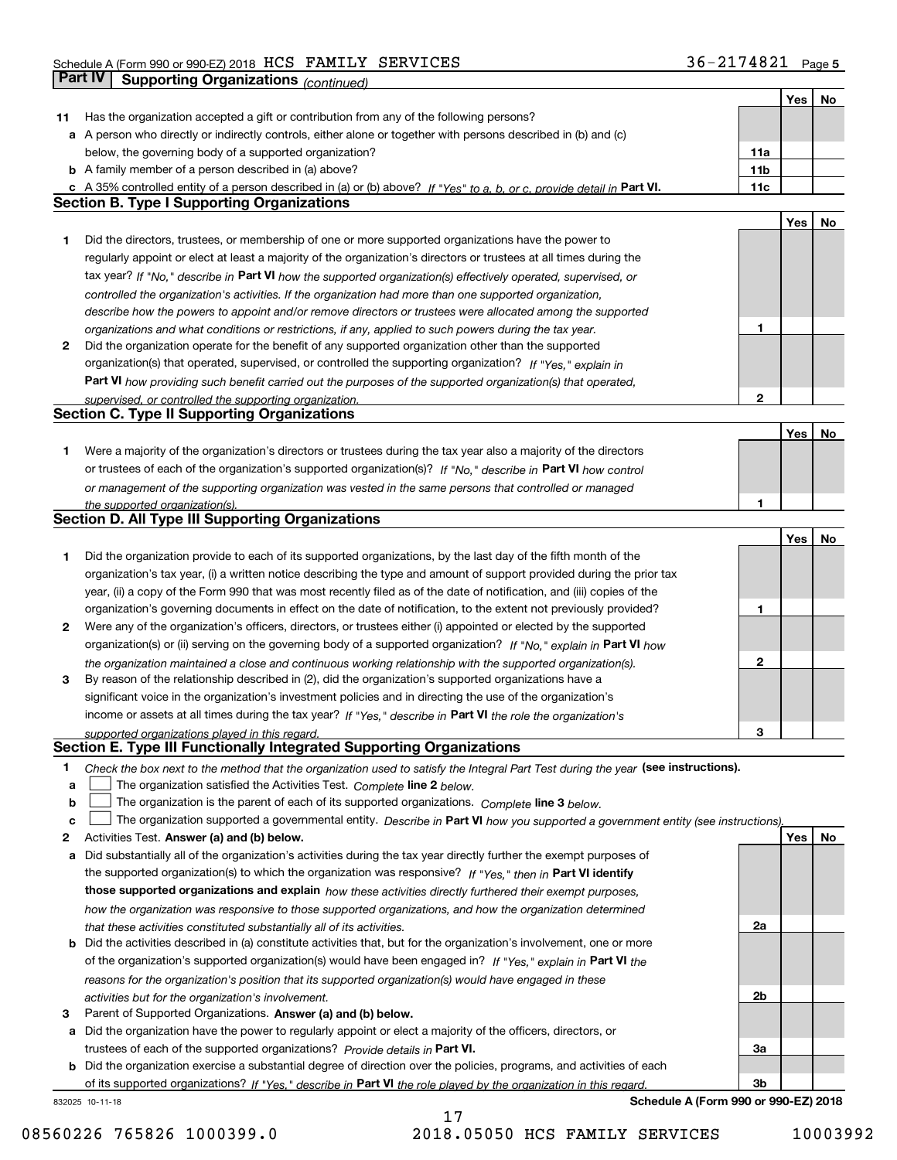|        |                                                                                                                                                                                                                        |                 | Yes | No |
|--------|------------------------------------------------------------------------------------------------------------------------------------------------------------------------------------------------------------------------|-----------------|-----|----|
| 11     | Has the organization accepted a gift or contribution from any of the following persons?                                                                                                                                |                 |     |    |
|        | a A person who directly or indirectly controls, either alone or together with persons described in (b) and (c)                                                                                                         |                 |     |    |
|        | below, the governing body of a supported organization?                                                                                                                                                                 | 11a             |     |    |
|        | <b>b</b> A family member of a person described in (a) above?                                                                                                                                                           | 11 <sub>b</sub> |     |    |
|        | c A 35% controlled entity of a person described in (a) or (b) above? If "Yes" to a, b, or c, provide detail in Part VI.                                                                                                | 11c             |     |    |
|        | Section B. Type I Supporting Organizations                                                                                                                                                                             |                 |     |    |
|        |                                                                                                                                                                                                                        |                 | Yes | No |
| 1      | Did the directors, trustees, or membership of one or more supported organizations have the power to                                                                                                                    |                 |     |    |
|        | regularly appoint or elect at least a majority of the organization's directors or trustees at all times during the                                                                                                     |                 |     |    |
|        | tax year? If "No," describe in Part VI how the supported organization(s) effectively operated, supervised, or                                                                                                          |                 |     |    |
|        | controlled the organization's activities. If the organization had more than one supported organization,                                                                                                                |                 |     |    |
|        | describe how the powers to appoint and/or remove directors or trustees were allocated among the supported                                                                                                              |                 |     |    |
|        | organizations and what conditions or restrictions, if any, applied to such powers during the tax year.                                                                                                                 | 1               |     |    |
| 2      | Did the organization operate for the benefit of any supported organization other than the supported                                                                                                                    |                 |     |    |
|        | organization(s) that operated, supervised, or controlled the supporting organization? If "Yes," explain in                                                                                                             |                 |     |    |
|        | Part VI how providing such benefit carried out the purposes of the supported organization(s) that operated,                                                                                                            |                 |     |    |
|        | supervised, or controlled the supporting organization.                                                                                                                                                                 | $\mathbf{2}$    |     |    |
|        | <b>Section C. Type II Supporting Organizations</b>                                                                                                                                                                     |                 |     |    |
|        |                                                                                                                                                                                                                        |                 | Yes | No |
| 1      | Were a majority of the organization's directors or trustees during the tax year also a majority of the directors                                                                                                       |                 |     |    |
|        | or trustees of each of the organization's supported organization(s)? If "No," describe in Part VI how control                                                                                                          |                 |     |    |
|        | or management of the supporting organization was vested in the same persons that controlled or managed                                                                                                                 |                 |     |    |
|        | the supported organization(s).                                                                                                                                                                                         | 1               |     |    |
|        | <b>Section D. All Type III Supporting Organizations</b>                                                                                                                                                                |                 |     |    |
|        |                                                                                                                                                                                                                        |                 | Yes | No |
| 1      | Did the organization provide to each of its supported organizations, by the last day of the fifth month of the                                                                                                         |                 |     |    |
|        | organization's tax year, (i) a written notice describing the type and amount of support provided during the prior tax                                                                                                  |                 |     |    |
|        | year, (ii) a copy of the Form 990 that was most recently filed as of the date of notification, and (iii) copies of the                                                                                                 |                 |     |    |
|        | organization's governing documents in effect on the date of notification, to the extent not previously provided?                                                                                                       | 1               |     |    |
| 2      | Were any of the organization's officers, directors, or trustees either (i) appointed or elected by the supported                                                                                                       |                 |     |    |
|        | organization(s) or (ii) serving on the governing body of a supported organization? If "No," explain in Part VI how                                                                                                     |                 |     |    |
|        | the organization maintained a close and continuous working relationship with the supported organization(s).                                                                                                            | $\mathbf{2}$    |     |    |
| 3      | By reason of the relationship described in (2), did the organization's supported organizations have a                                                                                                                  |                 |     |    |
|        | significant voice in the organization's investment policies and in directing the use of the organization's                                                                                                             |                 |     |    |
|        | income or assets at all times during the tax year? If "Yes," describe in Part VI the role the organization's                                                                                                           |                 |     |    |
|        | supported organizations played in this regard.<br>Section E. Type III Functionally Integrated Supporting Organizations                                                                                                 | 3               |     |    |
|        |                                                                                                                                                                                                                        |                 |     |    |
| 1      | Check the box next to the method that the organization used to satisfy the Integral Part Test during the year (see instructions).                                                                                      |                 |     |    |
| a      | The organization satisfied the Activities Test. Complete line 2 below.                                                                                                                                                 |                 |     |    |
| b      | The organization is the parent of each of its supported organizations. Complete line 3 below.                                                                                                                          |                 |     |    |
| c      | The organization supported a governmental entity. Describe in Part VI how you supported a government entity (see instructions),                                                                                        |                 | Yes |    |
| 2<br>а | Activities Test. Answer (a) and (b) below.<br>Did substantially all of the organization's activities during the tax year directly further the exempt purposes of                                                       |                 |     | No |
|        |                                                                                                                                                                                                                        |                 |     |    |
|        | the supported organization(s) to which the organization was responsive? If "Yes," then in Part VI identify<br>those supported organizations and explain how these activities directly furthered their exempt purposes, |                 |     |    |
|        | how the organization was responsive to those supported organizations, and how the organization determined                                                                                                              |                 |     |    |
|        | that these activities constituted substantially all of its activities.                                                                                                                                                 | 2a              |     |    |
|        | <b>b</b> Did the activities described in (a) constitute activities that, but for the organization's involvement, one or more                                                                                           |                 |     |    |
|        | of the organization's supported organization(s) would have been engaged in? If "Yes," explain in Part VI the                                                                                                           |                 |     |    |
|        | reasons for the organization's position that its supported organization(s) would have engaged in these                                                                                                                 |                 |     |    |
|        | activities but for the organization's involvement.                                                                                                                                                                     | 2b              |     |    |
| з      | Parent of Supported Organizations. Answer (a) and (b) below.                                                                                                                                                           |                 |     |    |
|        | a Did the organization have the power to regularly appoint or elect a majority of the officers, directors, or                                                                                                          |                 |     |    |
|        | trustees of each of the supported organizations? Provide details in Part VI.                                                                                                                                           | За              |     |    |
|        | <b>b</b> Did the organization exercise a substantial degree of direction over the policies, programs, and activities of each                                                                                           |                 |     |    |
|        | of its supported organizations? If "Yes." describe in Part VI the role played by the organization in this regard                                                                                                       | 3b              |     |    |
|        | Schedule A (Form 990 or 990-EZ) 2018<br>832025 10-11-18                                                                                                                                                                |                 |     |    |
|        |                                                                                                                                                                                                                        |                 |     |    |

08560226 765826 1000399.0 2018.05050 HCS FAMILY SERVICES 10003992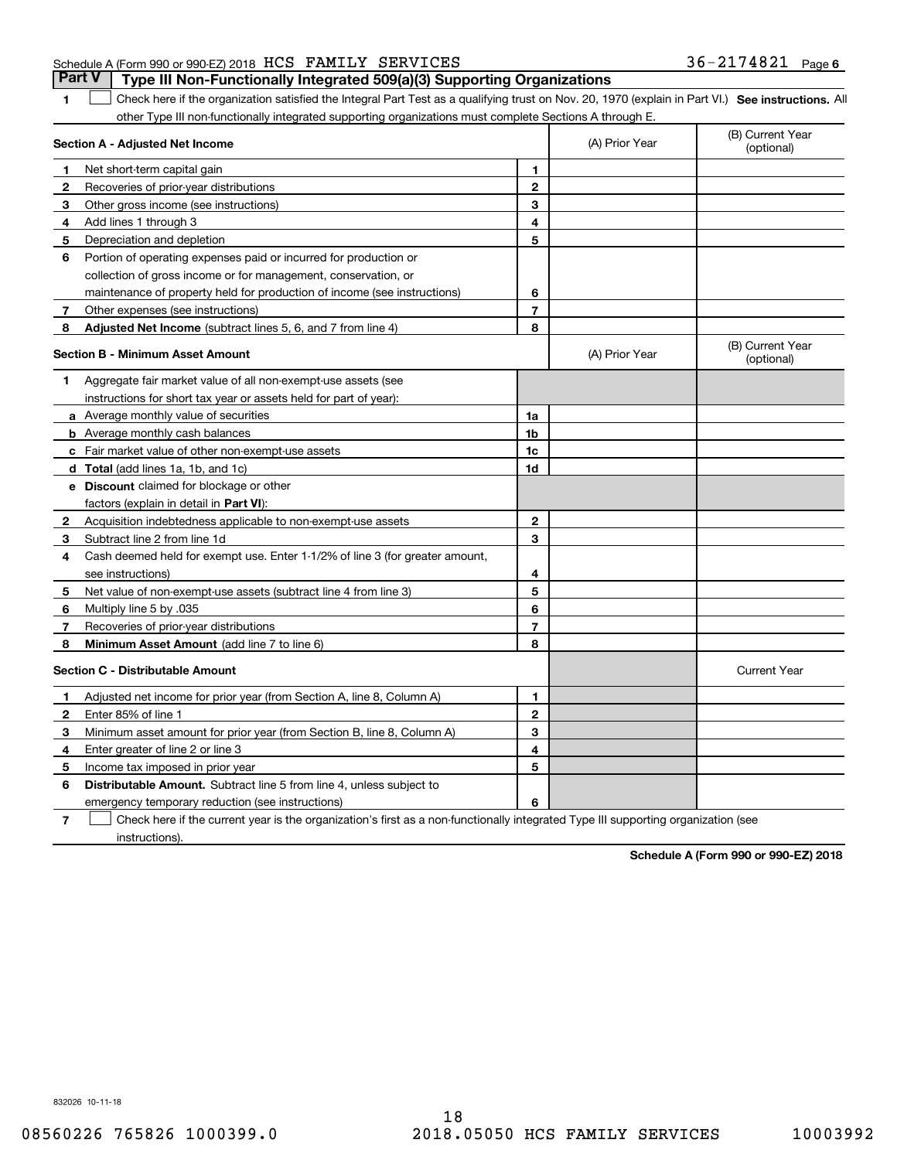### Schedule A (Form 990 or 990-EZ) 2018 Page HCS FAMILY SERVICES 36-2174821 **Part V Type III Non-Functionally Integrated 509(a)(3) Supporting Organizations**

**1**

1 Check here if the organization satisfied the Integral Part Test as a qualifying trust on Nov. 20, 1970 (explain in Part VI.) See instructions. All other Type III non-functionally integrated supporting organizations must complete Sections A through E.

|              | Section A - Adjusted Net Income                                              |                | (A) Prior Year | (B) Current Year<br>(optional) |
|--------------|------------------------------------------------------------------------------|----------------|----------------|--------------------------------|
| 1            | Net short-term capital gain                                                  | 1              |                |                                |
| $\mathbf{2}$ | Recoveries of prior-year distributions                                       | $\overline{2}$ |                |                                |
| 3            | Other gross income (see instructions)                                        | 3              |                |                                |
| 4            | Add lines 1 through 3                                                        | 4              |                |                                |
| 5            | Depreciation and depletion                                                   | 5              |                |                                |
| 6            | Portion of operating expenses paid or incurred for production or             |                |                |                                |
|              | collection of gross income or for management, conservation, or               |                |                |                                |
|              | maintenance of property held for production of income (see instructions)     | 6              |                |                                |
| 7            | Other expenses (see instructions)                                            | $\overline{7}$ |                |                                |
| 8            | Adjusted Net Income (subtract lines 5, 6, and 7 from line 4)                 | 8              |                |                                |
|              | <b>Section B - Minimum Asset Amount</b>                                      |                | (A) Prior Year | (B) Current Year<br>(optional) |
| 1            | Aggregate fair market value of all non-exempt-use assets (see                |                |                |                                |
|              | instructions for short tax year or assets held for part of year):            |                |                |                                |
|              | a Average monthly value of securities                                        | 1a             |                |                                |
|              | <b>b</b> Average monthly cash balances                                       | 1 <sub>b</sub> |                |                                |
|              | c Fair market value of other non-exempt-use assets                           | 1c             |                |                                |
|              | <b>d</b> Total (add lines 1a, 1b, and 1c)                                    | 1d             |                |                                |
|              | <b>e</b> Discount claimed for blockage or other                              |                |                |                                |
|              | factors (explain in detail in Part VI):                                      |                |                |                                |
| 2            | Acquisition indebtedness applicable to non-exempt-use assets                 | $\overline{2}$ |                |                                |
| 3            | Subtract line 2 from line 1d                                                 | 3              |                |                                |
| 4            | Cash deemed held for exempt use. Enter 1-1/2% of line 3 (for greater amount, |                |                |                                |
|              | see instructions)                                                            | 4              |                |                                |
| 5            | Net value of non-exempt-use assets (subtract line 4 from line 3)             | 5              |                |                                |
| 6            | 035. Multiply line 5 by                                                      | 6              |                |                                |
| 7            | Recoveries of prior-year distributions                                       | $\overline{7}$ |                |                                |
| 8            | Minimum Asset Amount (add line 7 to line 6)                                  | 8              |                |                                |
|              | <b>Section C - Distributable Amount</b>                                      |                |                | <b>Current Year</b>            |
| 1            | Adjusted net income for prior year (from Section A, line 8, Column A)        | 1              |                |                                |
| $\mathbf{2}$ | Enter 85% of line 1                                                          | $\mathbf{2}$   |                |                                |
| 3            | Minimum asset amount for prior year (from Section B, line 8, Column A)       | 3              |                |                                |
| 4            | Enter greater of line 2 or line 3                                            | 4              |                |                                |
| 5            | Income tax imposed in prior year                                             | 5              |                |                                |
| 6            | <b>Distributable Amount.</b> Subtract line 5 from line 4, unless subject to  |                |                |                                |
|              | emergency temporary reduction (see instructions)                             | 6              |                |                                |
|              | $\sim$ $\sim$ $\sim$                                                         |                |                |                                |

**7**Check here if the current year is the organization's first as a non-functionally integrated Type III supporting organization (see instructions).

**Schedule A (Form 990 or 990-EZ) 2018**

832026 10-11-18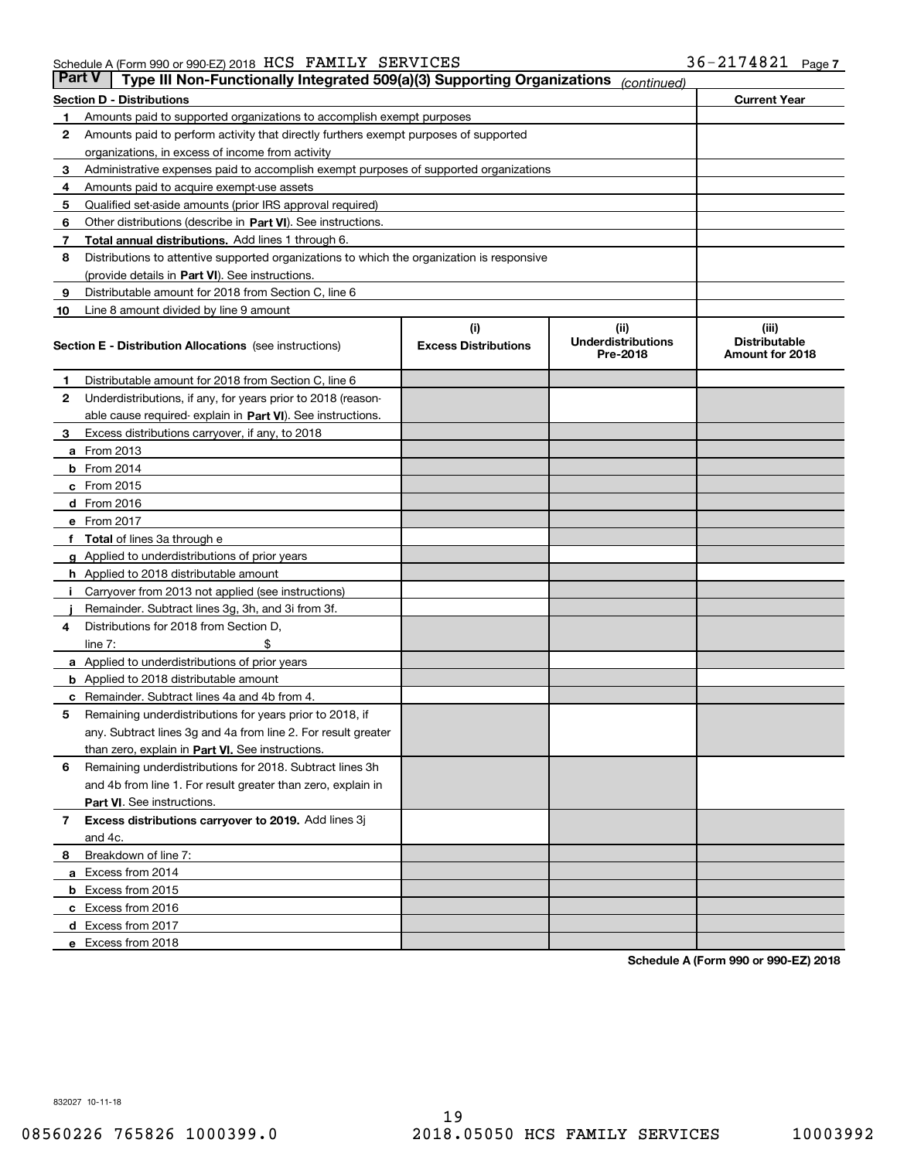#### Schedule A (Form 990 or 990-EZ) 2018 Page HCS FAMILY SERVICES 36-2174821

| Part V | Type III Non-Functionally Integrated 509(a)(3) Supporting Organizations                    |                                    | (continued)                        |                               |
|--------|--------------------------------------------------------------------------------------------|------------------------------------|------------------------------------|-------------------------------|
|        | <b>Section D - Distributions</b>                                                           |                                    |                                    | <b>Current Year</b>           |
| 1      | Amounts paid to supported organizations to accomplish exempt purposes                      |                                    |                                    |                               |
| 2      | Amounts paid to perform activity that directly furthers exempt purposes of supported       |                                    |                                    |                               |
|        | organizations, in excess of income from activity                                           |                                    |                                    |                               |
| з      | Administrative expenses paid to accomplish exempt purposes of supported organizations      |                                    |                                    |                               |
| 4      | Amounts paid to acquire exempt-use assets                                                  |                                    |                                    |                               |
| 5      | Qualified set-aside amounts (prior IRS approval required)                                  |                                    |                                    |                               |
| 6      | Other distributions (describe in Part VI). See instructions.                               |                                    |                                    |                               |
| 7      | <b>Total annual distributions.</b> Add lines 1 through 6.                                  |                                    |                                    |                               |
| 8      | Distributions to attentive supported organizations to which the organization is responsive |                                    |                                    |                               |
|        | (provide details in Part VI). See instructions.                                            |                                    |                                    |                               |
| 9      | Distributable amount for 2018 from Section C, line 6                                       |                                    |                                    |                               |
| 10     | Line 8 amount divided by line 9 amount                                                     |                                    |                                    |                               |
|        | <b>Section E - Distribution Allocations</b> (see instructions)                             | (i)<br><b>Excess Distributions</b> | (iii)<br><b>Underdistributions</b> | (iii)<br><b>Distributable</b> |
|        |                                                                                            |                                    | Pre-2018                           | Amount for 2018               |
| 1      | Distributable amount for 2018 from Section C, line 6                                       |                                    |                                    |                               |
| 2      | Underdistributions, if any, for years prior to 2018 (reason-                               |                                    |                                    |                               |
|        | able cause required- explain in <b>Part VI</b> ). See instructions.                        |                                    |                                    |                               |
| з      | Excess distributions carryover, if any, to 2018                                            |                                    |                                    |                               |
|        | <b>a</b> From 2013                                                                         |                                    |                                    |                               |
|        | <b>b</b> From 2014                                                                         |                                    |                                    |                               |
|        | c From 2015                                                                                |                                    |                                    |                               |
|        | d From 2016                                                                                |                                    |                                    |                               |
|        | e From 2017                                                                                |                                    |                                    |                               |
|        | Total of lines 3a through e                                                                |                                    |                                    |                               |
|        | <b>g</b> Applied to underdistributions of prior years                                      |                                    |                                    |                               |
|        | <b>h</b> Applied to 2018 distributable amount                                              |                                    |                                    |                               |
|        | Carryover from 2013 not applied (see instructions)                                         |                                    |                                    |                               |
|        | Remainder. Subtract lines 3g, 3h, and 3i from 3f.                                          |                                    |                                    |                               |
| 4      | Distributions for 2018 from Section D,                                                     |                                    |                                    |                               |
|        | line $7:$                                                                                  |                                    |                                    |                               |
|        | <b>a</b> Applied to underdistributions of prior years                                      |                                    |                                    |                               |
|        | <b>b</b> Applied to 2018 distributable amount                                              |                                    |                                    |                               |
| с      | Remainder. Subtract lines 4a and 4b from 4.                                                |                                    |                                    |                               |
| 5      | Remaining underdistributions for years prior to 2018, if                                   |                                    |                                    |                               |
|        | any. Subtract lines 3g and 4a from line 2. For result greater                              |                                    |                                    |                               |
|        | than zero, explain in Part VI. See instructions.                                           |                                    |                                    |                               |
| 6      | Remaining underdistributions for 2018. Subtract lines 3h                                   |                                    |                                    |                               |
|        | and 4b from line 1. For result greater than zero, explain in                               |                                    |                                    |                               |
|        | Part VI. See instructions.                                                                 |                                    |                                    |                               |
| 7      | Excess distributions carryover to 2019. Add lines 3j                                       |                                    |                                    |                               |
|        | and 4c.                                                                                    |                                    |                                    |                               |
| 8      | Breakdown of line 7:                                                                       |                                    |                                    |                               |
|        | a Excess from 2014                                                                         |                                    |                                    |                               |
|        | <b>b</b> Excess from 2015                                                                  |                                    |                                    |                               |
|        | c Excess from 2016                                                                         |                                    |                                    |                               |
|        | d Excess from 2017                                                                         |                                    |                                    |                               |
|        | e Excess from 2018                                                                         |                                    |                                    |                               |

**Schedule A (Form 990 or 990-EZ) 2018**

832027 10-11-18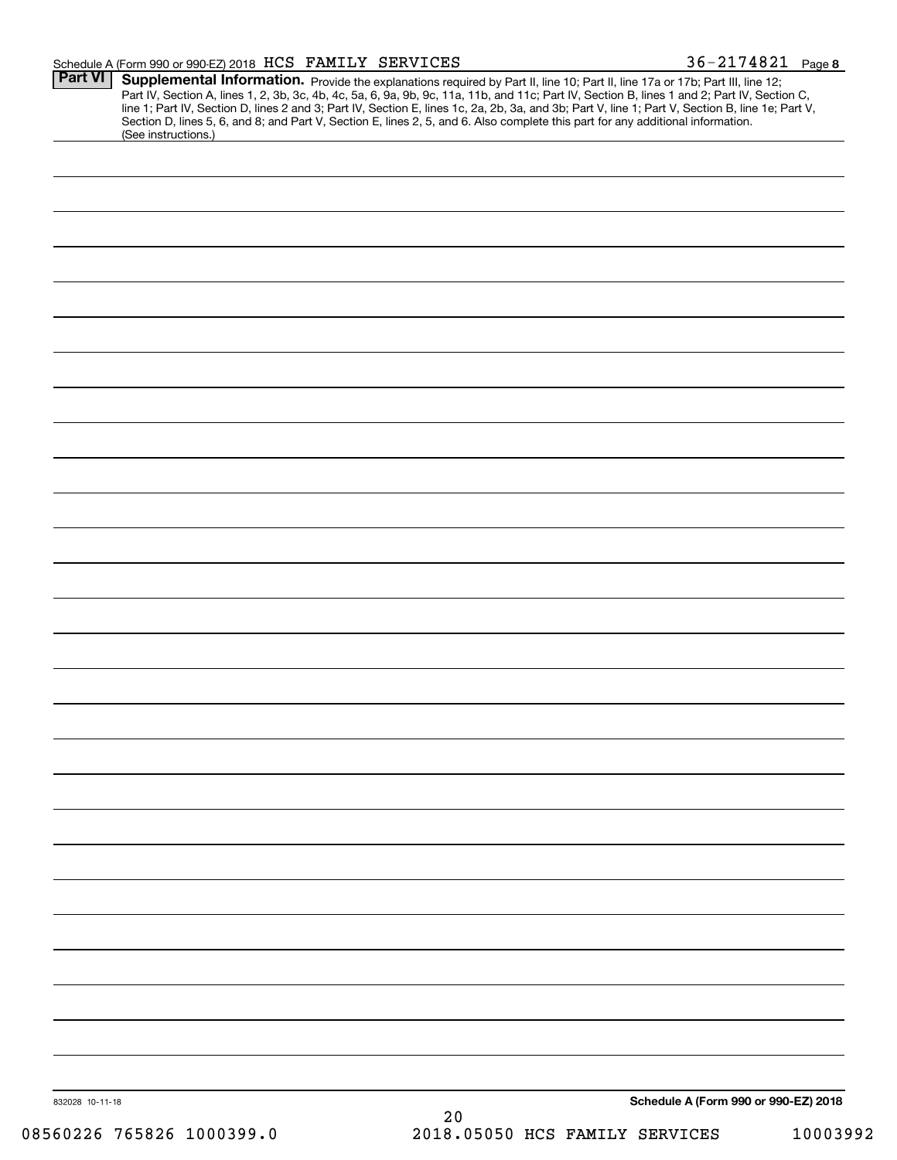#### Schedule A (Form 990 or 990-EZ) 2018 Page HCS FAMILY SERVICES 36-2174821

| Part VI         | Supplemental Information. Provide the explanations required by Part II, line 10; Part II, line 17a or 17b; Part III, line 12;<br>Part IV, Section A, lines 1, 2, 3b, 3c, 4b, 4c, 5a, 6, 9a, 9b, 9c, 11a, 11b, and 11c; Part IV, Section B, lines 1 and 2; Part IV, Section C,<br>line 1; Part IV, Section D, lines 2 and 3; Part IV, Section E, lines 1c, 2a, 2b, 3a, and 3b; Part V, line 1; Part V, Section B, line 1e; Part V,<br>Section D, lines 5, 6, and 8; and Part V, Section E, lines 2, 5, and 6. Also complete this part for any additional information.<br>(See instructions.) |    |                                |                                      |
|-----------------|---------------------------------------------------------------------------------------------------------------------------------------------------------------------------------------------------------------------------------------------------------------------------------------------------------------------------------------------------------------------------------------------------------------------------------------------------------------------------------------------------------------------------------------------------------------------------------------------|----|--------------------------------|--------------------------------------|
|                 |                                                                                                                                                                                                                                                                                                                                                                                                                                                                                                                                                                                             |    |                                |                                      |
|                 |                                                                                                                                                                                                                                                                                                                                                                                                                                                                                                                                                                                             |    |                                |                                      |
|                 |                                                                                                                                                                                                                                                                                                                                                                                                                                                                                                                                                                                             |    |                                |                                      |
|                 |                                                                                                                                                                                                                                                                                                                                                                                                                                                                                                                                                                                             |    |                                |                                      |
|                 |                                                                                                                                                                                                                                                                                                                                                                                                                                                                                                                                                                                             |    |                                |                                      |
|                 |                                                                                                                                                                                                                                                                                                                                                                                                                                                                                                                                                                                             |    |                                |                                      |
|                 |                                                                                                                                                                                                                                                                                                                                                                                                                                                                                                                                                                                             |    |                                |                                      |
|                 |                                                                                                                                                                                                                                                                                                                                                                                                                                                                                                                                                                                             |    |                                |                                      |
|                 |                                                                                                                                                                                                                                                                                                                                                                                                                                                                                                                                                                                             |    |                                |                                      |
|                 |                                                                                                                                                                                                                                                                                                                                                                                                                                                                                                                                                                                             |    |                                |                                      |
|                 |                                                                                                                                                                                                                                                                                                                                                                                                                                                                                                                                                                                             |    |                                |                                      |
|                 |                                                                                                                                                                                                                                                                                                                                                                                                                                                                                                                                                                                             |    |                                |                                      |
|                 |                                                                                                                                                                                                                                                                                                                                                                                                                                                                                                                                                                                             |    |                                |                                      |
|                 |                                                                                                                                                                                                                                                                                                                                                                                                                                                                                                                                                                                             |    |                                |                                      |
|                 |                                                                                                                                                                                                                                                                                                                                                                                                                                                                                                                                                                                             |    |                                |                                      |
|                 |                                                                                                                                                                                                                                                                                                                                                                                                                                                                                                                                                                                             |    |                                |                                      |
|                 |                                                                                                                                                                                                                                                                                                                                                                                                                                                                                                                                                                                             |    |                                |                                      |
|                 |                                                                                                                                                                                                                                                                                                                                                                                                                                                                                                                                                                                             |    |                                |                                      |
|                 |                                                                                                                                                                                                                                                                                                                                                                                                                                                                                                                                                                                             |    |                                |                                      |
|                 |                                                                                                                                                                                                                                                                                                                                                                                                                                                                                                                                                                                             |    |                                |                                      |
|                 |                                                                                                                                                                                                                                                                                                                                                                                                                                                                                                                                                                                             |    |                                |                                      |
|                 |                                                                                                                                                                                                                                                                                                                                                                                                                                                                                                                                                                                             |    |                                |                                      |
|                 |                                                                                                                                                                                                                                                                                                                                                                                                                                                                                                                                                                                             |    |                                |                                      |
|                 |                                                                                                                                                                                                                                                                                                                                                                                                                                                                                                                                                                                             |    |                                |                                      |
|                 |                                                                                                                                                                                                                                                                                                                                                                                                                                                                                                                                                                                             |    |                                |                                      |
|                 |                                                                                                                                                                                                                                                                                                                                                                                                                                                                                                                                                                                             |    |                                |                                      |
|                 |                                                                                                                                                                                                                                                                                                                                                                                                                                                                                                                                                                                             |    |                                |                                      |
|                 |                                                                                                                                                                                                                                                                                                                                                                                                                                                                                                                                                                                             |    |                                |                                      |
|                 |                                                                                                                                                                                                                                                                                                                                                                                                                                                                                                                                                                                             |    |                                |                                      |
|                 |                                                                                                                                                                                                                                                                                                                                                                                                                                                                                                                                                                                             |    |                                |                                      |
|                 |                                                                                                                                                                                                                                                                                                                                                                                                                                                                                                                                                                                             |    |                                |                                      |
|                 |                                                                                                                                                                                                                                                                                                                                                                                                                                                                                                                                                                                             |    |                                |                                      |
|                 |                                                                                                                                                                                                                                                                                                                                                                                                                                                                                                                                                                                             |    |                                |                                      |
|                 |                                                                                                                                                                                                                                                                                                                                                                                                                                                                                                                                                                                             |    |                                |                                      |
| 832028 10-11-18 |                                                                                                                                                                                                                                                                                                                                                                                                                                                                                                                                                                                             | 20 |                                | Schedule A (Form 990 or 990-EZ) 2018 |
|                 | 08560226 765826 1000399.0                                                                                                                                                                                                                                                                                                                                                                                                                                                                                                                                                                   |    | 2018.05050 HCS FAMILY SERVICES | 10003992                             |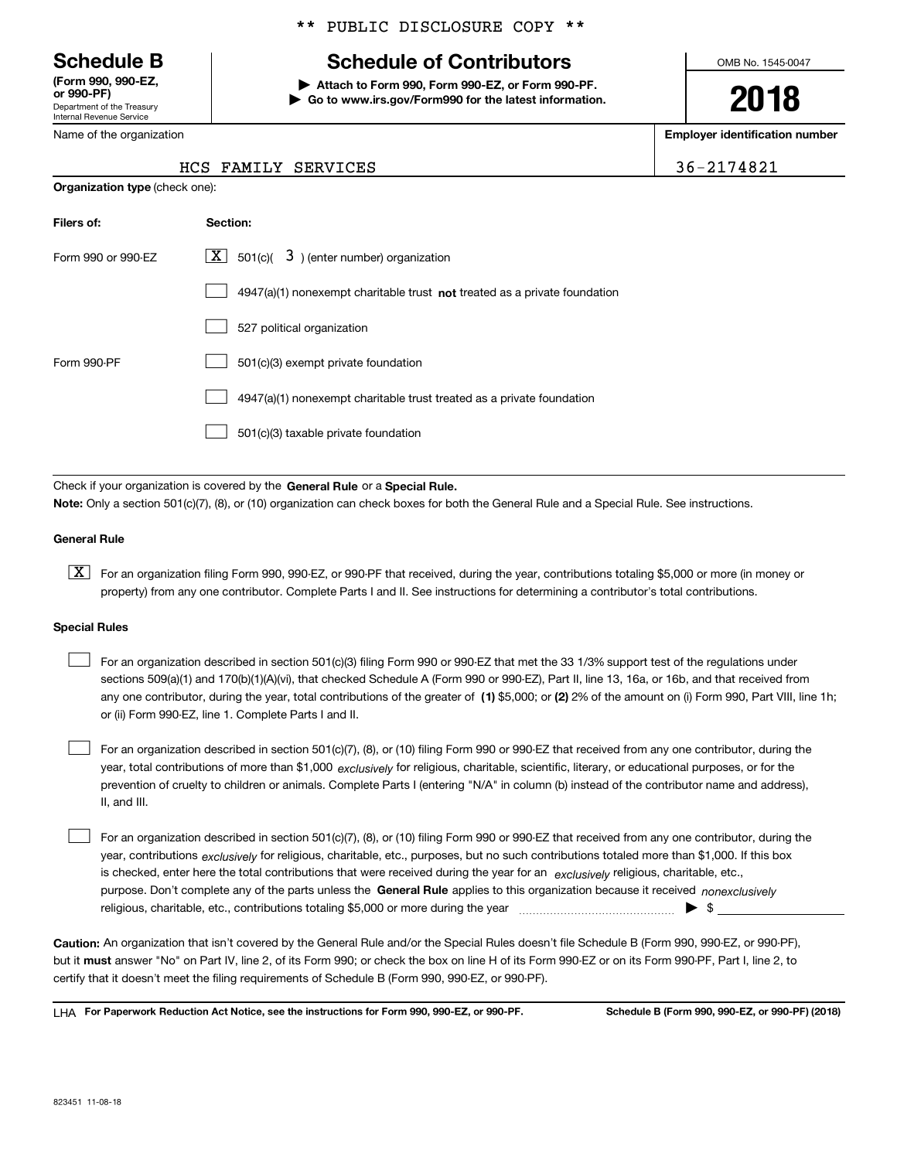Department of the Treasury Internal Revenue Service **(Form 990, 990-EZ, or 990-PF)**

Name of the organization

**Organization type** (check one):

### \*\* PUBLIC DISCLOSURE COPY \*\*

# **Schedule B Schedule of Contributors**

**| Attach to Form 990, Form 990-EZ, or Form 990-PF. | Go to www.irs.gov/Form990 for the latest information.** OMB No. 1545-0047

**2018**

**Employer identification number**

 $\texttt{ES} \quad 36-2174821$ 

|  | HCS FAMILY SERVICE |
|--|--------------------|

| Filers of:         | Section:                                                                  |
|--------------------|---------------------------------------------------------------------------|
| Form 990 or 990-EZ | $\lfloor x \rfloor$ 501(c)( 3) (enter number) organization                |
|                    | 4947(a)(1) nonexempt charitable trust not treated as a private foundation |
|                    | 527 political organization                                                |
| Form 990-PF        | 501(c)(3) exempt private foundation                                       |
|                    | 4947(a)(1) nonexempt charitable trust treated as a private foundation     |
|                    | 501(c)(3) taxable private foundation                                      |

Check if your organization is covered by the **General Rule** or a **Special Rule. Note:**  Only a section 501(c)(7), (8), or (10) organization can check boxes for both the General Rule and a Special Rule. See instructions.

#### **General Rule**

 $\boxed{\textbf{X}}$  For an organization filing Form 990, 990-EZ, or 990-PF that received, during the year, contributions totaling \$5,000 or more (in money or property) from any one contributor. Complete Parts I and II. See instructions for determining a contributor's total contributions.

#### **Special Rules**

| For an organization described in section 501(c)(3) filing Form 990 or 990-EZ that met the 33 1/3% support test of the regulations under               |
|-------------------------------------------------------------------------------------------------------------------------------------------------------|
| sections 509(a)(1) and 170(b)(1)(A)(vi), that checked Schedule A (Form 990 or 990-EZ), Part II, line 13, 16a, or 16b, and that received from          |
| any one contributor, during the year, total contributions of the greater of (1) \$5,000; or (2) 2% of the amount on (i) Form 990, Part VIII, line 1h; |
| or (ii) Form 990-EZ, line 1. Complete Parts I and II.                                                                                                 |

year, total contributions of more than \$1,000 *exclusively* for religious, charitable, scientific, literary, or educational purposes, or for the For an organization described in section 501(c)(7), (8), or (10) filing Form 990 or 990-EZ that received from any one contributor, during the prevention of cruelty to children or animals. Complete Parts I (entering "N/A" in column (b) instead of the contributor name and address), II, and III.  $\mathcal{L}^{\text{max}}$ 

purpose. Don't complete any of the parts unless the **General Rule** applies to this organization because it received *nonexclusively* year, contributions <sub>exclusively</sub> for religious, charitable, etc., purposes, but no such contributions totaled more than \$1,000. If this box is checked, enter here the total contributions that were received during the year for an  $\;$ exclusively religious, charitable, etc., For an organization described in section 501(c)(7), (8), or (10) filing Form 990 or 990-EZ that received from any one contributor, during the religious, charitable, etc., contributions totaling \$5,000 or more during the year  $\Box$ — $\Box$  =  $\Box$  $\mathcal{L}^{\text{max}}$ 

**Caution:**  An organization that isn't covered by the General Rule and/or the Special Rules doesn't file Schedule B (Form 990, 990-EZ, or 990-PF),  **must** but it answer "No" on Part IV, line 2, of its Form 990; or check the box on line H of its Form 990-EZ or on its Form 990-PF, Part I, line 2, to certify that it doesn't meet the filing requirements of Schedule B (Form 990, 990-EZ, or 990-PF).

**For Paperwork Reduction Act Notice, see the instructions for Form 990, 990-EZ, or 990-PF. Schedule B (Form 990, 990-EZ, or 990-PF) (2018)** LHA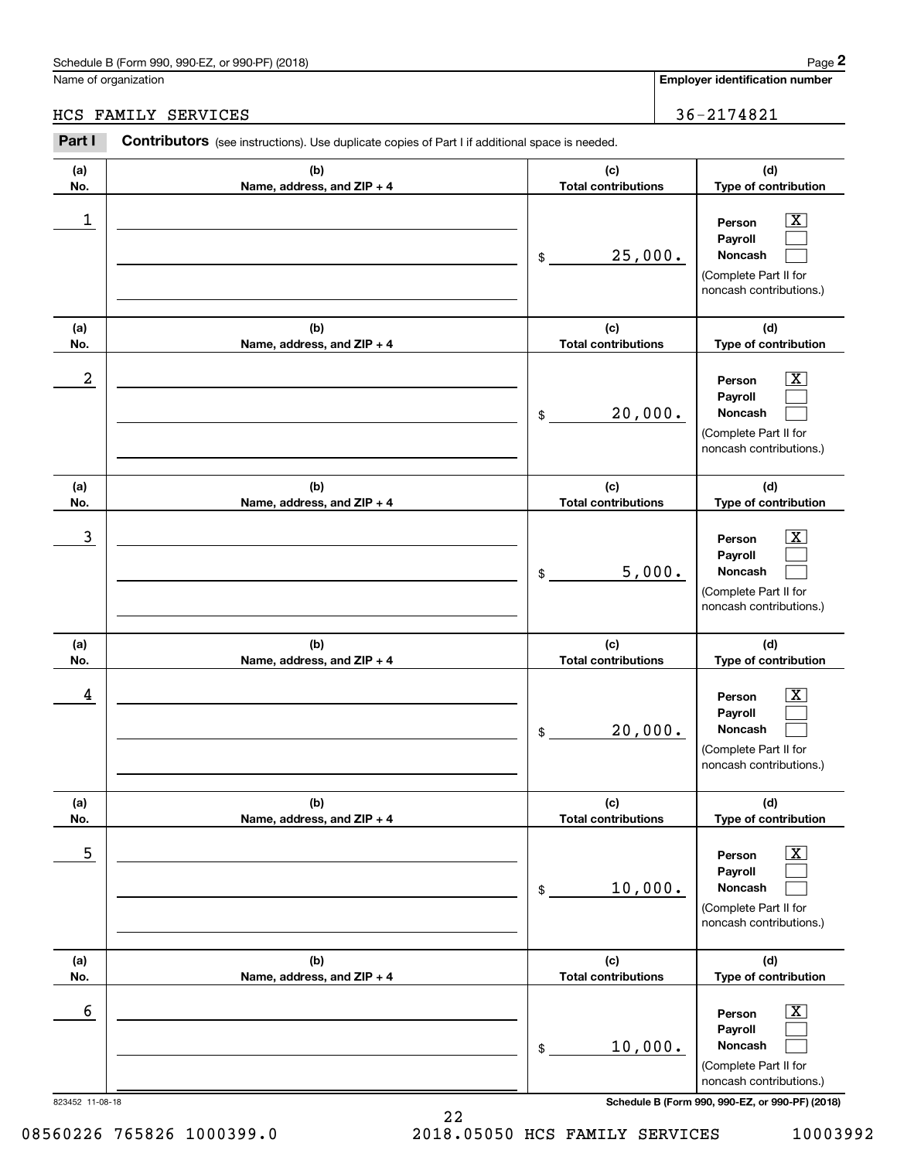|                 | Schedule B (Form 990, 990-EZ, or 990-PF) (2018)                                                       |                                   |        | Page 2                                                                                                      |
|-----------------|-------------------------------------------------------------------------------------------------------|-----------------------------------|--------|-------------------------------------------------------------------------------------------------------------|
|                 | Name of organization                                                                                  |                                   |        | <b>Employer identification number</b>                                                                       |
|                 | HCS FAMILY SERVICES                                                                                   |                                   |        | 36-2174821                                                                                                  |
| Part I          | <b>Contributors</b> (see instructions). Use duplicate copies of Part I if additional space is needed. |                                   |        |                                                                                                             |
| (a)<br>No.      | (b)<br>Name, address, and ZIP + 4                                                                     | (c)<br><b>Total contributions</b> |        | (d)<br>Type of contribution                                                                                 |
| 1               |                                                                                                       | 25,000.<br>\$                     |        | $\overline{\mathbf{X}}$<br>Person<br>Payroll<br>Noncash<br>(Complete Part II for<br>noncash contributions.) |
| (a)<br>No.      | (b)<br>Name, address, and ZIP + 4                                                                     | (c)<br><b>Total contributions</b> |        | (d)<br>Type of contribution                                                                                 |
| 2               |                                                                                                       | 20,000.<br>\$                     |        | $\overline{\mathbf{X}}$<br>Person<br>Payroll<br>Noncash<br>(Complete Part II for<br>noncash contributions.) |
| (a)<br>No.      | (b)<br>Name, address, and ZIP + 4                                                                     | (c)<br><b>Total contributions</b> |        | (d)<br>Type of contribution                                                                                 |
| 3               |                                                                                                       | \$                                | 5,000. | $\overline{\mathbf{X}}$<br>Person<br>Payroll<br>Noncash<br>(Complete Part II for<br>noncash contributions.) |
| (a)<br>No.      | (b)<br>Name, address, and ZIP + 4                                                                     | (c)<br><b>Total contributions</b> |        | (d)<br>Type of contribution                                                                                 |
| 4               |                                                                                                       | 20,000.<br>\$                     |        | $\overline{\mathbf{X}}$<br>Person<br>Payroll<br>Noncash<br>(Complete Part II for<br>noncash contributions.) |
| (a)<br>No.      | (b)<br>Name, address, and ZIP + 4                                                                     | (c)<br><b>Total contributions</b> |        | (d)<br>Type of contribution                                                                                 |
| 5               |                                                                                                       | 10,000.<br>\$                     |        | $\overline{\mathbf{X}}$<br>Person<br>Payroll<br>Noncash<br>(Complete Part II for<br>noncash contributions.) |
| (a)<br>No.      | (b)<br>Name, address, and ZIP + 4                                                                     | (c)<br><b>Total contributions</b> |        | (d)<br>Type of contribution                                                                                 |
| 6               |                                                                                                       | 10,000.<br>\$                     |        | $\overline{\mathbf{X}}$<br>Person<br>Payroll<br>Noncash<br>(Complete Part II for<br>noncash contributions.) |
| 823452 11-08-18 |                                                                                                       |                                   |        | Schedule B (Form 990, 990-EZ, or 990-PF) (2018)                                                             |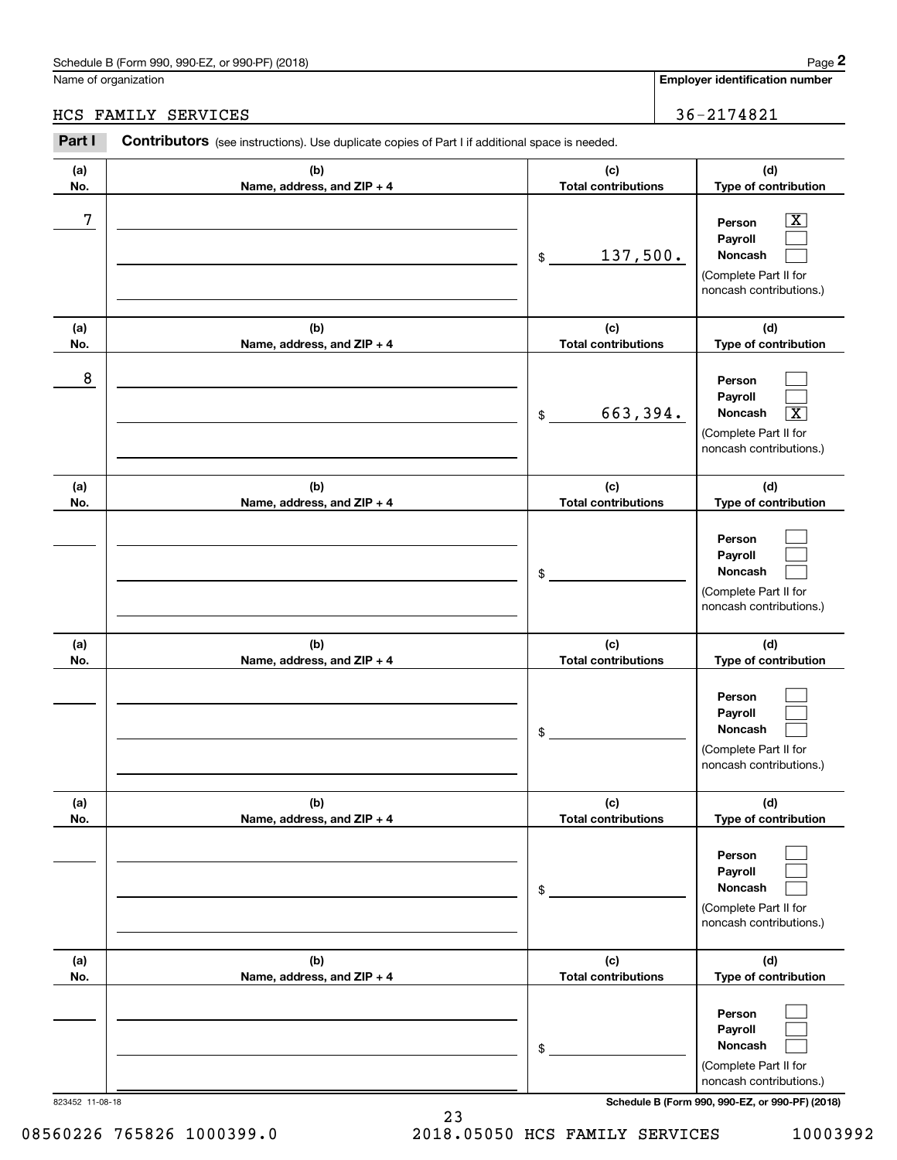| 2174821<br>36 |
|---------------|
|---------------|

|                      | Schedule B (Form 990, 990-EZ, or 990-PF) (2018)                                                       |                                   | Page 2                                                                                                                              |
|----------------------|-------------------------------------------------------------------------------------------------------|-----------------------------------|-------------------------------------------------------------------------------------------------------------------------------------|
| Name of organization |                                                                                                       |                                   | <b>Employer identification number</b>                                                                                               |
|                      | HCS FAMILY SERVICES                                                                                   |                                   | 36-2174821                                                                                                                          |
| Part I               | <b>Contributors</b> (see instructions). Use duplicate copies of Part I if additional space is needed. |                                   |                                                                                                                                     |
| (a)<br>No.           | (b)<br>Name, address, and ZIP + 4                                                                     | (c)<br><b>Total contributions</b> | (d)<br>Type of contribution                                                                                                         |
| 7                    |                                                                                                       | 137,500.<br>\$                    | $\overline{\mathbf{X}}$<br>Person<br>Payroll<br>Noncash<br>(Complete Part II for<br>noncash contributions.)                         |
| (a)<br>No.           | (b)<br>Name, address, and ZIP + 4                                                                     | (c)<br><b>Total contributions</b> | (d)<br>Type of contribution                                                                                                         |
| 8                    |                                                                                                       | 663,394.<br>\$                    | Person<br>Payroll<br>Noncash<br>$\overline{\text{X}}$<br>(Complete Part II for<br>noncash contributions.)                           |
| (a)<br>No.           | (b)<br>Name, address, and ZIP + 4                                                                     | (c)<br><b>Total contributions</b> | (d)<br>Type of contribution                                                                                                         |
|                      |                                                                                                       | \$                                | Person<br>Payroll<br>Noncash<br>(Complete Part II for<br>noncash contributions.)                                                    |
| (a)<br>No.           | (b)<br>Name, address, and ZIP + 4                                                                     | (c)<br><b>Total contributions</b> | (d)<br>Type of contribution                                                                                                         |
|                      |                                                                                                       | \$                                | Person<br>Payroll<br>Noncash<br>(Complete Part II for<br>noncash contributions.)                                                    |
| (a)<br>No.           | (b)<br>Name, address, and ZIP + 4                                                                     | (c)<br><b>Total contributions</b> | (d)<br>Type of contribution                                                                                                         |
|                      |                                                                                                       | \$                                | Person<br>Payroll<br>Noncash<br>(Complete Part II for<br>noncash contributions.)                                                    |
| (a)<br>No.           | (b)<br>Name, address, and ZIP + 4                                                                     | (c)<br><b>Total contributions</b> | (d)<br>Type of contribution                                                                                                         |
| 823452 11-08-18      |                                                                                                       | \$                                | Person<br>Payroll<br>Noncash<br>(Complete Part II for<br>noncash contributions.)<br>Schedule B (Form 990, 990-EZ, or 990-PF) (2018) |

08560226 765826 1000399.0 2018.05050 HCS FAMILY SERVICES 10003992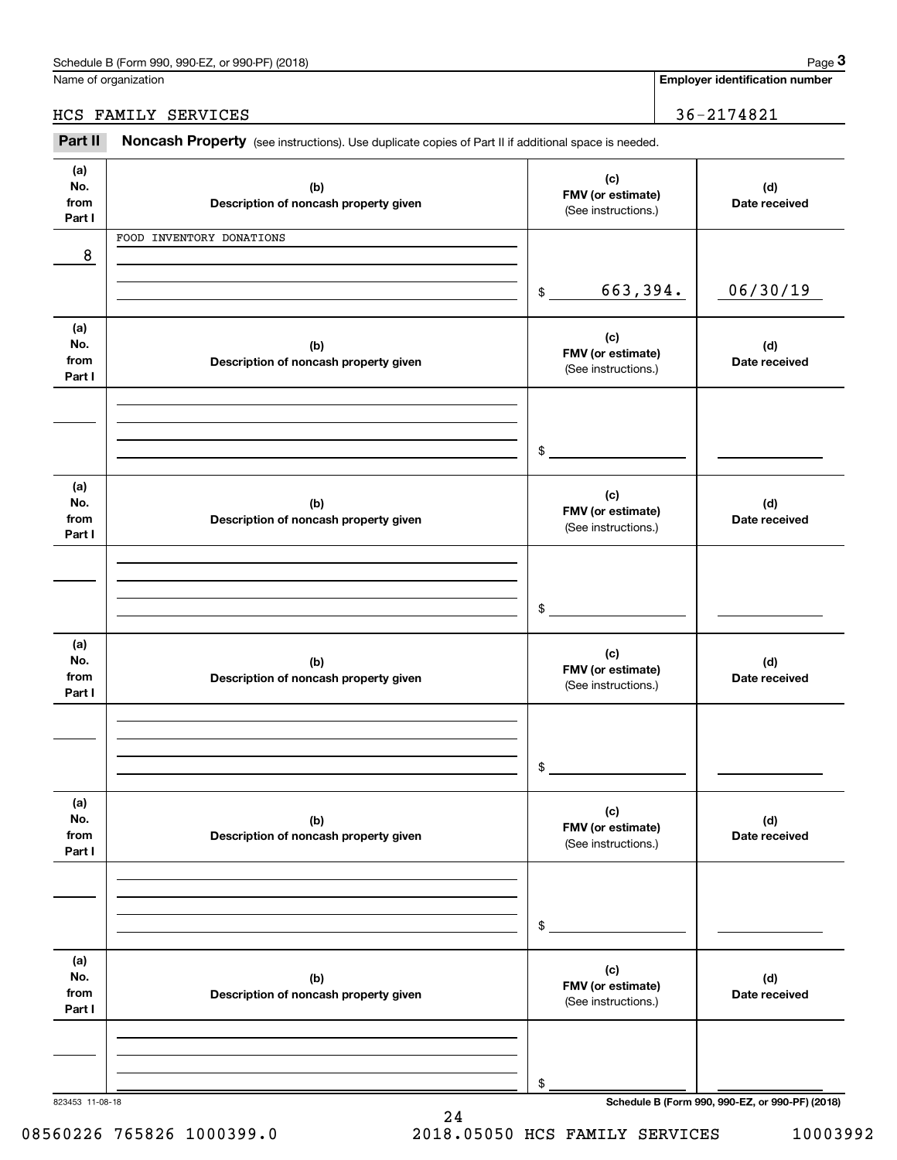| Schedule B (Form 990, 990-EZ, or 990-PF) (2018) | Page |
|-------------------------------------------------|------|
|                                                 |      |

Name of organization

**Employer identification number**

# HCS FAMILY SERVICES 36-2174821

Chedule B (Form 990, 990-EZ, or 990-PF) (2018)<br>Iame of organization<br>**ICS FAMILY SERVICES** 36-2174821<br>**Part II Noncash Property** (see instructions). Use duplicate copies of Part II if additional space is needed.

| (a)<br>No.<br>from<br>Part I | (b)<br>Description of noncash property given | (c)<br>FMV (or estimate)<br>(See instructions.) | (d)<br>Date received                            |
|------------------------------|----------------------------------------------|-------------------------------------------------|-------------------------------------------------|
| 8                            | FOOD INVENTORY DONATIONS                     | 663,394.<br>$\frac{1}{2}$                       | 06/30/19                                        |
| (a)<br>No.<br>from<br>Part I | (b)<br>Description of noncash property given | (c)<br>FMV (or estimate)<br>(See instructions.) | (d)<br>Date received                            |
|                              |                                              | $\frac{1}{2}$                                   |                                                 |
| (a)<br>No.<br>from<br>Part I | (b)<br>Description of noncash property given | (c)<br>FMV (or estimate)<br>(See instructions.) | (d)<br>Date received                            |
|                              |                                              | $\frac{1}{2}$                                   |                                                 |
| (a)<br>No.<br>from<br>Part I | (b)<br>Description of noncash property given | (c)<br>FMV (or estimate)<br>(See instructions.) | (d)<br>Date received                            |
|                              |                                              | \$                                              |                                                 |
| (a)<br>No.<br>from<br>Part I | (b)<br>Description of noncash property given | (c)<br>FMV (or estimate)<br>(See instructions.) | (d)<br>Date received                            |
|                              |                                              | \$                                              |                                                 |
| (a)<br>No.<br>from<br>Part I | (b)<br>Description of noncash property given | (c)<br>FMV (or estimate)<br>(See instructions.) | (d)<br>Date received                            |
| 823453 11-08-18              |                                              | \$                                              | Schedule B (Form 990, 990-EZ, or 990-PF) (2018) |

08560226 765826 1000399.0 2018.05050 HCS FAMILY SERVICES 10003992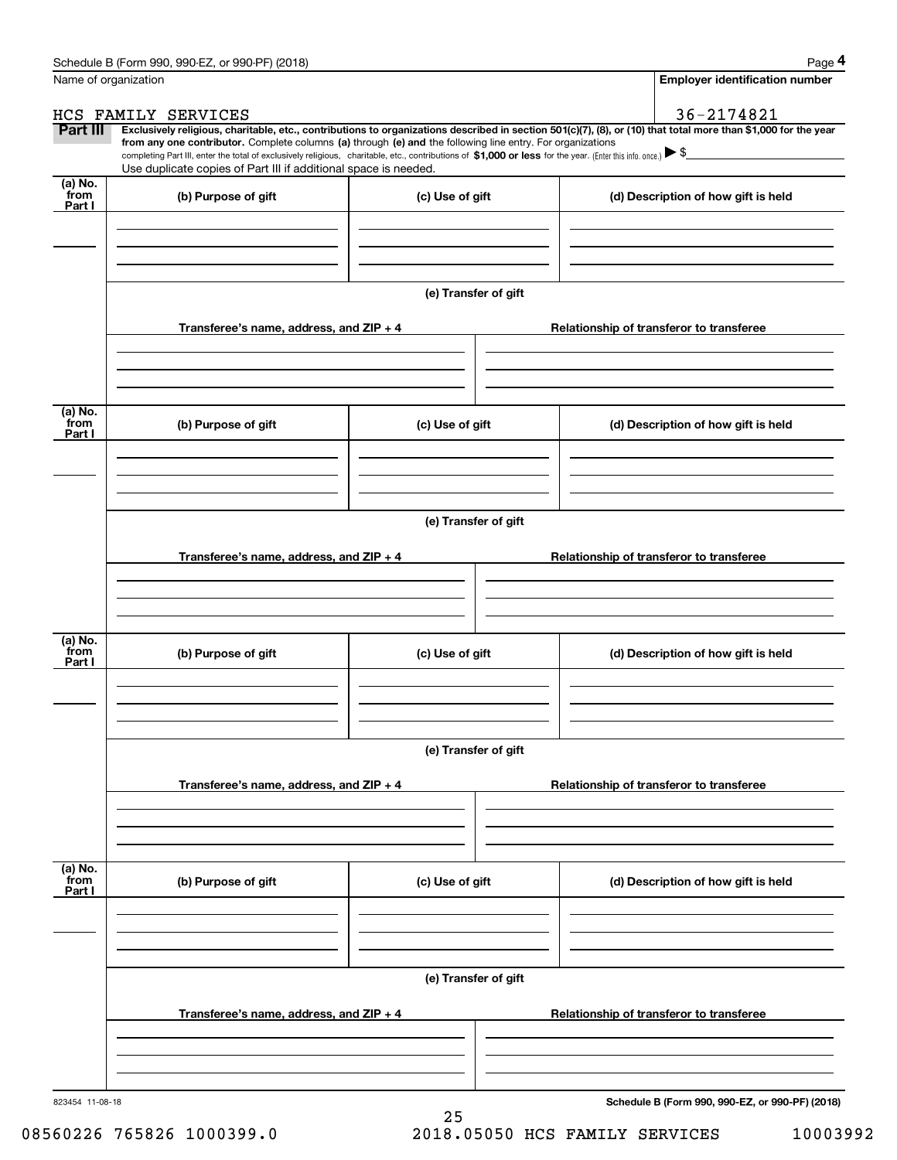|                           | Schedule B (Form 990, 990-EZ, or 990-PF) (2018)                                                                                                                                                                                                                              |                      |  |                                          | Page 4 |
|---------------------------|------------------------------------------------------------------------------------------------------------------------------------------------------------------------------------------------------------------------------------------------------------------------------|----------------------|--|------------------------------------------|--------|
|                           | Name of organization                                                                                                                                                                                                                                                         |                      |  | <b>Employer identification number</b>    |        |
|                           | HCS FAMILY SERVICES                                                                                                                                                                                                                                                          |                      |  | 36-2174821                               |        |
| Part III                  | Exclusively religious, charitable, etc., contributions to organizations described in section 501(c)(7), (8), or (10) that total more than \$1,000 for the year<br>from any one contributor. Complete columns (a) through (e) and the following line entry. For organizations |                      |  |                                          |        |
|                           | completing Part III, enter the total of exclusively religious, charitable, etc., contributions of \$1,000 or less for the year. (Enter this info. once.) $\blacktriangleright$ \$<br>Use duplicate copies of Part III if additional space is needed.                         |                      |  |                                          |        |
| (a) No.                   |                                                                                                                                                                                                                                                                              |                      |  |                                          |        |
| from<br>Part I            | (b) Purpose of gift                                                                                                                                                                                                                                                          | (c) Use of gift      |  | (d) Description of how gift is held      |        |
|                           |                                                                                                                                                                                                                                                                              |                      |  |                                          |        |
|                           |                                                                                                                                                                                                                                                                              | (e) Transfer of gift |  |                                          |        |
|                           | Transferee's name, address, and ZIP + 4                                                                                                                                                                                                                                      |                      |  | Relationship of transferor to transferee |        |
|                           |                                                                                                                                                                                                                                                                              |                      |  |                                          |        |
|                           |                                                                                                                                                                                                                                                                              |                      |  |                                          |        |
| (a) No.<br>from<br>Part I | (b) Purpose of gift                                                                                                                                                                                                                                                          | (c) Use of gift      |  | (d) Description of how gift is held      |        |
|                           |                                                                                                                                                                                                                                                                              |                      |  |                                          |        |
|                           |                                                                                                                                                                                                                                                                              |                      |  |                                          |        |
|                           | (e) Transfer of gift                                                                                                                                                                                                                                                         |                      |  |                                          |        |
|                           | Transferee's name, address, and ZIP + 4                                                                                                                                                                                                                                      |                      |  | Relationship of transferor to transferee |        |
|                           |                                                                                                                                                                                                                                                                              |                      |  |                                          |        |
| (a) No.<br>from<br>Part I | (b) Purpose of gift                                                                                                                                                                                                                                                          | (c) Use of gift      |  | (d) Description of how gift is held      |        |
|                           |                                                                                                                                                                                                                                                                              |                      |  |                                          |        |
|                           |                                                                                                                                                                                                                                                                              |                      |  |                                          |        |
|                           |                                                                                                                                                                                                                                                                              | (e) Transfer of gift |  |                                          |        |
|                           | Transferee's name, address, and ZIP + 4                                                                                                                                                                                                                                      |                      |  | Relationship of transferor to transferee |        |
|                           |                                                                                                                                                                                                                                                                              |                      |  |                                          |        |
| (a) No.<br>from           | (b) Purpose of gift                                                                                                                                                                                                                                                          | (c) Use of gift      |  | (d) Description of how gift is held      |        |
| Part I                    |                                                                                                                                                                                                                                                                              |                      |  |                                          |        |
|                           |                                                                                                                                                                                                                                                                              |                      |  |                                          |        |
|                           |                                                                                                                                                                                                                                                                              | (e) Transfer of gift |  |                                          |        |
|                           | Transferee's name, address, and ZIP + 4                                                                                                                                                                                                                                      |                      |  | Relationship of transferor to transferee |        |
|                           |                                                                                                                                                                                                                                                                              |                      |  |                                          |        |
|                           |                                                                                                                                                                                                                                                                              |                      |  |                                          |        |
|                           |                                                                                                                                                                                                                                                                              |                      |  |                                          |        |

823454 11-08-18

**Schedule B (Form 990, 990-EZ, or 990-PF) (2018)**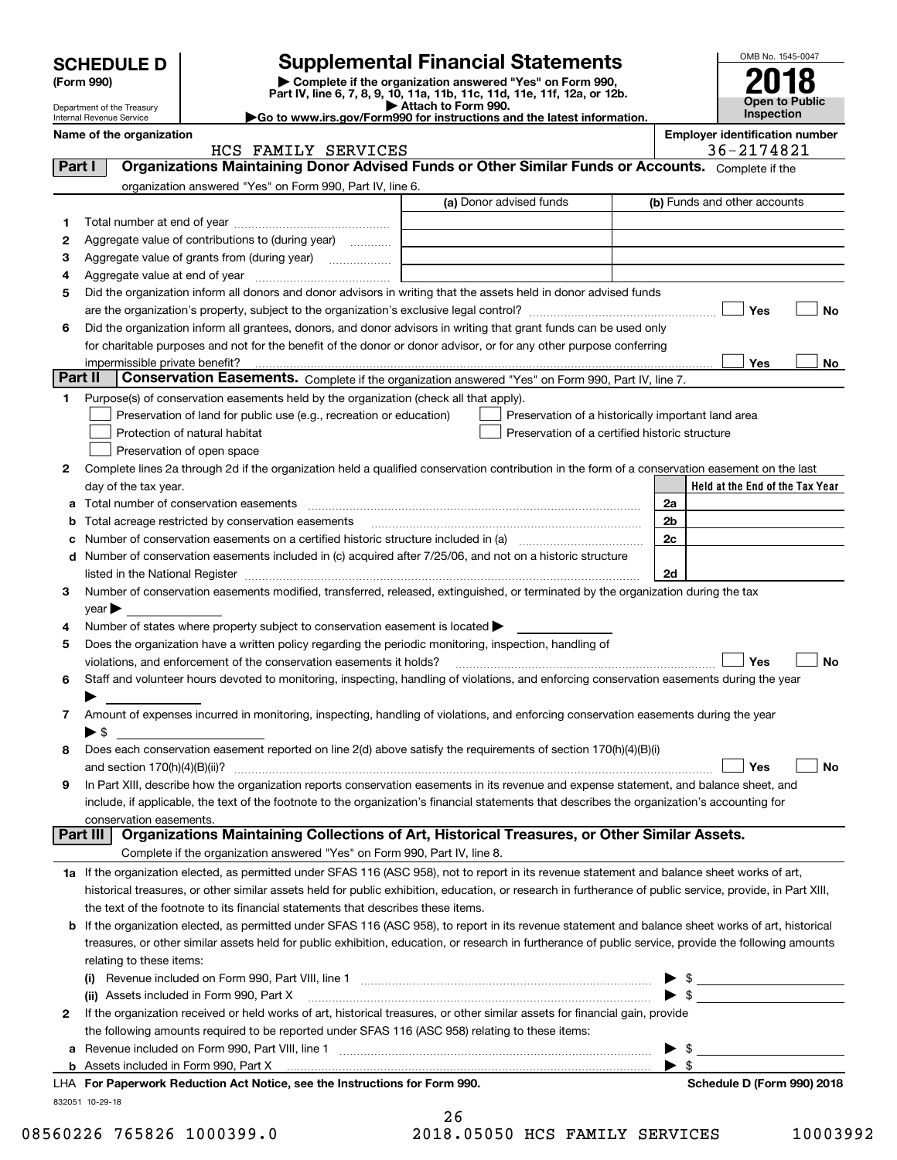| <b>Supplemental Financial Statements</b><br><b>SCHEDULE D</b><br>Complete if the organization answered "Yes" on Form 990,<br>(Form 990) |                                                                                                                              |                                                                                                                                                            |                         |                                                    |    | OMB No. 1545-0047                                   |  |
|-----------------------------------------------------------------------------------------------------------------------------------------|------------------------------------------------------------------------------------------------------------------------------|------------------------------------------------------------------------------------------------------------------------------------------------------------|-------------------------|----------------------------------------------------|----|-----------------------------------------------------|--|
|                                                                                                                                         |                                                                                                                              | Part IV, line 6, 7, 8, 9, 10, 11a, 11b, 11c, 11d, 11e, 11f, 12a, or 12b.                                                                                   |                         |                                                    |    | <b>Open to Public</b>                               |  |
|                                                                                                                                         | Department of the Treasury<br>Internal Revenue Service                                                                       | Go to www.irs.gov/Form990 for instructions and the latest information.                                                                                     | Attach to Form 990.     |                                                    |    | <b>Inspection</b>                                   |  |
|                                                                                                                                         | Name of the organization                                                                                                     | HCS FAMILY SERVICES                                                                                                                                        |                         |                                                    |    | <b>Employer identification number</b><br>36-2174821 |  |
| Part I                                                                                                                                  |                                                                                                                              | Organizations Maintaining Donor Advised Funds or Other Similar Funds or Accounts. Complete if the                                                          |                         |                                                    |    |                                                     |  |
|                                                                                                                                         |                                                                                                                              | organization answered "Yes" on Form 990, Part IV, line 6.                                                                                                  |                         |                                                    |    |                                                     |  |
|                                                                                                                                         |                                                                                                                              |                                                                                                                                                            | (a) Donor advised funds |                                                    |    | (b) Funds and other accounts                        |  |
| 1                                                                                                                                       |                                                                                                                              |                                                                                                                                                            |                         |                                                    |    |                                                     |  |
| 2                                                                                                                                       |                                                                                                                              | Aggregate value of contributions to (during year)                                                                                                          |                         |                                                    |    |                                                     |  |
| З                                                                                                                                       |                                                                                                                              |                                                                                                                                                            |                         |                                                    |    |                                                     |  |
| 4                                                                                                                                       |                                                                                                                              |                                                                                                                                                            |                         |                                                    |    |                                                     |  |
| 5                                                                                                                                       | Did the organization inform all donors and donor advisors in writing that the assets held in donor advised funds             |                                                                                                                                                            |                         |                                                    |    |                                                     |  |
|                                                                                                                                         |                                                                                                                              |                                                                                                                                                            |                         |                                                    |    | Yes<br><b>No</b>                                    |  |
| 6                                                                                                                                       |                                                                                                                              | Did the organization inform all grantees, donors, and donor advisors in writing that grant funds can be used only                                          |                         |                                                    |    |                                                     |  |
|                                                                                                                                         |                                                                                                                              | for charitable purposes and not for the benefit of the donor or donor advisor, or for any other purpose conferring                                         |                         |                                                    |    |                                                     |  |
| Part II                                                                                                                                 |                                                                                                                              | Conservation Easements. Complete if the organization answered "Yes" on Form 990, Part IV, line 7.                                                          |                         |                                                    |    | Yes<br><b>No</b>                                    |  |
| 1                                                                                                                                       |                                                                                                                              | Purpose(s) of conservation easements held by the organization (check all that apply).                                                                      |                         |                                                    |    |                                                     |  |
|                                                                                                                                         |                                                                                                                              | Preservation of land for public use (e.g., recreation or education)                                                                                        |                         | Preservation of a historically important land area |    |                                                     |  |
|                                                                                                                                         |                                                                                                                              | Protection of natural habitat                                                                                                                              |                         | Preservation of a certified historic structure     |    |                                                     |  |
|                                                                                                                                         |                                                                                                                              | Preservation of open space                                                                                                                                 |                         |                                                    |    |                                                     |  |
| 2                                                                                                                                       |                                                                                                                              | Complete lines 2a through 2d if the organization held a qualified conservation contribution in the form of a conservation easement on the last             |                         |                                                    |    |                                                     |  |
|                                                                                                                                         | day of the tax year.                                                                                                         |                                                                                                                                                            |                         |                                                    |    | Held at the End of the Tax Year                     |  |
| а                                                                                                                                       |                                                                                                                              |                                                                                                                                                            |                         |                                                    | 2a |                                                     |  |
| b                                                                                                                                       | Total acreage restricted by conservation easements                                                                           | 2 <sub>b</sub>                                                                                                                                             |                         |                                                    |    |                                                     |  |
| с                                                                                                                                       | Number of conservation easements on a certified historic structure included in (a) manufacture included in (a)               | 2c                                                                                                                                                         |                         |                                                    |    |                                                     |  |
|                                                                                                                                         | d Number of conservation easements included in (c) acquired after 7/25/06, and not on a historic structure                   |                                                                                                                                                            |                         |                                                    |    |                                                     |  |
|                                                                                                                                         |                                                                                                                              |                                                                                                                                                            |                         |                                                    | 2d |                                                     |  |
| 3                                                                                                                                       | $\mathsf{year}$                                                                                                              | Number of conservation easements modified, transferred, released, extinguished, or terminated by the organization during the tax                           |                         |                                                    |    |                                                     |  |
| 4                                                                                                                                       |                                                                                                                              | Number of states where property subject to conservation easement is located $\blacktriangleright$                                                          |                         |                                                    |    |                                                     |  |
| 5                                                                                                                                       |                                                                                                                              | Does the organization have a written policy regarding the periodic monitoring, inspection, handling of                                                     |                         |                                                    |    |                                                     |  |
|                                                                                                                                         |                                                                                                                              | violations, and enforcement of the conservation easements it holds?                                                                                        |                         |                                                    |    | Yes<br><b>No</b>                                    |  |
| 6                                                                                                                                       | ▶                                                                                                                            | Staff and volunteer hours devoted to monitoring, inspecting, handling of violations, and enforcing conservation easements during the year                  |                         |                                                    |    |                                                     |  |
| 7                                                                                                                                       | ▶ \$                                                                                                                         | Amount of expenses incurred in monitoring, inspecting, handling of violations, and enforcing conservation easements during the year                        |                         |                                                    |    |                                                     |  |
| 8                                                                                                                                       |                                                                                                                              | Does each conservation easement reported on line 2(d) above satisfy the requirements of section 170(h)(4)(B)(i)                                            |                         |                                                    |    |                                                     |  |
|                                                                                                                                         | and section $170(h)(4)(B)(ii)?$                                                                                              |                                                                                                                                                            |                         |                                                    |    | No<br>Yes                                           |  |
| 9                                                                                                                                       |                                                                                                                              | In Part XIII, describe how the organization reports conservation easements in its revenue and expense statement, and balance sheet, and                    |                         |                                                    |    |                                                     |  |
|                                                                                                                                         |                                                                                                                              | include, if applicable, the text of the footnote to the organization's financial statements that describes the organization's accounting for               |                         |                                                    |    |                                                     |  |
|                                                                                                                                         | conservation easements.<br>Part III                                                                                          | Organizations Maintaining Collections of Art, Historical Treasures, or Other Similar Assets.                                                               |                         |                                                    |    |                                                     |  |
|                                                                                                                                         |                                                                                                                              | Complete if the organization answered "Yes" on Form 990, Part IV, line 8.                                                                                  |                         |                                                    |    |                                                     |  |
|                                                                                                                                         |                                                                                                                              | 1a If the organization elected, as permitted under SFAS 116 (ASC 958), not to report in its revenue statement and balance sheet works of art,              |                         |                                                    |    |                                                     |  |
|                                                                                                                                         |                                                                                                                              | historical treasures, or other similar assets held for public exhibition, education, or research in furtherance of public service, provide, in Part XIII,  |                         |                                                    |    |                                                     |  |
|                                                                                                                                         |                                                                                                                              | the text of the footnote to its financial statements that describes these items.                                                                           |                         |                                                    |    |                                                     |  |
|                                                                                                                                         |                                                                                                                              | <b>b</b> If the organization elected, as permitted under SFAS 116 (ASC 958), to report in its revenue statement and balance sheet works of art, historical |                         |                                                    |    |                                                     |  |
|                                                                                                                                         |                                                                                                                              | treasures, or other similar assets held for public exhibition, education, or research in furtherance of public service, provide the following amounts      |                         |                                                    |    |                                                     |  |
|                                                                                                                                         | relating to these items:                                                                                                     |                                                                                                                                                            |                         |                                                    |    |                                                     |  |
|                                                                                                                                         |                                                                                                                              |                                                                                                                                                            |                         |                                                    |    | $\frac{1}{2}$                                       |  |
|                                                                                                                                         |                                                                                                                              | (ii) Assets included in Form 990, Part X                                                                                                                   |                         |                                                    |    | $\sim$                                              |  |
| 2                                                                                                                                       | If the organization received or held works of art, historical treasures, or other similar assets for financial gain, provide |                                                                                                                                                            |                         |                                                    |    |                                                     |  |

|  | the following amounts required to be reported under SFAS 116 (ASC 958) relating to these items: |
|--|-------------------------------------------------------------------------------------------------|
|  | <b>a</b> Revenue included on Form 990, Part VIII, line 1                                        |
|  | <b>b</b> Assets included in Form 990. Part X                                                    |

| LHA For Paperwork Reduction Act Notice, see the Instructions for Form 99 |  |  |
|--------------------------------------------------------------------------|--|--|
| 832051 10-29-18                                                          |  |  |

**For Paperwork Reduction Act Notice, see the Instructions for Form 990. Schedule D (Form 990) 2018**

 $\blacktriangleright$  \$

 $\blacktriangleright$  \$

26 08560226 765826 1000399.0 2018.05050 HCS FAMILY SERVICES 10003992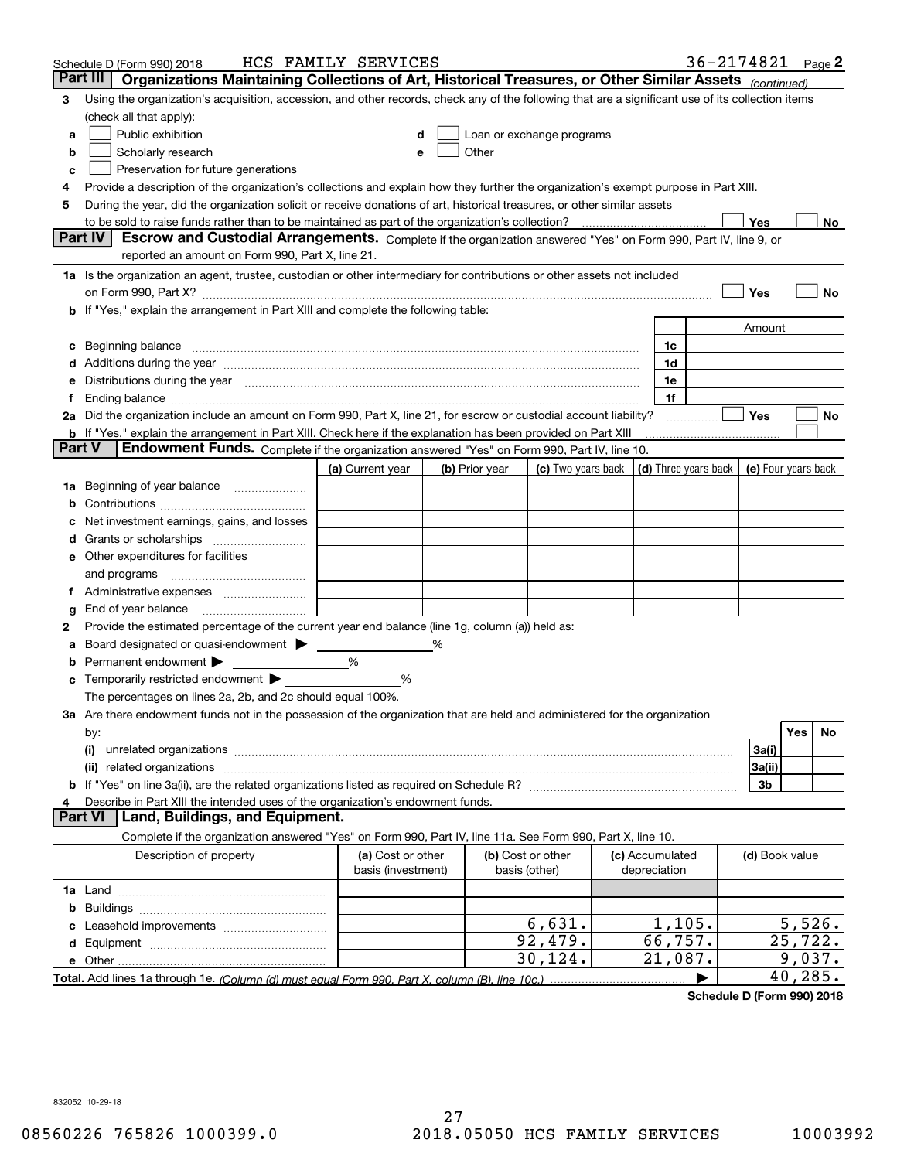|        | Schedule D (Form 990) 2018                                                                                                                                                                                                     | HCS FAMILY SERVICES                     |   |                |                                    |                                 |                | 36-2174821 Page 2   |
|--------|--------------------------------------------------------------------------------------------------------------------------------------------------------------------------------------------------------------------------------|-----------------------------------------|---|----------------|------------------------------------|---------------------------------|----------------|---------------------|
|        | Organizations Maintaining Collections of Art, Historical Treasures, or Other Similar Assets (continued)<br>Part III                                                                                                            |                                         |   |                |                                    |                                 |                |                     |
| 3      | Using the organization's acquisition, accession, and other records, check any of the following that are a significant use of its collection items                                                                              |                                         |   |                |                                    |                                 |                |                     |
|        | (check all that apply):                                                                                                                                                                                                        |                                         |   |                |                                    |                                 |                |                     |
| a      | Public exhibition                                                                                                                                                                                                              |                                         |   |                | Loan or exchange programs          |                                 |                |                     |
| b      | Scholarly research                                                                                                                                                                                                             |                                         | е |                |                                    |                                 |                |                     |
| c      | Preservation for future generations                                                                                                                                                                                            |                                         |   |                |                                    |                                 |                |                     |
| 4      | Provide a description of the organization's collections and explain how they further the organization's exempt purpose in Part XIII.                                                                                           |                                         |   |                |                                    |                                 |                |                     |
| 5      | During the year, did the organization solicit or receive donations of art, historical treasures, or other similar assets                                                                                                       |                                         |   |                |                                    |                                 |                |                     |
|        | to be sold to raise funds rather than to be maintained as part of the organization's collection?                                                                                                                               |                                         |   |                |                                    |                                 | Yes            | No                  |
|        | <b>Part IV</b><br>Escrow and Custodial Arrangements. Complete if the organization answered "Yes" on Form 990, Part IV, line 9, or                                                                                              |                                         |   |                |                                    |                                 |                |                     |
|        | reported an amount on Form 990, Part X, line 21.                                                                                                                                                                               |                                         |   |                |                                    |                                 |                |                     |
|        | 1a Is the organization an agent, trustee, custodian or other intermediary for contributions or other assets not included                                                                                                       |                                         |   |                |                                    |                                 |                |                     |
|        |                                                                                                                                                                                                                                |                                         |   |                |                                    |                                 | Yes            | No                  |
|        | b If "Yes," explain the arrangement in Part XIII and complete the following table:                                                                                                                                             |                                         |   |                |                                    |                                 |                |                     |
|        |                                                                                                                                                                                                                                |                                         |   |                |                                    |                                 | Amount         |                     |
|        | Beginning balance                                                                                                                                                                                                              |                                         |   |                |                                    | 1c                              |                |                     |
|        | Additions during the year manufactured and an annual contract of the year manufactured and a set of the year manufactured and a set of the year manufactured and a set of the year manufactured and a set of the year manufact |                                         |   |                |                                    | 1d                              |                |                     |
|        | Distributions during the year manufactured and continuum and contact the year manufactured and contact the year                                                                                                                |                                         |   |                |                                    | 1e<br>1f                        |                |                     |
|        | 2a Did the organization include an amount on Form 990, Part X, line 21, for escrow or custodial account liability?                                                                                                             |                                         |   |                |                                    |                                 | Yes            | No                  |
|        | <b>b</b> If "Yes," explain the arrangement in Part XIII. Check here if the explanation has been provided on Part XIII                                                                                                          |                                         |   |                |                                    |                                 |                |                     |
| Part V | Endowment Funds. Complete if the organization answered "Yes" on Form 990, Part IV, line 10.                                                                                                                                    |                                         |   |                |                                    |                                 |                |                     |
|        |                                                                                                                                                                                                                                | (a) Current year                        |   | (b) Prior year | (c) Two years back                 | (d) Three years back            |                | (e) Four years back |
| 1a     | Beginning of year balance                                                                                                                                                                                                      |                                         |   |                |                                    |                                 |                |                     |
|        |                                                                                                                                                                                                                                |                                         |   |                |                                    |                                 |                |                     |
|        | Net investment earnings, gains, and losses                                                                                                                                                                                     |                                         |   |                |                                    |                                 |                |                     |
|        |                                                                                                                                                                                                                                |                                         |   |                |                                    |                                 |                |                     |
| е      | Other expenditures for facilities                                                                                                                                                                                              |                                         |   |                |                                    |                                 |                |                     |
|        | and programs                                                                                                                                                                                                                   |                                         |   |                |                                    |                                 |                |                     |
|        |                                                                                                                                                                                                                                |                                         |   |                |                                    |                                 |                |                     |
| g      | End of year balance                                                                                                                                                                                                            |                                         |   |                |                                    |                                 |                |                     |
| 2      | Provide the estimated percentage of the current year end balance (line 1g, column (a)) held as:                                                                                                                                |                                         |   |                |                                    |                                 |                |                     |
|        | Board designated or quasi-endowment >                                                                                                                                                                                          |                                         | % |                |                                    |                                 |                |                     |
|        | Permanent endowment ▶                                                                                                                                                                                                          | %                                       |   |                |                                    |                                 |                |                     |
| с      | Temporarily restricted endowment                                                                                                                                                                                               | %                                       |   |                |                                    |                                 |                |                     |
|        | The percentages on lines 2a, 2b, and 2c should equal 100%.                                                                                                                                                                     |                                         |   |                |                                    |                                 |                |                     |
|        | 3a Are there endowment funds not in the possession of the organization that are held and administered for the organization                                                                                                     |                                         |   |                |                                    |                                 |                |                     |
|        | by:                                                                                                                                                                                                                            |                                         |   |                |                                    |                                 |                | Yes<br>No           |
|        | (i)                                                                                                                                                                                                                            |                                         |   |                |                                    |                                 | 3a(i)          |                     |
|        | (ii) related organizations                                                                                                                                                                                                     |                                         |   |                |                                    |                                 | 3a(ii)         |                     |
|        |                                                                                                                                                                                                                                |                                         |   |                |                                    |                                 | 3b             |                     |
|        | Describe in Part XIII the intended uses of the organization's endowment funds.<br>Land, Buildings, and Equipment.<br>Part VI                                                                                                   |                                         |   |                |                                    |                                 |                |                     |
|        |                                                                                                                                                                                                                                |                                         |   |                |                                    |                                 |                |                     |
|        | Complete if the organization answered "Yes" on Form 990, Part IV, line 11a. See Form 990, Part X, line 10.                                                                                                                     |                                         |   |                |                                    |                                 |                |                     |
|        | Description of property                                                                                                                                                                                                        | (a) Cost or other<br>basis (investment) |   |                | (b) Cost or other<br>basis (other) | (c) Accumulated<br>depreciation | (d) Book value |                     |
|        |                                                                                                                                                                                                                                |                                         |   |                |                                    |                                 |                |                     |
| b      |                                                                                                                                                                                                                                |                                         |   |                |                                    |                                 |                |                     |
|        |                                                                                                                                                                                                                                |                                         |   |                | 6,631.                             | 1,105.                          |                | 5,526.              |
| d      |                                                                                                                                                                                                                                |                                         |   |                | 92,479.                            | 66,757.                         |                | 25,722.             |
|        | e Other.                                                                                                                                                                                                                       |                                         |   |                | 30,124.                            | 21,087.                         |                | 9,037.              |
|        |                                                                                                                                                                                                                                |                                         |   |                |                                    |                                 |                | 40,285.             |

**Schedule D (Form 990) 2018**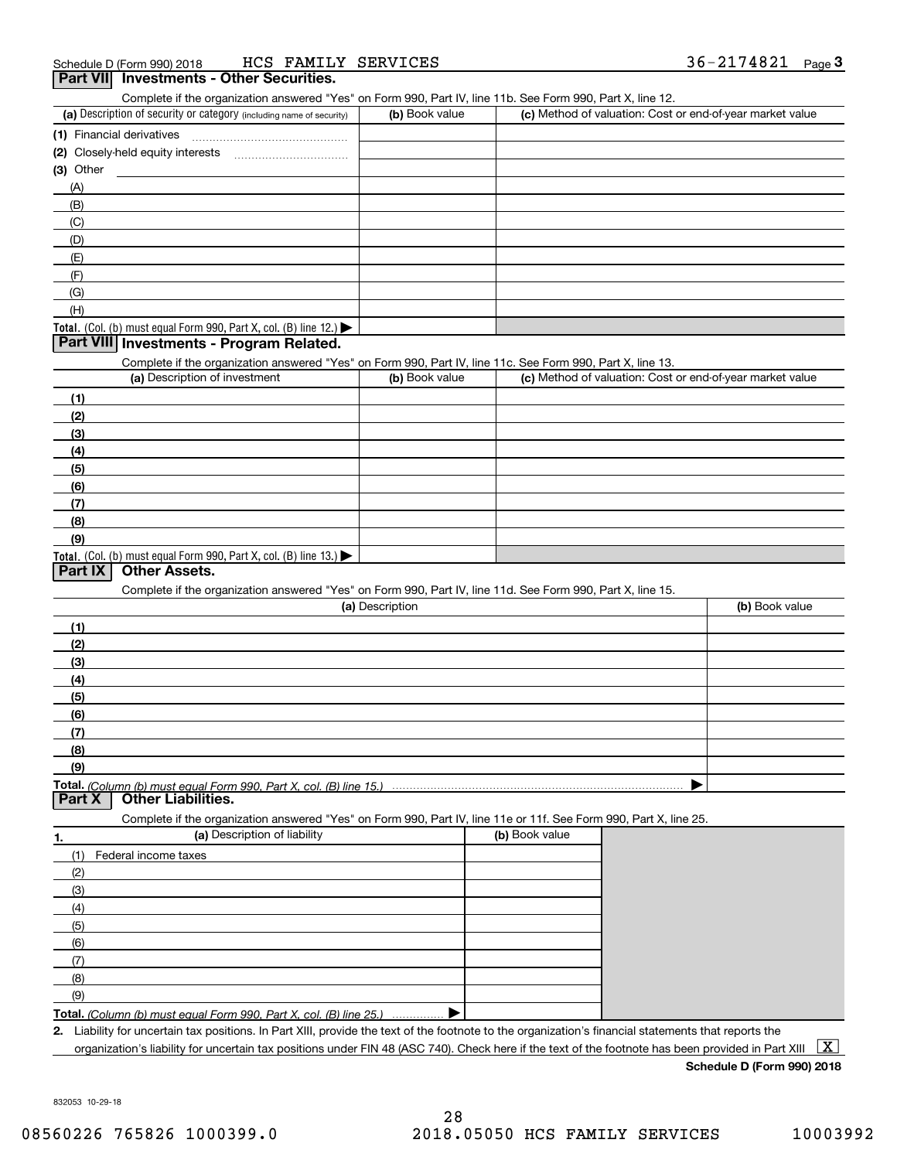Complete if the organization answered "Yes" on Form 990, Part IV, line 11b. See Form 990, Part X, line 12.

| (a) Description of security or category (including name of security)                          | (b) Book value | (c) Method of valuation: Cost or end-of-year market value |
|-----------------------------------------------------------------------------------------------|----------------|-----------------------------------------------------------|
| (1) Financial derivatives                                                                     |                |                                                           |
| (2) Closely-held equity interests<br>                                                         |                |                                                           |
| $(3)$ Other                                                                                   |                |                                                           |
| (A)                                                                                           |                |                                                           |
| (B)                                                                                           |                |                                                           |
| (C)                                                                                           |                |                                                           |
| (D)                                                                                           |                |                                                           |
| (E)                                                                                           |                |                                                           |
| (F)                                                                                           |                |                                                           |
| (G)                                                                                           |                |                                                           |
| (H)                                                                                           |                |                                                           |
| <b>Total.</b> (Col. (b) must equal Form 990, Part X, col. (B) line 12.) $\blacktriangleright$ |                |                                                           |

#### **Part VIII Investments - Program Related.**

Complete if the organization answered "Yes" on Form 990, Part IV, line 11c. See Form 990, Part X, line 13.

| (a) Description of investment                                       | (b) Book value | (c) Method of valuation: Cost or end-of-year market value |
|---------------------------------------------------------------------|----------------|-----------------------------------------------------------|
| (1)                                                                 |                |                                                           |
| (2)                                                                 |                |                                                           |
| $\frac{1}{2}$                                                       |                |                                                           |
| (4)                                                                 |                |                                                           |
| (5)                                                                 |                |                                                           |
| (6)                                                                 |                |                                                           |
| (7)                                                                 |                |                                                           |
| (8)                                                                 |                |                                                           |
| (9)                                                                 |                |                                                           |
| Total. (Col. (b) must equal Form 990, Part X, col. (B) line $13.$ ) |                |                                                           |

#### **Part IX Other Assets.**

Complete if the organization answered "Yes" on Form 990, Part IV, line 11d. See Form 990, Part X, line 15.

| (a) Description | (b) Book value |
|-----------------|----------------|
| (1)             |                |
| (2)             |                |
| $\frac{1}{2}$   |                |
| (4)             |                |
| $\frac{1}{2}$   |                |
| (6)             |                |
| $\sqrt{(7)}$    |                |
| (8)             |                |
| (9)             |                |
|                 |                |

**Part X Other Liabilities.**

Complete if the organization answered "Yes" on Form 990, Part IV, line 11e or 11f. See Form 990, Part X, line 25.

| 1.  | (a) Description of liability                                              | (b) Book value |
|-----|---------------------------------------------------------------------------|----------------|
| (1) | Federal income taxes                                                      |                |
| (2) |                                                                           |                |
| (3) |                                                                           |                |
| (4) |                                                                           |                |
| (5) |                                                                           |                |
| (6) |                                                                           |                |
|     |                                                                           |                |
| (8) |                                                                           |                |
| (9) |                                                                           |                |
|     | <b>Total.</b> (Column (b) must equal Form 990. Part X, col. (B) line 25.) |                |

**Total.**  *(Column (b) must equal Form 990, Part X, col. (B) line 25.)* . . . . . . . . . . . . . . .

**2.** Liability for uncertain tax positions. In Part XIII, provide the text of the footnote to the organization's financial statements that reports the organization's liability for uncertain tax positions under FIN 48 (ASC 740). Check here if the text of the footnote has been provided in Part XIII  $~\boxed{\rm X}$ 

**Schedule D (Form 990) 2018**

832053 10-29-18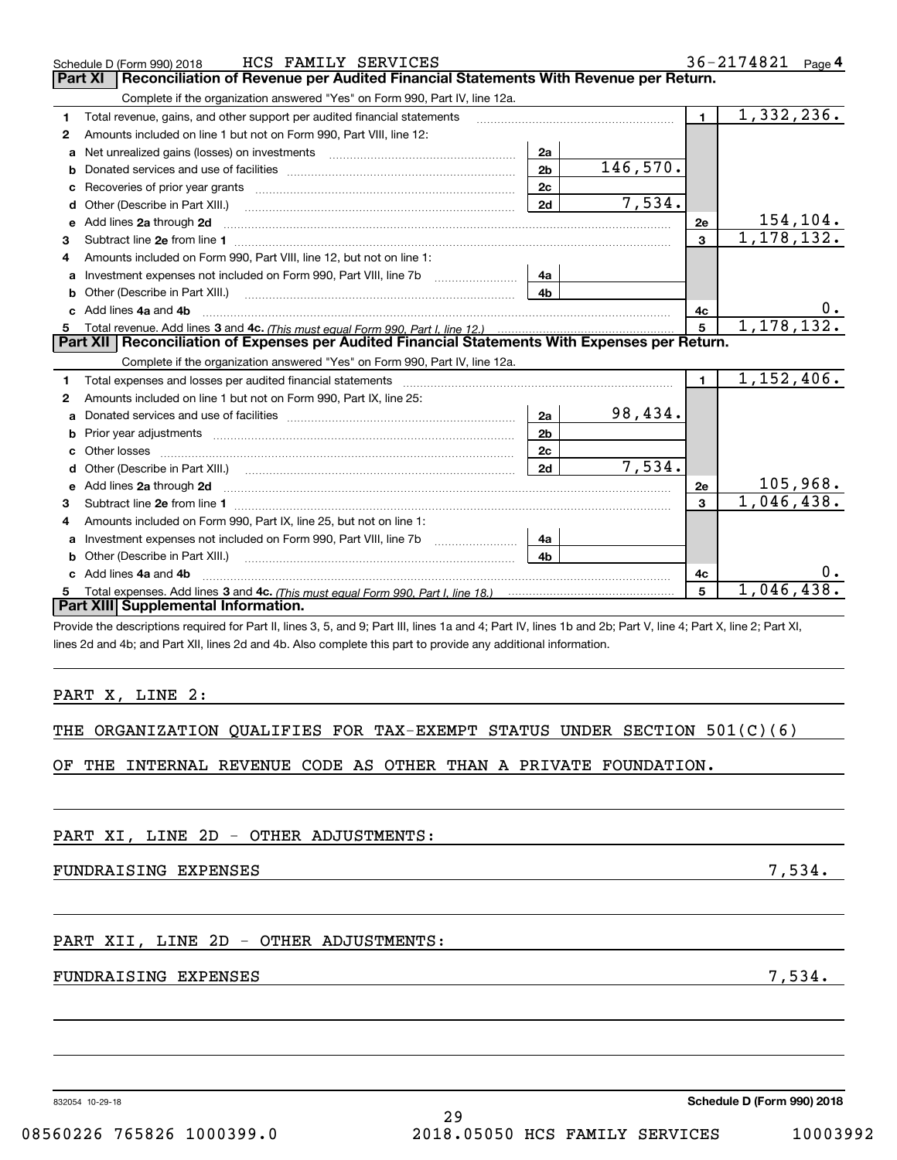|    | HCS FAMILY SERVICES<br>Schedule D (Form 990) 2018                                                                                                              |                |            |                | 36-2174821                    | Page 4 |
|----|----------------------------------------------------------------------------------------------------------------------------------------------------------------|----------------|------------|----------------|-------------------------------|--------|
|    | Part XI<br>Reconciliation of Revenue per Audited Financial Statements With Revenue per Return.                                                                 |                |            |                |                               |        |
|    | Complete if the organization answered "Yes" on Form 990, Part IV, line 12a.                                                                                    |                |            |                |                               |        |
| 1  | Total revenue, gains, and other support per audited financial statements                                                                                       |                |            | $\blacksquare$ | 1,332,236.                    |        |
| 2  | Amounts included on line 1 but not on Form 990, Part VIII, line 12:                                                                                            |                |            |                |                               |        |
| a  | Net unrealized gains (losses) on investments                                                                                                                   | 2a             |            |                |                               |        |
| b  |                                                                                                                                                                | 2 <sub>b</sub> | 146,570.   |                |                               |        |
| с  |                                                                                                                                                                | 2c             |            |                |                               |        |
|    |                                                                                                                                                                | 2d             | 7,534.     |                |                               |        |
| e  | Add lines 2a through 2d                                                                                                                                        |                |            | 2e             | $\frac{154,104.}{1,178,132.}$ |        |
| з  |                                                                                                                                                                |                |            | 3              |                               |        |
|    | Amounts included on Form 990, Part VIII, line 12, but not on line 1:                                                                                           |                |            |                |                               |        |
| a  | Investment expenses not included on Form 990, Part VIII, line 7b                                                                                               | 4a             |            |                |                               |        |
| b  | Other (Describe in Part XIII.) [100] [100] [100] [100] [100] [100] [100] [100] [100] [100] [100] [100] [100] [                                                 | 4 <sub>b</sub> |            |                |                               |        |
| C. | Add lines 4a and 4b                                                                                                                                            |                |            | 4с             |                               | 0.     |
|    |                                                                                                                                                                | 5              | 1,178,132. |                |                               |        |
|    | Part XII   Reconciliation of Expenses per Audited Financial Statements With Expenses per Return.                                                               |                |            |                |                               |        |
|    | Complete if the organization answered "Yes" on Form 990, Part IV, line 12a.                                                                                    |                |            |                |                               |        |
| 1. | Total expenses and losses per audited financial statements                                                                                                     |                |            | $\blacksquare$ | 1,152,406.                    |        |
| 2  | Amounts included on line 1 but not on Form 990, Part IX, line 25:                                                                                              |                |            |                |                               |        |
| a  |                                                                                                                                                                | 2a             | 98,434.    |                |                               |        |
| b  | Prior year adjustments [111] matter contracts and the matter of the matter contracts and prior year adjustments                                                | 2 <sub>b</sub> |            |                |                               |        |
| C. |                                                                                                                                                                | 2c             |            |                |                               |        |
|    |                                                                                                                                                                | 2d             | 7,534.     |                |                               |        |
| е  |                                                                                                                                                                |                |            | 2e             | 105,968.                      |        |
| 3  |                                                                                                                                                                |                |            | $\mathbf{3}$   | 1,046,438.                    |        |
| 4  | Amounts included on Form 990, Part IX, line 25, but not on line 1:                                                                                             |                |            |                |                               |        |
| a  |                                                                                                                                                                | 4a             |            |                |                               |        |
|    |                                                                                                                                                                | 4 <sub>b</sub> |            |                |                               |        |
|    | c Add lines 4a and 4b                                                                                                                                          |                |            | 4c             |                               | 0.     |
| 5. |                                                                                                                                                                |                |            | 5              | 1,046,438.                    |        |
|    | <b>Part XIII</b> Supplemental Information.                                                                                                                     |                |            |                |                               |        |
|    | Provide the descriptions required for Part II, lines 3, 5, and 9; Part III, lines 1a and 4; Part IV, lines 1b and 2b; Part V, line 4; Part X, line 2; Part XI, |                |            |                |                               |        |
|    | lines 2d and 4b; and Part XII, lines 2d and 4b. Also complete this part to provide any additional information.                                                 |                |            |                |                               |        |

## PART X, LINE 2:

|  | THE ORGANIZATION QUALIFIES FOR TAX-EXEMPT STATUS UNDER SECTION 501(C)(6) |  |  |  |  |  |  |  |
|--|--------------------------------------------------------------------------|--|--|--|--|--|--|--|
|--|--------------------------------------------------------------------------|--|--|--|--|--|--|--|

OF THE INTERNAL REVENUE CODE AS OTHER THAN A PRIVATE FOUNDATION.

PART XI, LINE 2D - OTHER ADJUSTMENTS:

FUNDRAISING EXPENSES 7,534.

PART XII, LINE 2D - OTHER ADJUSTMENTS:

# FUNDRAISING EXPENSES 7,534.

832054 10-29-18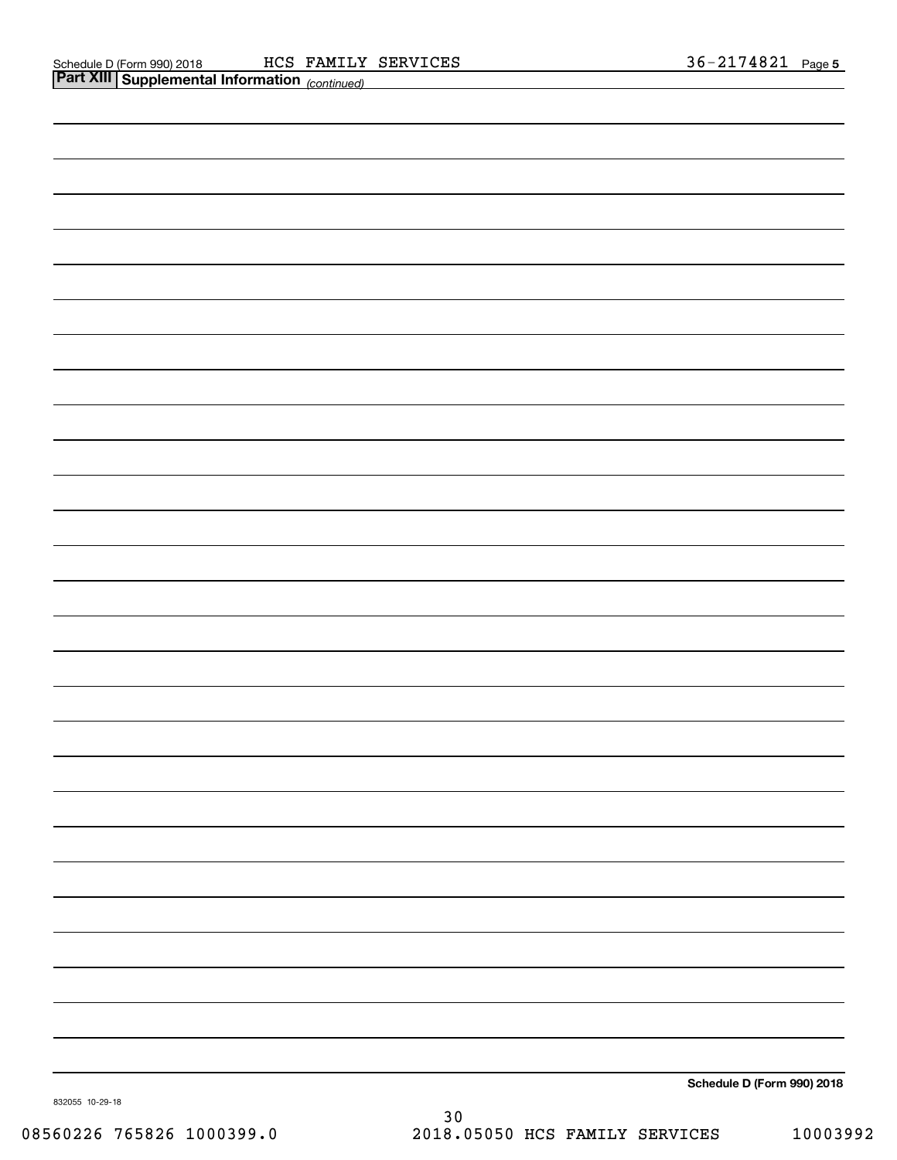| <b>Part XIII Supplemental Information</b> (continued) |                            |
|-------------------------------------------------------|----------------------------|
|                                                       |                            |
|                                                       |                            |
|                                                       |                            |
|                                                       |                            |
|                                                       |                            |
|                                                       |                            |
|                                                       |                            |
|                                                       |                            |
|                                                       |                            |
|                                                       |                            |
|                                                       |                            |
|                                                       |                            |
|                                                       |                            |
|                                                       |                            |
|                                                       |                            |
|                                                       |                            |
|                                                       |                            |
|                                                       |                            |
|                                                       |                            |
|                                                       |                            |
|                                                       |                            |
|                                                       |                            |
|                                                       |                            |
|                                                       |                            |
|                                                       |                            |
|                                                       |                            |
|                                                       |                            |
|                                                       |                            |
|                                                       |                            |
|                                                       | Schedule D (Form 990) 2018 |

832055 10-29-18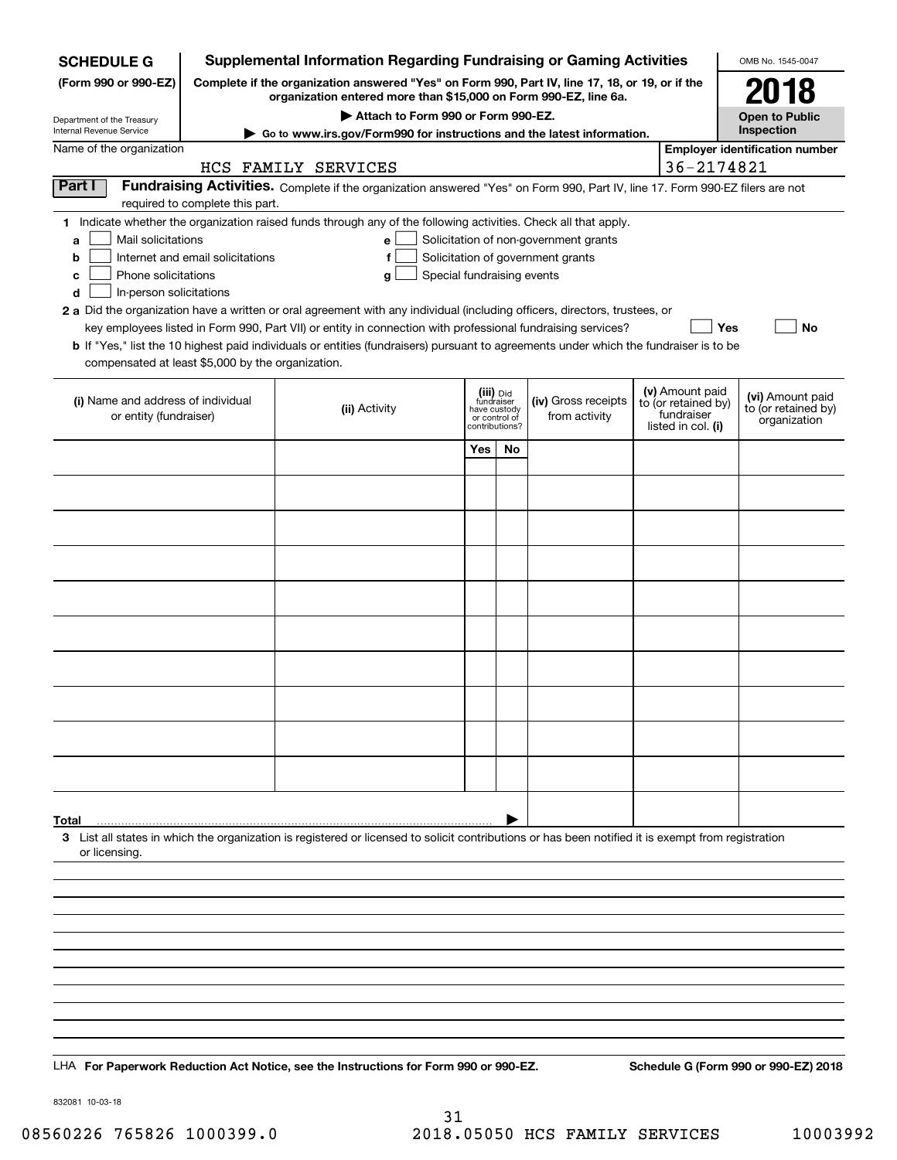| <b>Supplemental Information Regarding Fundraising or Gaming Activities</b><br><b>SCHEDULE G</b> |                                                                                                                                                                     |                                                                                                                                                                                                                                           |                               |    |                                       |  |                                   | OMB No. 1545-0047                     |  |
|-------------------------------------------------------------------------------------------------|---------------------------------------------------------------------------------------------------------------------------------------------------------------------|-------------------------------------------------------------------------------------------------------------------------------------------------------------------------------------------------------------------------------------------|-------------------------------|----|---------------------------------------|--|-----------------------------------|---------------------------------------|--|
| (Form 990 or 990-EZ)                                                                            | Complete if the organization answered "Yes" on Form 990, Part IV, line 17, 18, or 19, or if the<br>organization entered more than \$15,000 on Form 990-EZ, line 6a. |                                                                                                                                                                                                                                           |                               |    |                                       |  |                                   |                                       |  |
| Department of the Treasury<br><b>Internal Revenue Service</b>                                   |                                                                                                                                                                     | Attach to Form 990 or Form 990-EZ.                                                                                                                                                                                                        |                               |    |                                       |  |                                   | <b>Open to Public</b><br>Inspection   |  |
| Name of the organization                                                                        |                                                                                                                                                                     | Go to www.irs.gov/Form990 for instructions and the latest information.                                                                                                                                                                    |                               |    |                                       |  |                                   | <b>Employer identification number</b> |  |
|                                                                                                 |                                                                                                                                                                     | HCS FAMILY SERVICES                                                                                                                                                                                                                       |                               |    |                                       |  | 36-2174821                        |                                       |  |
| Part I                                                                                          |                                                                                                                                                                     | Fundraising Activities. Complete if the organization answered "Yes" on Form 990, Part IV, line 17. Form 990-EZ filers are not                                                                                                             |                               |    |                                       |  |                                   |                                       |  |
|                                                                                                 | required to complete this part.                                                                                                                                     | 1 Indicate whether the organization raised funds through any of the following activities. Check all that apply.                                                                                                                           |                               |    |                                       |  |                                   |                                       |  |
| Mail solicitations<br>a                                                                         |                                                                                                                                                                     | e l                                                                                                                                                                                                                                       |                               |    | Solicitation of non-government grants |  |                                   |                                       |  |
| b                                                                                               | Internet and email solicitations                                                                                                                                    |                                                                                                                                                                                                                                           |                               |    | Solicitation of government grants     |  |                                   |                                       |  |
| Phone solicitations<br>с                                                                        |                                                                                                                                                                     | Special fundraising events<br>a                                                                                                                                                                                                           |                               |    |                                       |  |                                   |                                       |  |
| In-person solicitations<br>d                                                                    |                                                                                                                                                                     |                                                                                                                                                                                                                                           |                               |    |                                       |  |                                   |                                       |  |
|                                                                                                 |                                                                                                                                                                     | 2 a Did the organization have a written or oral agreement with any individual (including officers, directors, trustees, or<br>key employees listed in Form 990, Part VII) or entity in connection with professional fundraising services? |                               |    |                                       |  | Yes                               | No                                    |  |
|                                                                                                 |                                                                                                                                                                     | b If "Yes," list the 10 highest paid individuals or entities (fundraisers) pursuant to agreements under which the fundraiser is to be                                                                                                     |                               |    |                                       |  |                                   |                                       |  |
| compensated at least \$5,000 by the organization.                                               |                                                                                                                                                                     |                                                                                                                                                                                                                                           |                               |    |                                       |  |                                   |                                       |  |
|                                                                                                 |                                                                                                                                                                     |                                                                                                                                                                                                                                           | (iii) Did<br>fundraiser       |    |                                       |  | (v) Amount paid                   | (vi) Amount paid                      |  |
| (i) Name and address of individual<br>or entity (fundraiser)                                    |                                                                                                                                                                     | (ii) Activity                                                                                                                                                                                                                             | have custody<br>or control of |    | (iv) Gross receipts<br>from activity  |  | to (or retained by)<br>fundraiser | to (or retained by)                   |  |
|                                                                                                 |                                                                                                                                                                     |                                                                                                                                                                                                                                           | contributions?                |    |                                       |  | listed in col. (i)                | organization                          |  |
|                                                                                                 |                                                                                                                                                                     |                                                                                                                                                                                                                                           | Yes                           | No |                                       |  |                                   |                                       |  |
|                                                                                                 |                                                                                                                                                                     |                                                                                                                                                                                                                                           |                               |    |                                       |  |                                   |                                       |  |
|                                                                                                 |                                                                                                                                                                     |                                                                                                                                                                                                                                           |                               |    |                                       |  |                                   |                                       |  |
|                                                                                                 |                                                                                                                                                                     |                                                                                                                                                                                                                                           |                               |    |                                       |  |                                   |                                       |  |
|                                                                                                 |                                                                                                                                                                     |                                                                                                                                                                                                                                           |                               |    |                                       |  |                                   |                                       |  |
|                                                                                                 |                                                                                                                                                                     |                                                                                                                                                                                                                                           |                               |    |                                       |  |                                   |                                       |  |
|                                                                                                 |                                                                                                                                                                     |                                                                                                                                                                                                                                           |                               |    |                                       |  |                                   |                                       |  |
|                                                                                                 |                                                                                                                                                                     |                                                                                                                                                                                                                                           |                               |    |                                       |  |                                   |                                       |  |
|                                                                                                 |                                                                                                                                                                     |                                                                                                                                                                                                                                           |                               |    |                                       |  |                                   |                                       |  |
|                                                                                                 |                                                                                                                                                                     |                                                                                                                                                                                                                                           |                               |    |                                       |  |                                   |                                       |  |
|                                                                                                 |                                                                                                                                                                     |                                                                                                                                                                                                                                           |                               |    |                                       |  |                                   |                                       |  |
|                                                                                                 |                                                                                                                                                                     |                                                                                                                                                                                                                                           |                               |    |                                       |  |                                   |                                       |  |
|                                                                                                 |                                                                                                                                                                     |                                                                                                                                                                                                                                           |                               |    |                                       |  |                                   |                                       |  |
|                                                                                                 |                                                                                                                                                                     |                                                                                                                                                                                                                                           |                               |    |                                       |  |                                   |                                       |  |
|                                                                                                 |                                                                                                                                                                     |                                                                                                                                                                                                                                           |                               |    |                                       |  |                                   |                                       |  |
|                                                                                                 |                                                                                                                                                                     |                                                                                                                                                                                                                                           |                               |    |                                       |  |                                   |                                       |  |
|                                                                                                 |                                                                                                                                                                     |                                                                                                                                                                                                                                           |                               |    |                                       |  |                                   |                                       |  |
| Total                                                                                           |                                                                                                                                                                     |                                                                                                                                                                                                                                           |                               |    |                                       |  |                                   |                                       |  |
| or licensing.                                                                                   |                                                                                                                                                                     | 3 List all states in which the organization is registered or licensed to solicit contributions or has been notified it is exempt from registration                                                                                        |                               |    |                                       |  |                                   |                                       |  |
|                                                                                                 |                                                                                                                                                                     |                                                                                                                                                                                                                                           |                               |    |                                       |  |                                   |                                       |  |
|                                                                                                 |                                                                                                                                                                     |                                                                                                                                                                                                                                           |                               |    |                                       |  |                                   |                                       |  |
|                                                                                                 |                                                                                                                                                                     |                                                                                                                                                                                                                                           |                               |    |                                       |  |                                   |                                       |  |
|                                                                                                 |                                                                                                                                                                     |                                                                                                                                                                                                                                           |                               |    |                                       |  |                                   |                                       |  |
|                                                                                                 |                                                                                                                                                                     |                                                                                                                                                                                                                                           |                               |    |                                       |  |                                   |                                       |  |
|                                                                                                 |                                                                                                                                                                     |                                                                                                                                                                                                                                           |                               |    |                                       |  |                                   |                                       |  |
|                                                                                                 |                                                                                                                                                                     |                                                                                                                                                                                                                                           |                               |    |                                       |  |                                   |                                       |  |
|                                                                                                 |                                                                                                                                                                     |                                                                                                                                                                                                                                           |                               |    |                                       |  |                                   |                                       |  |
|                                                                                                 |                                                                                                                                                                     |                                                                                                                                                                                                                                           |                               |    |                                       |  |                                   |                                       |  |
|                                                                                                 |                                                                                                                                                                     | LHA For Paperwork Reduction Act Notice, see the Instructions for Form 990 or 990-EZ.                                                                                                                                                      |                               |    |                                       |  |                                   | Schedule G (Form 990 or 990-EZ) 2018  |  |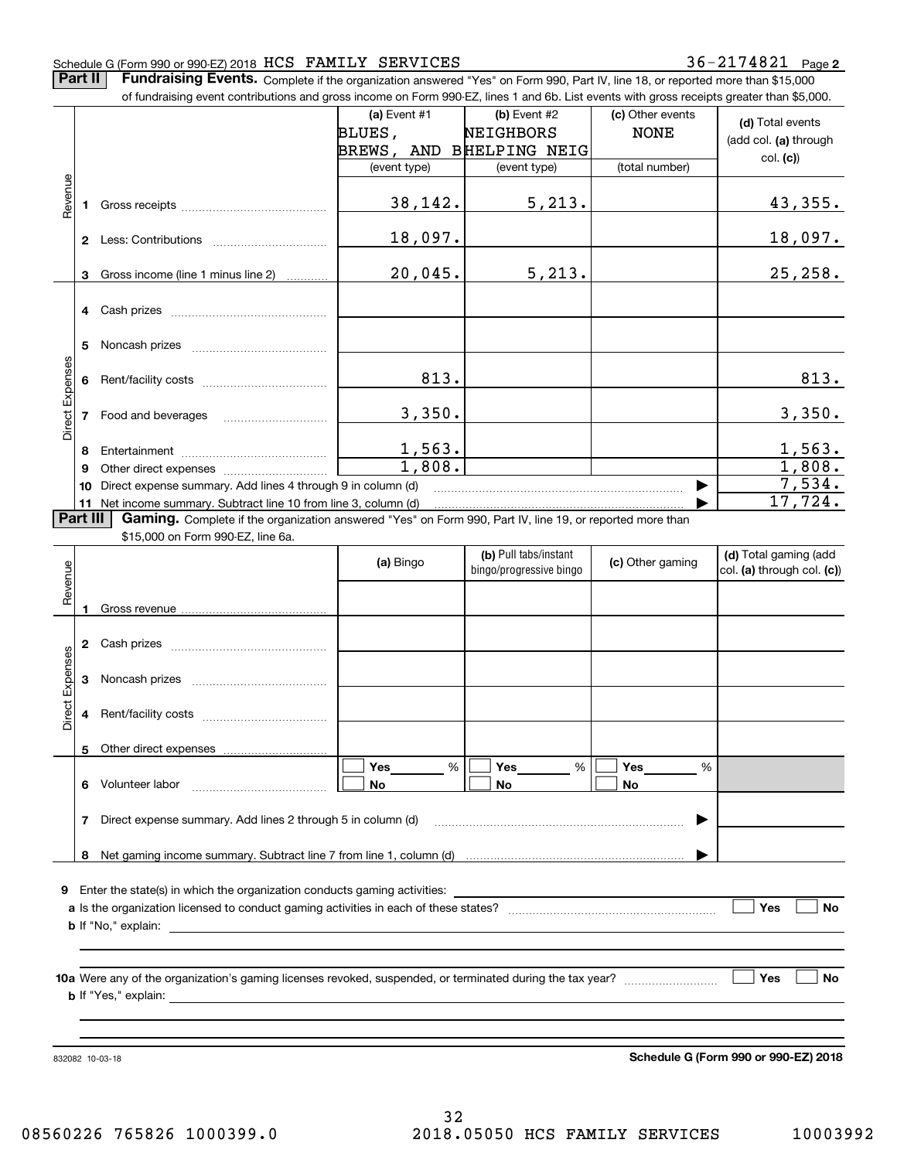#### Schedule G (Form 990 or 990-EZ) 2018 Page HCS FAMILY SERVICES 36-2174821

**Part II** | Fundraising Events. Complete if the organization answered "Yes" on Form 990, Part IV, line 18, or reported more than \$15,000

|                 |             | of fundraising event contributions and gross income on Form 990-EZ, lines 1 and 6b. List events with gross receipts greater than \$5,000. |                          |                                                  |                                 |                                                     |  |  |
|-----------------|-------------|-------------------------------------------------------------------------------------------------------------------------------------------|--------------------------|--------------------------------------------------|---------------------------------|-----------------------------------------------------|--|--|
|                 |             |                                                                                                                                           | (a) Event $#1$<br>BLUES, | (b) Event #2<br><b>NEIGHBORS</b>                 | (c) Other events<br><b>NONE</b> | (d) Total events<br>(add col. (a) through           |  |  |
|                 |             |                                                                                                                                           | BREWS, AND BHELPING NEIG |                                                  |                                 | col. (c)                                            |  |  |
|                 |             |                                                                                                                                           | (event type)             | (event type)                                     | (total number)                  |                                                     |  |  |
| Revenue         |             |                                                                                                                                           | 38,142.                  | 5,213.                                           |                                 | 43,355.                                             |  |  |
|                 |             |                                                                                                                                           | 18,097.                  |                                                  |                                 | 18,097.                                             |  |  |
|                 | 3           | Gross income (line 1 minus line 2)                                                                                                        | 20,045.                  | 5,213.                                           |                                 | 25, 258.                                            |  |  |
|                 |             |                                                                                                                                           |                          |                                                  |                                 |                                                     |  |  |
|                 | 5.          |                                                                                                                                           |                          |                                                  |                                 |                                                     |  |  |
|                 | 6           |                                                                                                                                           | 813.                     |                                                  |                                 | 813.                                                |  |  |
| Direct Expenses |             |                                                                                                                                           | 3,350.                   |                                                  |                                 | 3,350.                                              |  |  |
|                 | 8           |                                                                                                                                           |                          |                                                  |                                 |                                                     |  |  |
|                 | 9           |                                                                                                                                           | $\frac{1,563}{1,808}$    |                                                  |                                 | $\frac{1,563.}{1,808.}$                             |  |  |
|                 | 10          | Direct expense summary. Add lines 4 through 9 in column (d)                                                                               |                          |                                                  | ▶                               | 7,534.                                              |  |  |
|                 |             | 11 Net income summary. Subtract line 10 from line 3, column (d)                                                                           |                          |                                                  |                                 | 17,724.                                             |  |  |
|                 | Part III    | <b>Gaming.</b> Complete if the organization answered "Yes" on Form 990, Part IV, line 19, or reported more than                           |                          |                                                  |                                 |                                                     |  |  |
|                 |             | \$15,000 on Form 990-EZ, line 6a.                                                                                                         |                          |                                                  |                                 |                                                     |  |  |
| Revenue         |             |                                                                                                                                           | (a) Bingo                | (b) Pull tabs/instant<br>bingo/progressive bingo | (c) Other gaming                | (d) Total gaming (add<br>col. (a) through col. (c)) |  |  |
|                 | $\mathbf 1$ |                                                                                                                                           |                          |                                                  |                                 |                                                     |  |  |
|                 |             |                                                                                                                                           |                          |                                                  |                                 |                                                     |  |  |
| Direct Expenses |             |                                                                                                                                           |                          |                                                  |                                 |                                                     |  |  |
|                 | 4           |                                                                                                                                           |                          |                                                  |                                 |                                                     |  |  |
|                 | 5           | Other direct expenses                                                                                                                     |                          |                                                  |                                 |                                                     |  |  |
|                 |             | 6 Volunteer labor                                                                                                                         | Yes<br>%<br>No           | Yes<br>%<br>No                                   | Yes<br>%<br>No                  |                                                     |  |  |
|                 | 7           | Direct expense summary. Add lines 2 through 5 in column (d)                                                                               |                          |                                                  |                                 |                                                     |  |  |
|                 |             |                                                                                                                                           |                          |                                                  |                                 |                                                     |  |  |
|                 |             |                                                                                                                                           |                          |                                                  |                                 |                                                     |  |  |
|                 |             | 9 Enter the state(s) in which the organization conducts gaming activities:                                                                |                          |                                                  |                                 | Yes<br>No                                           |  |  |
|                 |             |                                                                                                                                           |                          |                                                  |                                 |                                                     |  |  |
|                 | Yes         |                                                                                                                                           |                          |                                                  |                                 |                                                     |  |  |
|                 |             |                                                                                                                                           |                          |                                                  |                                 |                                                     |  |  |

832082 10-03-18

**Schedule G (Form 990 or 990-EZ) 2018**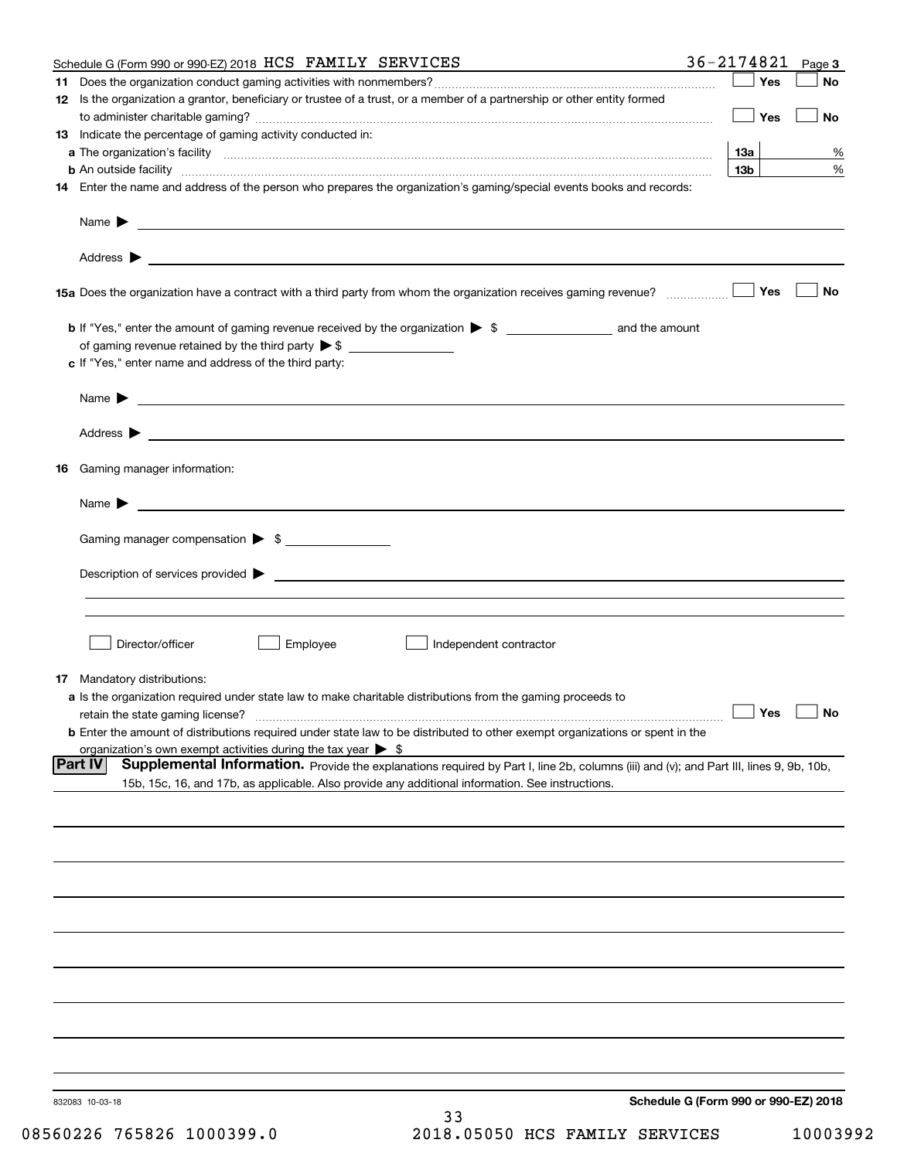|    | Schedule G (Form 990 or 990-EZ) 2018 HCS FAMILY SERVICES                                                                                                                                                                                  | 36-2174821                           | Page 3    |
|----|-------------------------------------------------------------------------------------------------------------------------------------------------------------------------------------------------------------------------------------------|--------------------------------------|-----------|
| 11 |                                                                                                                                                                                                                                           | Yes                                  | No        |
|    | 12 Is the organization a grantor, beneficiary or trustee of a trust, or a member of a partnership or other entity formed                                                                                                                  | Yes                                  | No        |
|    | 13 Indicate the percentage of gaming activity conducted in:                                                                                                                                                                               |                                      |           |
|    |                                                                                                                                                                                                                                           | 1За                                  | %         |
|    | <b>b</b> An outside facility <b>contained an according to the contract of the contract of the contract of the contract of the contract of the contract of the contract of the contract of the contract of the contract of the contrac</b> | 13 <sub>b</sub>                      | %         |
|    | 14 Enter the name and address of the person who prepares the organization's gaming/special events books and records:                                                                                                                      |                                      |           |
|    |                                                                                                                                                                                                                                           |                                      |           |
|    |                                                                                                                                                                                                                                           |                                      |           |
|    |                                                                                                                                                                                                                                           | Yes                                  | No        |
|    |                                                                                                                                                                                                                                           |                                      |           |
|    | of gaming revenue retained by the third party $\triangleright$ \$                                                                                                                                                                         |                                      |           |
|    | c If "Yes," enter name and address of the third party:                                                                                                                                                                                    |                                      |           |
|    | $Name \rightarrow$                                                                                                                                                                                                                        |                                      |           |
|    |                                                                                                                                                                                                                                           |                                      |           |
|    | 16 Gaming manager information:                                                                                                                                                                                                            |                                      |           |
|    | $Name \rightarrow$                                                                                                                                                                                                                        |                                      |           |
|    | Gaming manager compensation > \$                                                                                                                                                                                                          |                                      |           |
|    |                                                                                                                                                                                                                                           |                                      |           |
|    |                                                                                                                                                                                                                                           |                                      |           |
|    |                                                                                                                                                                                                                                           |                                      |           |
|    | Employee<br>Director/officer<br>Independent contractor                                                                                                                                                                                    |                                      |           |
|    |                                                                                                                                                                                                                                           |                                      |           |
|    | 17 Mandatory distributions:<br>a Is the organization required under state law to make charitable distributions from the gaming proceeds to                                                                                                |                                      |           |
|    | retain the state gaming license?                                                                                                                                                                                                          | $\Box$ Yes                           | $\Box$ No |
|    | <b>b</b> Enter the amount of distributions required under state law to be distributed to other exempt organizations or spent in the                                                                                                       |                                      |           |
|    | organization's own exempt activities during the tax year $\triangleright$ \$                                                                                                                                                              |                                      |           |
|    | Part IV<br>Supplemental Information. Provide the explanations required by Part I, line 2b, columns (iii) and (v); and Part III, lines 9, 9b, 10b,                                                                                         |                                      |           |
|    | 15b, 15c, 16, and 17b, as applicable. Also provide any additional information. See instructions.                                                                                                                                          |                                      |           |
|    |                                                                                                                                                                                                                                           |                                      |           |
|    |                                                                                                                                                                                                                                           |                                      |           |
|    |                                                                                                                                                                                                                                           |                                      |           |
|    |                                                                                                                                                                                                                                           |                                      |           |
|    |                                                                                                                                                                                                                                           |                                      |           |
|    |                                                                                                                                                                                                                                           |                                      |           |
|    |                                                                                                                                                                                                                                           |                                      |           |
|    |                                                                                                                                                                                                                                           |                                      |           |
|    |                                                                                                                                                                                                                                           |                                      |           |
|    | 832083 10-03-18                                                                                                                                                                                                                           | Schedule G (Form 990 or 990-EZ) 2018 |           |
|    | 33                                                                                                                                                                                                                                        |                                      |           |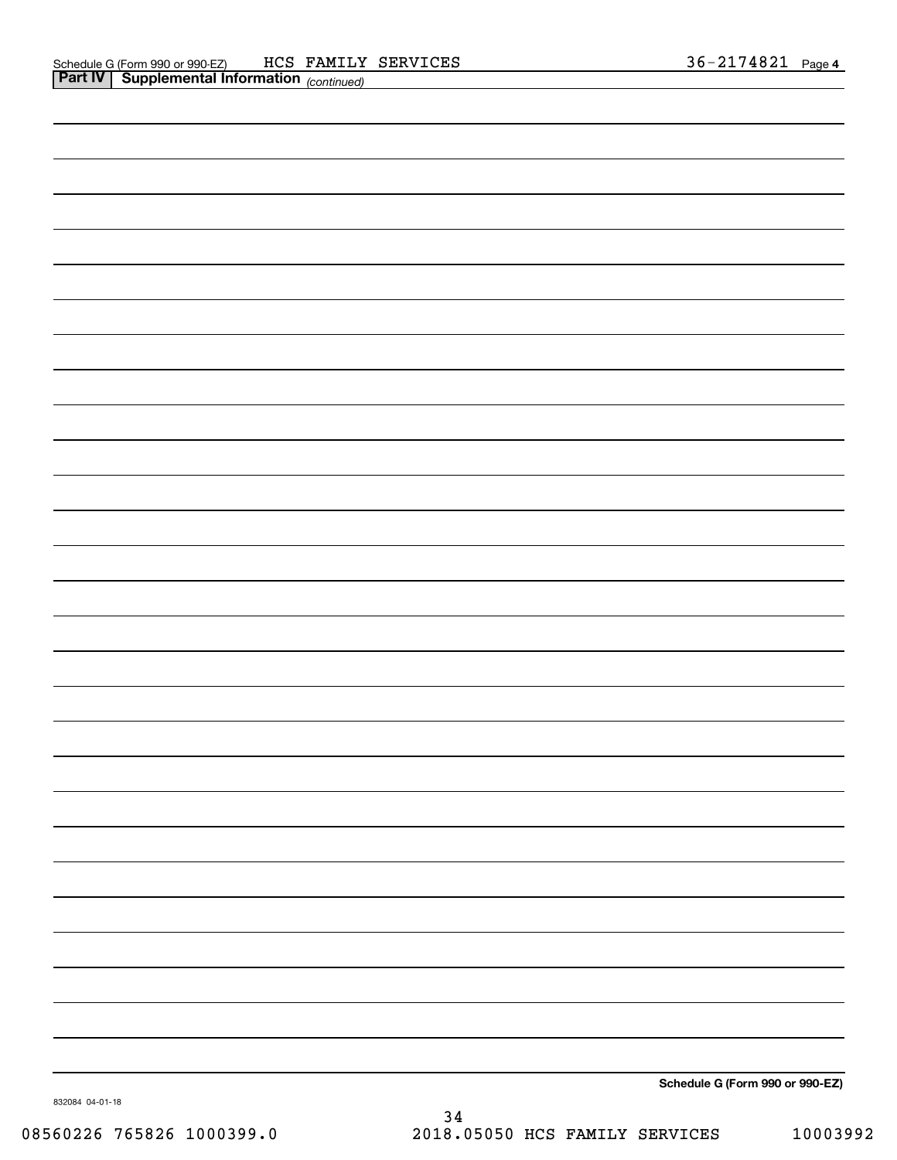| Schedule G (Form 990 or 990-EZ) |
|---------------------------------|

832084 04-01-18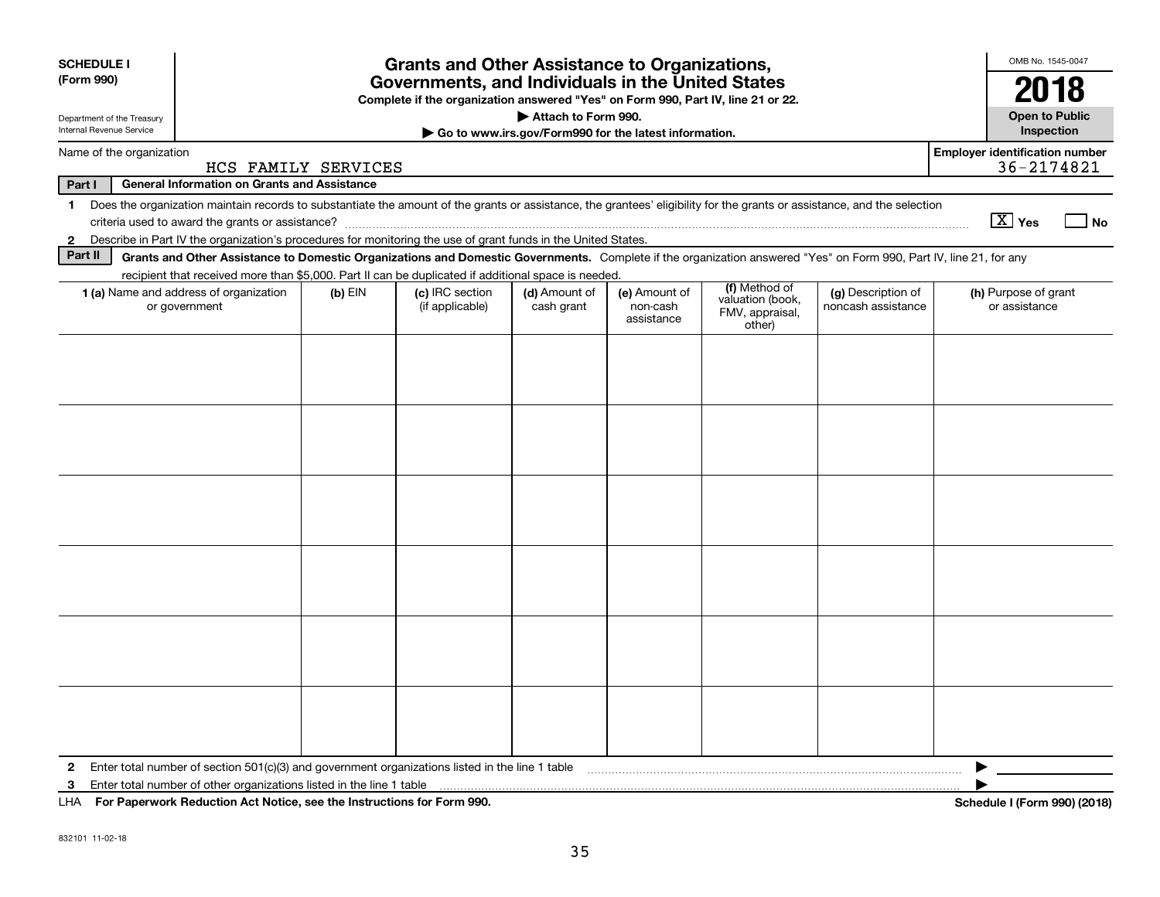| <b>SCHEDULE I</b>                                      |                                                                                                                                                                          |                     | <b>Grants and Other Assistance to Organizations,</b>                                                                                  |                             |                                                       |                                               |                                          | OMB No. 1545-0047                                   |  |
|--------------------------------------------------------|--------------------------------------------------------------------------------------------------------------------------------------------------------------------------|---------------------|---------------------------------------------------------------------------------------------------------------------------------------|-----------------------------|-------------------------------------------------------|-----------------------------------------------|------------------------------------------|-----------------------------------------------------|--|
| (Form 990)                                             |                                                                                                                                                                          |                     | Governments, and Individuals in the United States<br>Complete if the organization answered "Yes" on Form 990, Part IV, line 21 or 22. |                             |                                                       |                                               |                                          | 2018                                                |  |
| Department of the Treasury<br>Internal Revenue Service |                                                                                                                                                                          |                     |                                                                                                                                       | Attach to Form 990.         |                                                       |                                               |                                          | <b>Open to Public</b>                               |  |
|                                                        |                                                                                                                                                                          |                     |                                                                                                                                       |                             | Go to www.irs.gov/Form990 for the latest information. |                                               |                                          | <b>Inspection</b>                                   |  |
| Name of the organization                               |                                                                                                                                                                          | HCS FAMILY SERVICES |                                                                                                                                       |                             |                                                       |                                               |                                          | <b>Employer identification number</b><br>36-2174821 |  |
| Part I                                                 | <b>General Information on Grants and Assistance</b>                                                                                                                      |                     |                                                                                                                                       |                             |                                                       |                                               |                                          |                                                     |  |
| $\mathbf 1$                                            | Does the organization maintain records to substantiate the amount of the grants or assistance, the grantees' eligibility for the grants or assistance, and the selection |                     |                                                                                                                                       |                             |                                                       |                                               |                                          | $\boxed{\text{X}}$ Yes<br>l No                      |  |
| $\mathbf{2}$                                           | Describe in Part IV the organization's procedures for monitoring the use of grant funds in the United States.                                                            |                     |                                                                                                                                       |                             |                                                       |                                               |                                          |                                                     |  |
| Part II                                                | Grants and Other Assistance to Domestic Organizations and Domestic Governments. Complete if the organization answered "Yes" on Form 990, Part IV, line 21, for any       |                     |                                                                                                                                       |                             |                                                       |                                               |                                          |                                                     |  |
|                                                        | recipient that received more than \$5,000. Part II can be duplicated if additional space is needed.                                                                      |                     |                                                                                                                                       |                             |                                                       | (f) Method of                                 |                                          |                                                     |  |
|                                                        | 1 (a) Name and address of organization<br>or government                                                                                                                  | $(b)$ EIN           | (c) IRC section<br>(if applicable)                                                                                                    | (d) Amount of<br>cash grant | (e) Amount of<br>non-cash<br>assistance               | valuation (book,<br>FMV, appraisal,<br>other) | (g) Description of<br>noncash assistance | (h) Purpose of grant<br>or assistance               |  |
|                                                        |                                                                                                                                                                          |                     |                                                                                                                                       |                             |                                                       |                                               |                                          |                                                     |  |
|                                                        |                                                                                                                                                                          |                     |                                                                                                                                       |                             |                                                       |                                               |                                          |                                                     |  |
|                                                        |                                                                                                                                                                          |                     |                                                                                                                                       |                             |                                                       |                                               |                                          |                                                     |  |
|                                                        |                                                                                                                                                                          |                     |                                                                                                                                       |                             |                                                       |                                               |                                          |                                                     |  |
|                                                        |                                                                                                                                                                          |                     |                                                                                                                                       |                             |                                                       |                                               |                                          |                                                     |  |
|                                                        |                                                                                                                                                                          |                     |                                                                                                                                       |                             |                                                       |                                               |                                          |                                                     |  |
|                                                        |                                                                                                                                                                          |                     |                                                                                                                                       |                             |                                                       |                                               |                                          |                                                     |  |
|                                                        |                                                                                                                                                                          |                     |                                                                                                                                       |                             |                                                       |                                               |                                          |                                                     |  |
|                                                        |                                                                                                                                                                          |                     |                                                                                                                                       |                             |                                                       |                                               |                                          |                                                     |  |
|                                                        |                                                                                                                                                                          |                     |                                                                                                                                       |                             |                                                       |                                               |                                          |                                                     |  |
|                                                        |                                                                                                                                                                          |                     |                                                                                                                                       |                             |                                                       |                                               |                                          |                                                     |  |
|                                                        |                                                                                                                                                                          |                     |                                                                                                                                       |                             |                                                       |                                               |                                          |                                                     |  |
|                                                        |                                                                                                                                                                          |                     |                                                                                                                                       |                             |                                                       |                                               |                                          |                                                     |  |
| $\mathbf{2}$                                           | Enter total number of section 501(c)(3) and government organizations listed in the line 1 table                                                                          |                     |                                                                                                                                       |                             |                                                       |                                               |                                          |                                                     |  |
| 3                                                      | Enter total number of other organizations listed in the line 1 table                                                                                                     |                     |                                                                                                                                       |                             |                                                       |                                               |                                          |                                                     |  |
|                                                        | LHA For Paperwork Reduction Act Notice, see the Instructions for Form 990.                                                                                               |                     |                                                                                                                                       |                             |                                                       |                                               |                                          | Schedule I (Form 990) (2018)                        |  |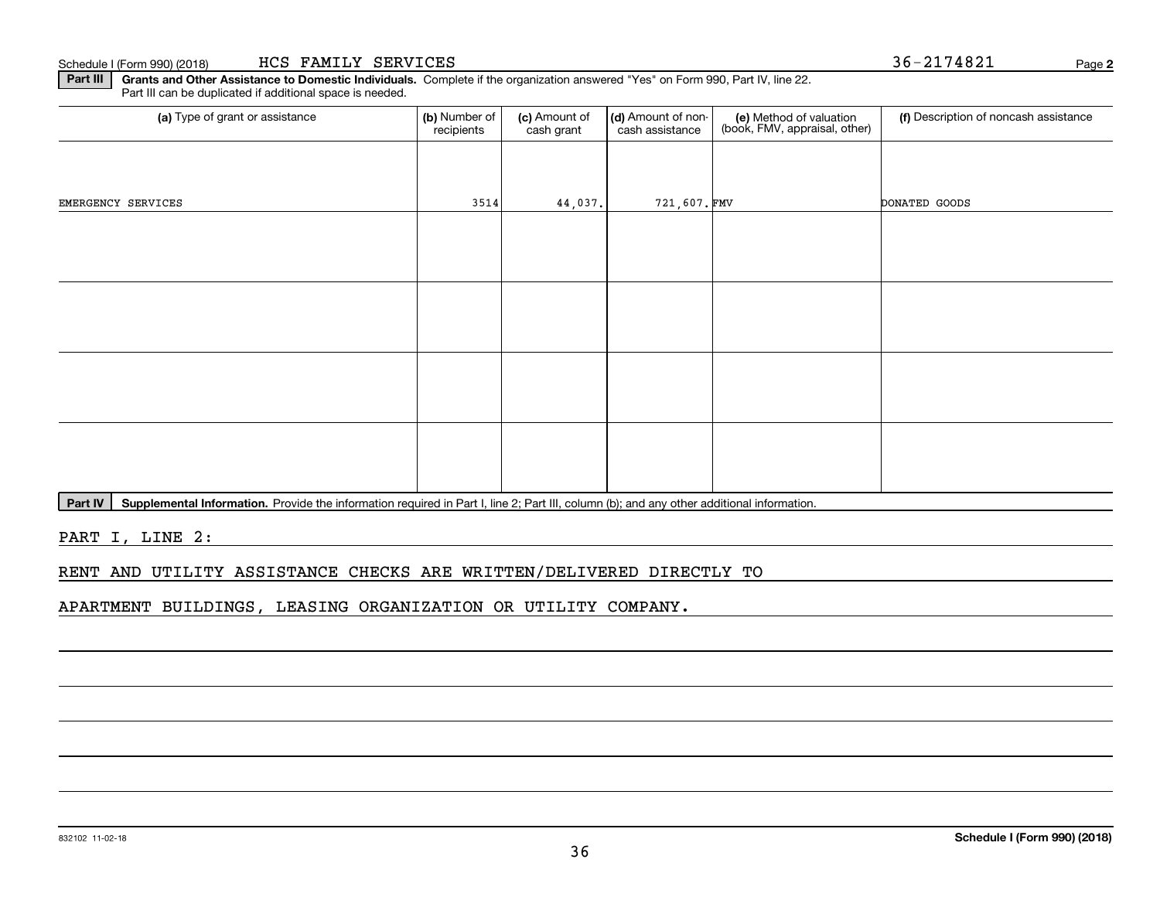**Part III | Grants and Other Assistance to Domestic Individuals. Complete if the organization answered "Yes" on Form 990, Part IV, line 22.** Part III can be duplicated if additional space is needed.

| (a) Type of grant or assistance | (b) Number of<br>recipients | (c) Amount of<br>cash grant | (d) Amount of non-<br>cash assistance | (e) Method of valuation<br>(book, FMV, appraisal, other) | (f) Description of noncash assistance |
|---------------------------------|-----------------------------|-----------------------------|---------------------------------------|----------------------------------------------------------|---------------------------------------|
|                                 |                             |                             |                                       |                                                          |                                       |
| EMERGENCY SERVICES              | 3514                        | 44,037.                     | 721,607.FMV                           |                                                          | DONATED GOODS                         |
|                                 |                             |                             |                                       |                                                          |                                       |
|                                 |                             |                             |                                       |                                                          |                                       |
|                                 |                             |                             |                                       |                                                          |                                       |
|                                 |                             |                             |                                       |                                                          |                                       |
|                                 |                             |                             |                                       |                                                          |                                       |
|                                 |                             |                             |                                       |                                                          |                                       |
|                                 |                             |                             |                                       |                                                          |                                       |
|                                 |                             |                             |                                       |                                                          |                                       |

Part IV | Supplemental Information. Provide the information required in Part I, line 2; Part III, column (b); and any other additional information.

PART I, LINE 2:

832102 11-02-18

RENT AND UTILITY ASSISTANCE CHECKS ARE WRITTEN/DELIVERED DIRECTLY TO

APARTMENT BUILDINGS, LEASING ORGANIZATION OR UTILITY COMPANY.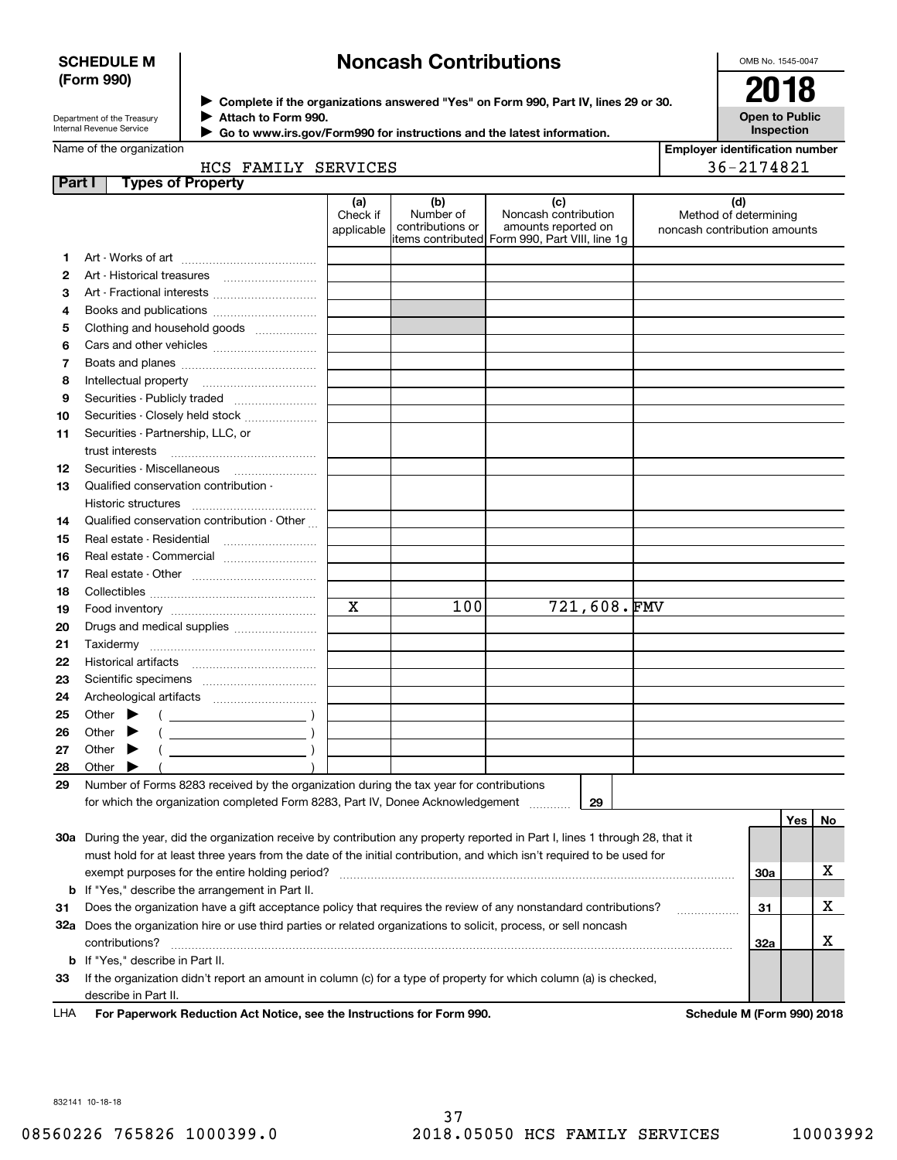#### **SCHEDULE M (Form 990)**

# **Noncash Contributions**

OMB No. 1545-0047

| Department of the Treasury      |
|---------------------------------|
| <b>Internal Revenue Service</b> |

**Complete if the organizations answered "Yes" on Form 990, Part IV, lines 29 or 30.** <sup>J</sup>**2018 Attach to Form 990.** J

 $\blacktriangleright$ 

 **Go to www.irs.gov/Form990 for instructions and the latest information.**

| ПΟ                                         |
|--------------------------------------------|
| <b>Open to Public</b><br><b>Inspection</b> |

| 36-2174821 |  |
|------------|--|
|------------|--|

|               | Name of the organization                                                                                                       |                               |                                      |                                                                                                      | <b>Employer identification number</b>                 |            |     |    |
|---------------|--------------------------------------------------------------------------------------------------------------------------------|-------------------------------|--------------------------------------|------------------------------------------------------------------------------------------------------|-------------------------------------------------------|------------|-----|----|
|               | HCS FAMILY SERVICES                                                                                                            |                               |                                      |                                                                                                      |                                                       | 36-2174821 |     |    |
| <b>Part I</b> | <b>Types of Property</b>                                                                                                       |                               |                                      |                                                                                                      |                                                       |            |     |    |
|               |                                                                                                                                | (a)<br>Check if<br>applicable | (b)<br>Number of<br>contributions or | (c)<br>Noncash contribution<br>amounts reported on<br>items contributed Form 990, Part VIII, line 1g | Method of determining<br>noncash contribution amounts | (d)        |     |    |
| 1             |                                                                                                                                |                               |                                      |                                                                                                      |                                                       |            |     |    |
| 2             | Art - Historical treasures                                                                                                     |                               |                                      |                                                                                                      |                                                       |            |     |    |
| З             | Art - Fractional interests                                                                                                     |                               |                                      |                                                                                                      |                                                       |            |     |    |
| 4             | Books and publications                                                                                                         |                               |                                      |                                                                                                      |                                                       |            |     |    |
| 5             | Clothing and household goods                                                                                                   |                               |                                      |                                                                                                      |                                                       |            |     |    |
| 6             |                                                                                                                                |                               |                                      |                                                                                                      |                                                       |            |     |    |
| 7             |                                                                                                                                |                               |                                      |                                                                                                      |                                                       |            |     |    |
| 8             | Intellectual property                                                                                                          |                               |                                      |                                                                                                      |                                                       |            |     |    |
| 9             | Securities - Publicly traded                                                                                                   |                               |                                      |                                                                                                      |                                                       |            |     |    |
| 10            | Securities - Closely held stock                                                                                                |                               |                                      |                                                                                                      |                                                       |            |     |    |
| 11            | Securities - Partnership, LLC, or                                                                                              |                               |                                      |                                                                                                      |                                                       |            |     |    |
|               | trust interests                                                                                                                |                               |                                      |                                                                                                      |                                                       |            |     |    |
| 12            | Securities - Miscellaneous                                                                                                     |                               |                                      |                                                                                                      |                                                       |            |     |    |
| 13            | Qualified conservation contribution -                                                                                          |                               |                                      |                                                                                                      |                                                       |            |     |    |
|               | Historic structures                                                                                                            |                               |                                      |                                                                                                      |                                                       |            |     |    |
| 14            | Qualified conservation contribution - Other                                                                                    |                               |                                      |                                                                                                      |                                                       |            |     |    |
| 15            | Real estate - Residential                                                                                                      |                               |                                      |                                                                                                      |                                                       |            |     |    |
| 16            | Real estate - Commercial                                                                                                       |                               |                                      |                                                                                                      |                                                       |            |     |    |
| 17            |                                                                                                                                |                               |                                      |                                                                                                      |                                                       |            |     |    |
| 18            |                                                                                                                                |                               |                                      |                                                                                                      |                                                       |            |     |    |
| 19            |                                                                                                                                | $\mathbf X$                   | 100                                  | $\overline{721,608}$ . FMV                                                                           |                                                       |            |     |    |
| 20            |                                                                                                                                |                               |                                      |                                                                                                      |                                                       |            |     |    |
| 21            | Drugs and medical supplies                                                                                                     |                               |                                      |                                                                                                      |                                                       |            |     |    |
| 22            | Historical artifacts                                                                                                           |                               |                                      |                                                                                                      |                                                       |            |     |    |
|               |                                                                                                                                |                               |                                      |                                                                                                      |                                                       |            |     |    |
| 23            |                                                                                                                                |                               |                                      |                                                                                                      |                                                       |            |     |    |
| 24            |                                                                                                                                |                               |                                      |                                                                                                      |                                                       |            |     |    |
| 25            | Other<br>▶                                                                                                                     |                               |                                      |                                                                                                      |                                                       |            |     |    |
| 26            | Other                                                                                                                          |                               |                                      |                                                                                                      |                                                       |            |     |    |
| 27            | Other<br>▶                                                                                                                     |                               |                                      |                                                                                                      |                                                       |            |     |    |
| 28            | Other                                                                                                                          |                               |                                      |                                                                                                      |                                                       |            |     |    |
| 29            | Number of Forms 8283 received by the organization during the tax year for contributions                                        |                               |                                      |                                                                                                      |                                                       |            |     |    |
|               | for which the organization completed Form 8283, Part IV, Donee Acknowledgement                                                 |                               |                                      | 29                                                                                                   |                                                       |            |     |    |
|               |                                                                                                                                |                               |                                      |                                                                                                      |                                                       |            | Yes | No |
|               | 30a During the year, did the organization receive by contribution any property reported in Part I, lines 1 through 28, that it |                               |                                      |                                                                                                      |                                                       |            |     |    |
|               | must hold for at least three years from the date of the initial contribution, and which isn't required to be used for          |                               |                                      |                                                                                                      |                                                       |            |     |    |
|               | exempt purposes for the entire holding period?                                                                                 |                               |                                      |                                                                                                      |                                                       | 30a        |     | x  |
| b             | If "Yes," describe the arrangement in Part II.                                                                                 |                               |                                      |                                                                                                      |                                                       |            |     |    |
| 31            | Does the organization have a gift acceptance policy that requires the review of any nonstandard contributions?                 |                               |                                      |                                                                                                      |                                                       | 31         |     | х  |
|               | 32a Does the organization hire or use third parties or related organizations to solicit, process, or sell noncash              |                               |                                      |                                                                                                      |                                                       |            |     |    |
|               | contributions?                                                                                                                 |                               |                                      |                                                                                                      |                                                       | 32a        |     | х  |
| b             | If "Yes," describe in Part II.                                                                                                 |                               |                                      |                                                                                                      |                                                       |            |     |    |
| 33            | If the organization didn't report an amount in column (c) for a type of property for which column (a) is checked,              |                               |                                      |                                                                                                      |                                                       |            |     |    |
|               | describe in Part II.                                                                                                           |                               |                                      |                                                                                                      |                                                       |            |     |    |

**For Paperwork Reduction Act Notice, see the Instructions for Form 990. Schedule M (Form 990) 2018** LHA

832141 10-18-18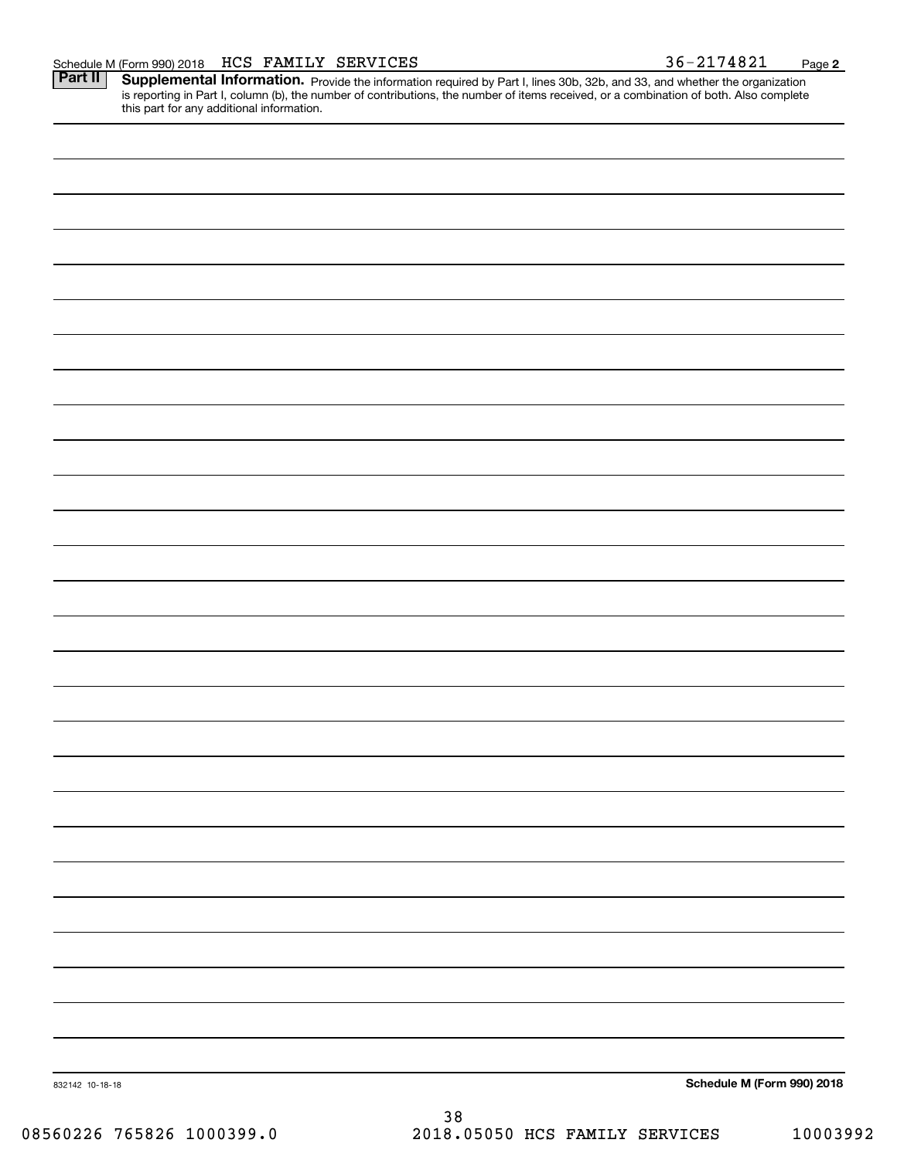Part II | Supplemental Information. Provide the information required by Part I, lines 30b, 32b, and 33, and whether the organization is reporting in Part I, column (b), the number of contributions, the number of items received, or a combination of both. Also complete this part for any additional information.

| 08560226 765826 1000399.0 | $38\,$<br>2018.05050 HCS FAMILY SERVICES 10003992 |
|---------------------------|---------------------------------------------------|
| 832142 10-18-18           | Schedule M (Form 990) 2018                        |
|                           |                                                   |
|                           |                                                   |
|                           |                                                   |
|                           |                                                   |
|                           |                                                   |
|                           |                                                   |
|                           |                                                   |
|                           |                                                   |
|                           |                                                   |
|                           |                                                   |
|                           |                                                   |
|                           |                                                   |
|                           |                                                   |
|                           |                                                   |
|                           |                                                   |
|                           |                                                   |
|                           |                                                   |
|                           |                                                   |
|                           |                                                   |
|                           |                                                   |
|                           |                                                   |
|                           |                                                   |
|                           |                                                   |
|                           |                                                   |
|                           |                                                   |
|                           |                                                   |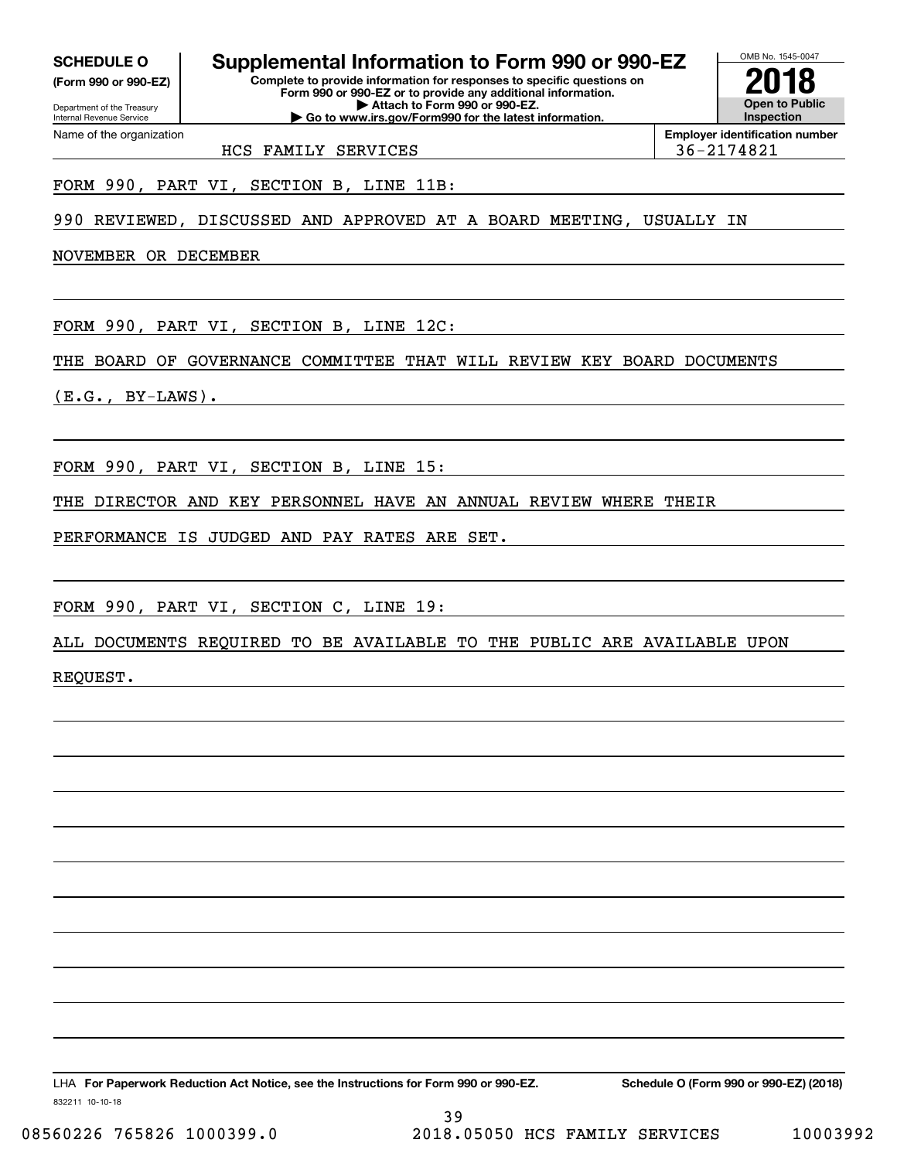Internal Revenue Service

Department of the Treasury **(Form 990 or 990-EZ)**

Name of the organization

**SCHEDULE O Supplemental Information to Form 990 or 990-EZ**

**Complete to provide information for responses to specific questions on Form 990 or 990-EZ or to provide any additional information. | Attach to Form 990 or 990-EZ. | Go to www.irs.gov/Form990 for the latest information.**



**Employer identification number** HCS FAMILY SERVICES 36-2174821

#### FORM 990, PART VI, SECTION B, LINE 11B:

990 REVIEWED, DISCUSSED AND APPROVED AT A BOARD MEETING, USUALLY IN

NOVEMBER OR DECEMBER

FORM 990, PART VI, SECTION B, LINE 12C:

THE BOARD OF GOVERNANCE COMMITTEE THAT WILL REVIEW KEY BOARD DOCUMENTS

 $(E.G., BY-LAWS).$ 

FORM 990, PART VI, SECTION B, LINE 15:

THE DIRECTOR AND KEY PERSONNEL HAVE AN ANNUAL REVIEW WHERE THEIR

PERFORMANCE IS JUDGED AND PAY RATES ARE SET.

FORM 990, PART VI, SECTION C, LINE 19:

ALL DOCUMENTS REQUIRED TO BE AVAILABLE TO THE PUBLIC ARE AVAILABLE UPON

REQUEST.

832211 10-10-18 LHA For Paperwork Reduction Act Notice, see the Instructions for Form 990 or 990-EZ. Schedule O (Form 990 or 990-EZ) (2018) 39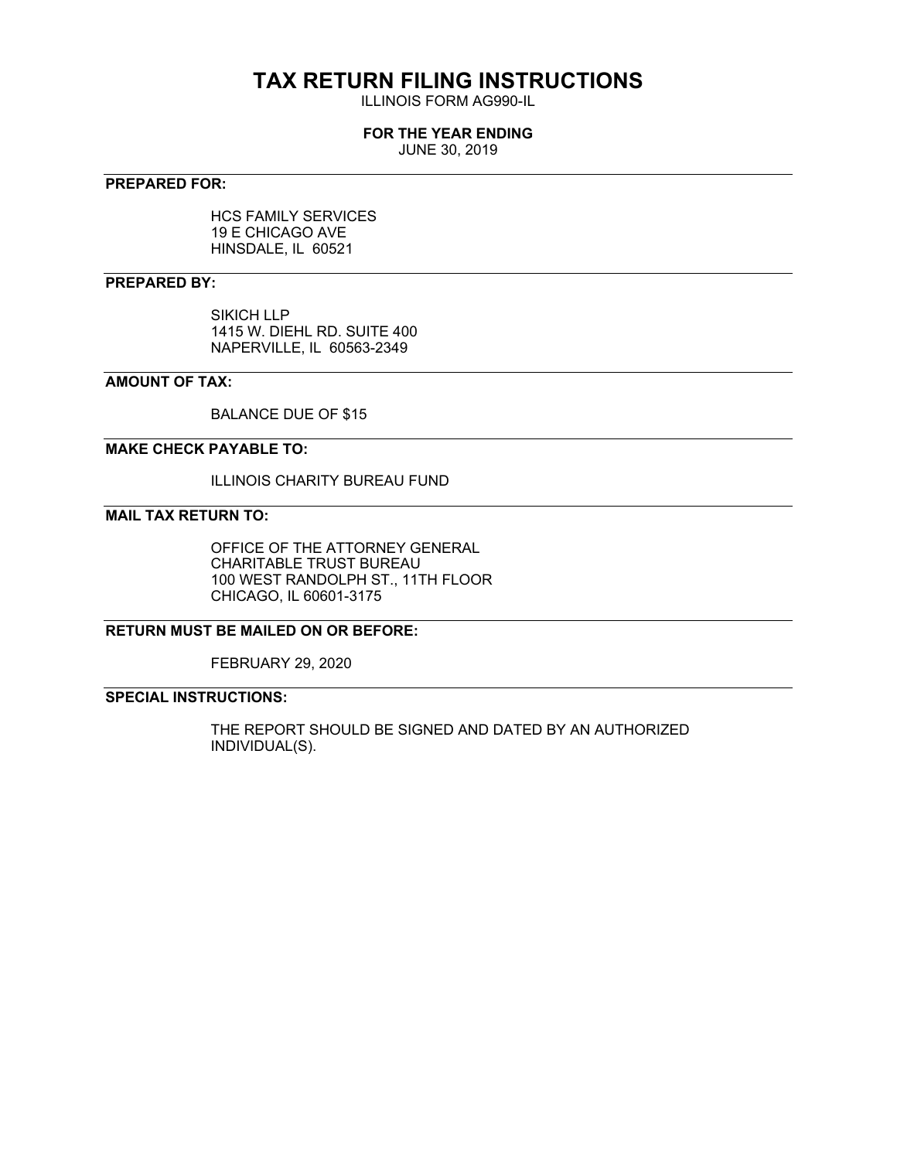# **TAX RETURN FILING INSTRUCTIONS**

ILLINOIS FORM AG990-IL

# **FOR THE YEAR ENDING**

JUNE 30, 2019

# **PREPARED FOR:**

HCS FAMILY SERVICES 19 E CHICAGO AVE HINSDALE, IL 60521

# **PREPARED BY:**

SIKICH LLP 1415 W. DIEHL RD. SUITE 400 NAPERVILLE, IL 60563-2349

## **AMOUNT OF TAX:**

BALANCE DUE OF \$15

#### **MAKE CHECK PAYABLE TO:**

ILLINOIS CHARITY BUREAU FUND

# **MAIL TAX RETURN TO:**

OFFICE OF THE ATTORNEY GENERAL CHARITABLE TRUST BUREAU 100 WEST RANDOLPH ST., 11TH FLOOR CHICAGO, IL 60601-3175

## **RETURN MUST BE MAILED ON OR BEFORE:**

FEBRUARY 29, 2020

# **SPECIAL INSTRUCTIONS:**

THE REPORT SHOULD BE SIGNED AND DATED BY AN AUTHORIZED INDIVIDUAL(S).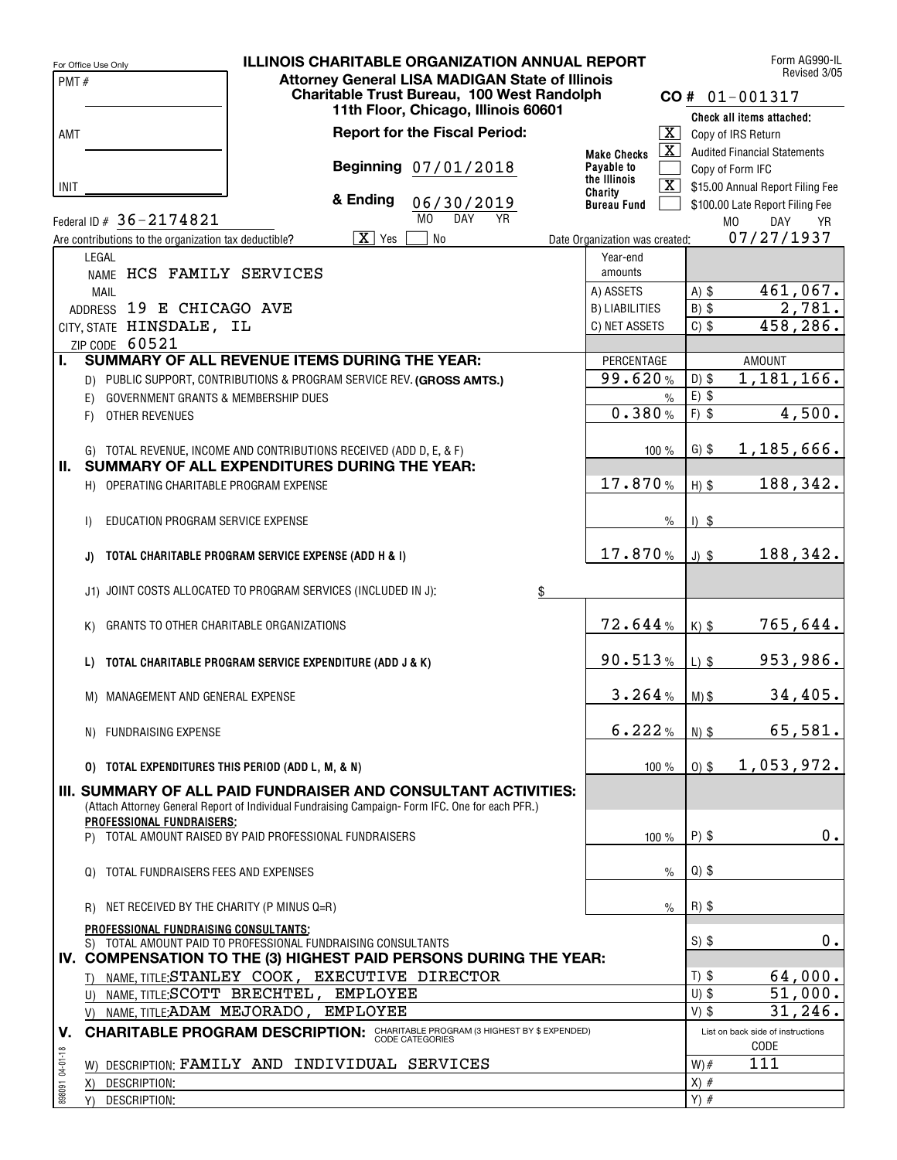|                 | For Office Use Only                                   | <b>ILLINOIS CHARITABLE ORGANIZATION ANNUAL REPORT</b>                                                               |                                |                         | Form AG990-IL<br>Revised 3/05             |
|-----------------|-------------------------------------------------------|---------------------------------------------------------------------------------------------------------------------|--------------------------------|-------------------------|-------------------------------------------|
| PMT#            |                                                       | <b>Attorney General LISA MADIGAN State of Illinois</b>                                                              |                                |                         |                                           |
|                 |                                                       | Charitable Trust Bureau, 100 West Randolph<br>11th Floor, Chicago, Illinois 60601                                   |                                |                         | $CO # 01-001317$                          |
|                 |                                                       |                                                                                                                     |                                |                         | Check all items attached:                 |
| <b>AMT</b>      |                                                       | <b>Report for the Fiscal Period:</b>                                                                                |                                | $\boxed{\text{X}}$      | Copy of IRS Return                        |
|                 |                                                       |                                                                                                                     | <b>Make Checks</b>             | $\boxed{\text{X}}$      | <b>Audited Financial Statements</b>       |
|                 |                                                       | <b>Beginning</b><br>07/01/2018                                                                                      | Payable to<br>the Illinois     |                         | Copy of Form IFC                          |
| INIT            |                                                       |                                                                                                                     | Charity                        | $\overline{\mathbf{X}}$ | \$15.00 Annual Report Filing Fee          |
|                 |                                                       | & Ending<br>06/30/2019                                                                                              | <b>Bureau Fund</b>             |                         | \$100.00 Late Report Filing Fee           |
|                 | Federal ID # 36-2174821                               | M <sub>0</sub><br><b>DAY</b><br><b>YR</b>                                                                           |                                |                         | M <sub>0</sub><br><b>DAY</b><br><b>YR</b> |
|                 | Are contributions to the organization tax deductible? | $\overline{X}$ Yes<br>No                                                                                            | Date Organization was created: |                         | 07/27/1937                                |
|                 | LEGAL                                                 |                                                                                                                     | Year-end                       |                         |                                           |
|                 | NAME HCS FAMILY SERVICES                              |                                                                                                                     | amounts                        |                         |                                           |
|                 | <b>MAIL</b>                                           |                                                                                                                     | A) ASSETS                      |                         | 461,067.<br>$A)$ \$                       |
|                 | ADDRESS 19 E CHICAGO AVE                              |                                                                                                                     | <b>B) LIABILITIES</b>          |                         | 2,781.<br>$B)$ \$                         |
|                 | CITY, STATE HINSDALE, IL                              |                                                                                                                     | C) NET ASSETS                  |                         | 458, 286.<br>$C)$ \$                      |
|                 | ZIP CODE 60521                                        |                                                                                                                     |                                |                         |                                           |
| L.              |                                                       | SUMMARY OF ALL REVENUE ITEMS DURING THE YEAR:                                                                       | PERCENTAGE                     |                         | <b>AMOUNT</b>                             |
|                 |                                                       | D) PUBLIC SUPPORT, CONTRIBUTIONS & PROGRAM SERVICE REV. (GROSS AMTS.)                                               | 99.620%                        |                         | 1,181,166.<br>$D)$ \$                     |
|                 | <b>GOVERNMENT GRANTS &amp; MEMBERSHIP DUES</b><br>E)  |                                                                                                                     |                                | $\%$                    | $E)$ \$                                   |
|                 | OTHER REVENUES<br>F)                                  |                                                                                                                     | 0.380%                         |                         | $F)$ \$<br>4,500.                         |
|                 |                                                       |                                                                                                                     |                                |                         |                                           |
|                 |                                                       | G) TOTAL REVENUE, INCOME AND CONTRIBUTIONS RECEIVED (ADD D, E, & F)<br>SUMMARY OF ALL EXPENDITURES DURING THE YEAR: |                                | 100%                    | $G)$ \$<br>1,185,666.                     |
| II. .           |                                                       |                                                                                                                     |                                |                         |                                           |
|                 | H) OPERATING CHARITABLE PROGRAM EXPENSE               |                                                                                                                     | 17.870%                        |                         | 188,342.<br>$H)$ \$                       |
|                 |                                                       |                                                                                                                     |                                |                         |                                           |
|                 | EDUCATION PROGRAM SERVICE EXPENSE<br>$\mathsf{D}$     |                                                                                                                     |                                | $\%$                    | $1)$ \$                                   |
|                 |                                                       |                                                                                                                     | 17.870%                        |                         | 188,342.<br>$J)$ \$                       |
|                 | J)                                                    | TOTAL CHARITABLE PROGRAM SERVICE EXPENSE (ADD H & I)                                                                |                                |                         |                                           |
|                 |                                                       | J1) JOINT COSTS ALLOCATED TO PROGRAM SERVICES (INCLUDED IN J):<br>$\frac{3}{2}$                                     |                                |                         |                                           |
|                 |                                                       |                                                                                                                     |                                |                         |                                           |
|                 | GRANTS TO OTHER CHARITABLE ORGANIZATIONS<br>K)        |                                                                                                                     | 72.644%                        |                         | 765,644.<br>$K)$ \$                       |
|                 |                                                       |                                                                                                                     |                                |                         |                                           |
|                 | L)                                                    | TOTAL CHARITABLE PROGRAM SERVICE EXPENDITURE (ADD J & K)                                                            | 90.513%                        |                         | 953,986.<br>$L)$ \$                       |
|                 |                                                       |                                                                                                                     |                                |                         |                                           |
|                 | M) MANAGEMENT AND GENERAL EXPENSE                     |                                                                                                                     | 3.264%                         |                         | 34,405.<br>$M)$ \$                        |
|                 |                                                       |                                                                                                                     |                                |                         |                                           |
|                 | N) FUNDRAISING EXPENSE                                |                                                                                                                     | 6.222%                         |                         | 65,581.<br>$N)$ \$                        |
|                 |                                                       |                                                                                                                     |                                |                         |                                           |
|                 | 0) TOTAL EXPENDITURES THIS PERIOD (ADD L, M, & N)     |                                                                                                                     |                                | 100 %                   | 1,053,972.<br>$0)$ \$                     |
|                 |                                                       | III. SUMMARY OF ALL PAID FUNDRAISER AND CONSULTANT ACTIVITIES:                                                      |                                |                         |                                           |
|                 |                                                       | (Attach Attorney General Report of Individual Fundraising Campaign-Form IFC. One for each PFR.)                     |                                |                         |                                           |
|                 | PROFESSIONAL FUNDRAISERS:                             |                                                                                                                     |                                |                         |                                           |
|                 |                                                       | P) TOTAL AMOUNT RAISED BY PAID PROFESSIONAL FUNDRAISERS                                                             |                                | 100%                    | $P)$ \$<br>$0$ .                          |
|                 |                                                       |                                                                                                                     |                                |                         |                                           |
|                 | TOTAL FUNDRAISERS FEES AND EXPENSES<br>$\Omega$       |                                                                                                                     |                                | $\%$                    | $Q$ ) \$                                  |
|                 |                                                       |                                                                                                                     |                                |                         |                                           |
|                 | NET RECEIVED BY THE CHARITY (P MINUS Q=R)<br>R).      |                                                                                                                     |                                | $\%$                    | $R)$ \$                                   |
|                 | PROFESSIONAL FUNDRAISING CONSULTANTS:                 |                                                                                                                     |                                |                         |                                           |
|                 |                                                       | S) TOTAL AMOUNT PAID TO PROFESSIONAL FUNDRAISING CONSULTANTS                                                        |                                |                         | 0.<br>$S)$ \$                             |
|                 |                                                       | IV. COMPENSATION TO THE (3) HIGHEST PAID PERSONS DURING THE YEAR:                                                   |                                |                         |                                           |
|                 |                                                       | T) NAME, TITLE;STANLEY COOK, EXECUTIVE DIRECTOR                                                                     |                                |                         | 64,000.<br>$T)$ \$                        |
|                 |                                                       | U) NAME, TITLE: SCOTT BRECHTEL, EMPLOYEE                                                                            |                                |                         | $U)$ \$<br>51,000.<br>31, 246.            |
|                 |                                                       | V) NAME, TITLE: ADAM MEJORADO, EMPLOYEE                                                                             |                                |                         | $V)$ \$                                   |
| V.              |                                                       | <b>CHARITABLE PROGRAM DESCRIPTION:</b> CHARITABLE PROGRAM (3 HIGHEST BY \$ EXPENDED)                                |                                |                         | List on back side of instructions<br>CODE |
|                 |                                                       | W) DESCRIPTION: FAMILY AND INDIVIDUAL SERVICES                                                                      |                                |                         | 111<br>$W)$ #                             |
|                 | DESCRIPTION:                                          |                                                                                                                     |                                |                         | $X)$ #                                    |
| 898091 04-01-18 | X)<br>Y) DESCRIPTION:                                 |                                                                                                                     |                                |                         | $Y)$ #                                    |
|                 |                                                       |                                                                                                                     |                                |                         |                                           |